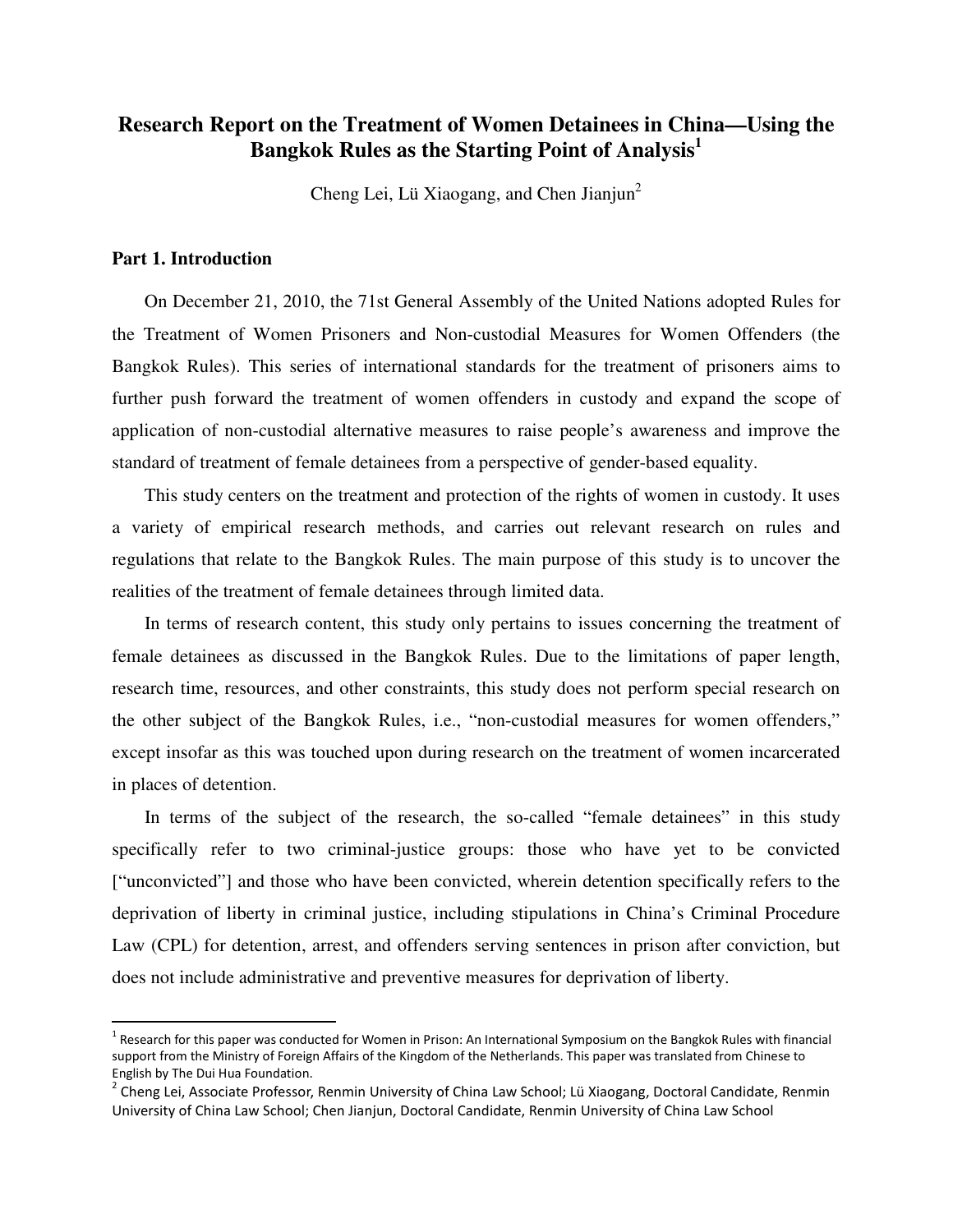# **Research Report on the Treatment of Women Detainees in China—Using the Bangkok Rules as the Starting Point of Analysis<sup>1</sup>**

Cheng Lei, Lü Xiaogang, and Chen Jianjun<sup>2</sup>

#### **Part 1. Introduction**

 $\overline{a}$ 

On December 21, 2010, the 71st General Assembly of the United Nations adopted Rules for the Treatment of Women Prisoners and Non-custodial Measures for Women Offenders (the Bangkok Rules). This series of international standards for the treatment of prisoners aims to further push forward the treatment of women offenders in custody and expand the scope of application of non-custodial alternative measures to raise people's awareness and improve the standard of treatment of female detainees from a perspective of gender-based equality.

This study centers on the treatment and protection of the rights of women in custody. It uses a variety of empirical research methods, and carries out relevant research on rules and regulations that relate to the Bangkok Rules. The main purpose of this study is to uncover the realities of the treatment of female detainees through limited data.

In terms of research content, this study only pertains to issues concerning the treatment of female detainees as discussed in the Bangkok Rules. Due to the limitations of paper length, research time, resources, and other constraints, this study does not perform special research on the other subject of the Bangkok Rules, i.e., "non-custodial measures for women offenders," except insofar as this was touched upon during research on the treatment of women incarcerated in places of detention.

In terms of the subject of the research, the so-called "female detainees" in this study specifically refer to two criminal-justice groups: those who have yet to be convicted ["unconvicted"] and those who have been convicted, wherein detention specifically refers to the deprivation of liberty in criminal justice, including stipulations in China's Criminal Procedure Law (CPL) for detention, arrest, and offenders serving sentences in prison after conviction, but does not include administrative and preventive measures for deprivation of liberty.

<sup>&</sup>lt;sup>1</sup> Research for this paper was conducted for Women in Prison: An International Symposium on the Bangkok Rules with financial support from the Ministry of Foreign Affairs of the Kingdom of the Netherlands. This paper was translated from Chinese to English by The Dui Hua Foundation.

<sup>&</sup>lt;sup>2</sup> Cheng Lei, Associate Professor, Renmin University of China Law School; Lü Xiaogang, Doctoral Candidate, Renmin University of China Law School; Chen Jianjun, Doctoral Candidate, Renmin University of China Law School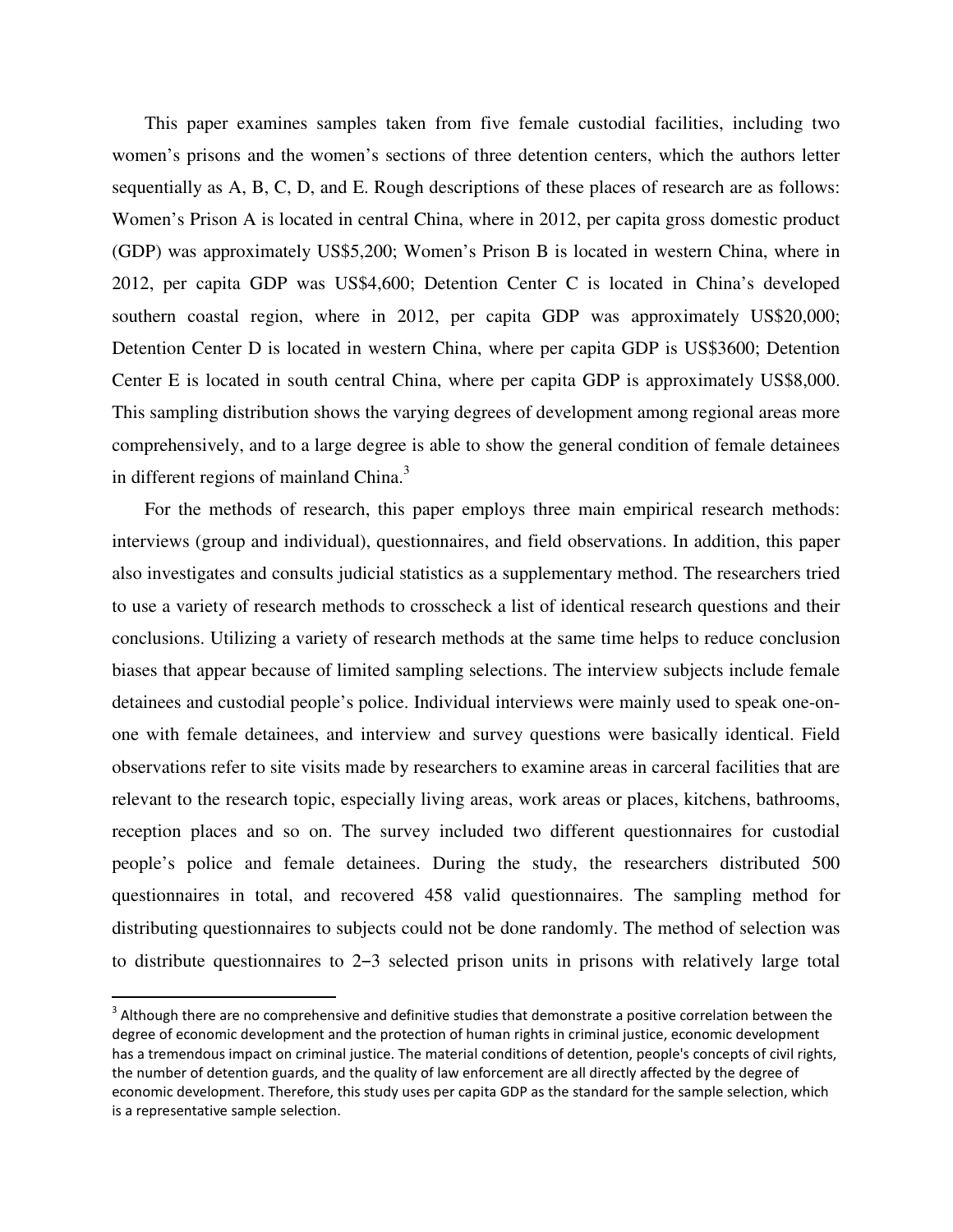This paper examines samples taken from five female custodial facilities, including two women's prisons and the women's sections of three detention centers, which the authors letter sequentially as A, B, C, D, and E. Rough descriptions of these places of research are as follows: Women's Prison A is located in central China, where in 2012, per capita gross domestic product (GDP) was approximately US\$5,200; Women's Prison B is located in western China, where in 2012, per capita GDP was US\$4,600; Detention Center C is located in China's developed southern coastal region, where in 2012, per capita GDP was approximately US\$20,000; Detention Center D is located in western China, where per capita GDP is US\$3600; Detention Center E is located in south central China, where per capita GDP is approximately US\$8,000. This sampling distribution shows the varying degrees of development among regional areas more comprehensively, and to a large degree is able to show the general condition of female detainees in different regions of mainland China. $3$ 

For the methods of research, this paper employs three main empirical research methods: interviews (group and individual), questionnaires, and field observations. In addition, this paper also investigates and consults judicial statistics as a supplementary method. The researchers tried to use a variety of research methods to crosscheck a list of identical research questions and their conclusions. Utilizing a variety of research methods at the same time helps to reduce conclusion biases that appear because of limited sampling selections. The interview subjects include female detainees and custodial people's police. Individual interviews were mainly used to speak one-onone with female detainees, and interview and survey questions were basically identical. Field observations refer to site visits made by researchers to examine areas in carceral facilities that are relevant to the research topic, especially living areas, work areas or places, kitchens, bathrooms, reception places and so on. The survey included two different questionnaires for custodial people's police and female detainees. During the study, the researchers distributed 500 questionnaires in total, and recovered 458 valid questionnaires. The sampling method for distributing questionnaires to subjects could not be done randomly. The method of selection was to distribute questionnaires to  $2-3$  selected prison units in prisons with relatively large total

 $3$  Although there are no comprehensive and definitive studies that demonstrate a positive correlation between the degree of economic development and the protection of human rights in criminal justice, economic development has a tremendous impact on criminal justice. The material conditions of detention, people's concepts of civil rights, the number of detention guards, and the quality of law enforcement are all directly affected by the degree of economic development. Therefore, this study uses per capita GDP as the standard for the sample selection, which is a representative sample selection.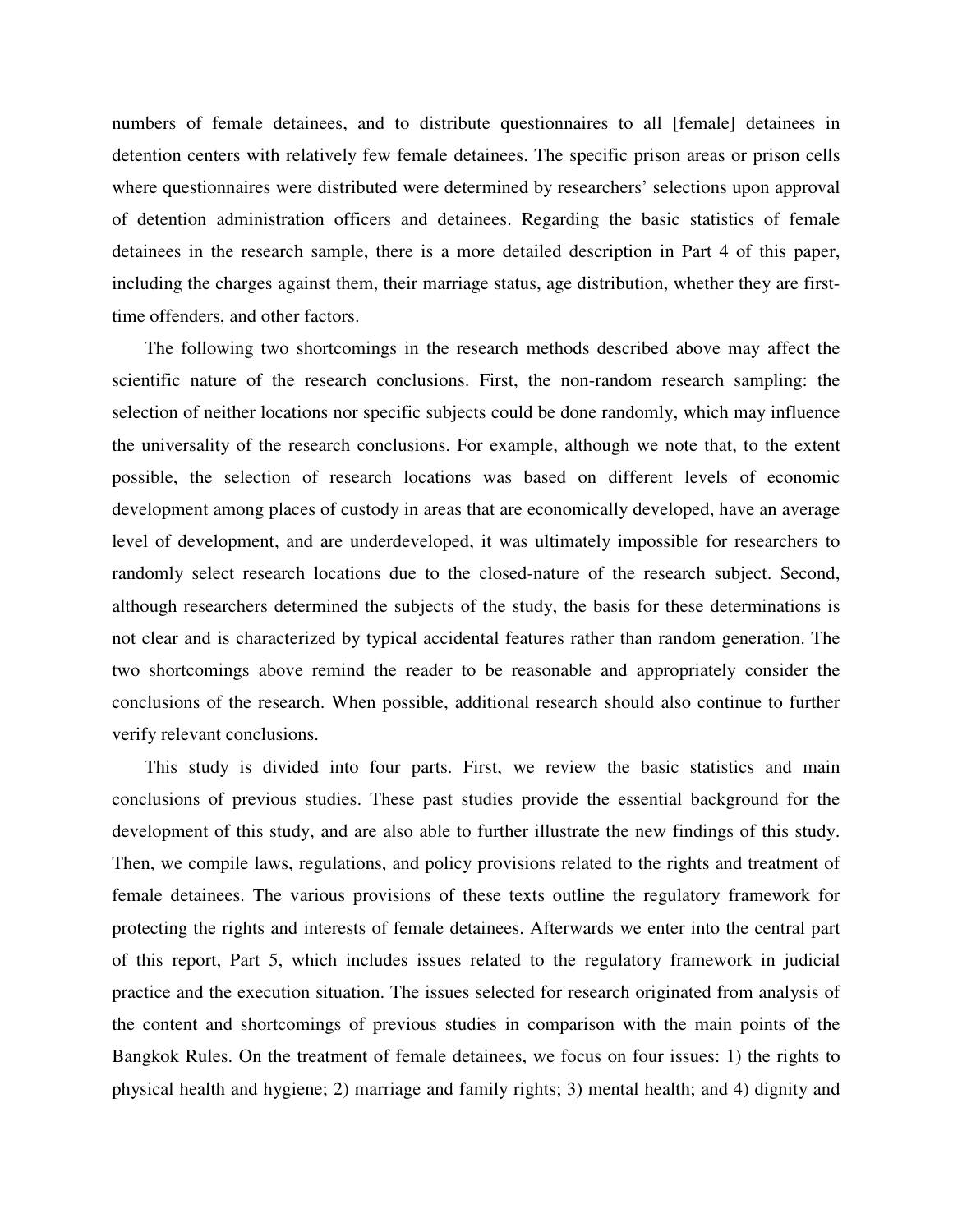numbers of female detainees, and to distribute questionnaires to all [female] detainees in detention centers with relatively few female detainees. The specific prison areas or prison cells where questionnaires were distributed were determined by researchers' selections upon approval of detention administration officers and detainees. Regarding the basic statistics of female detainees in the research sample, there is a more detailed description in Part 4 of this paper, including the charges against them, their marriage status, age distribution, whether they are firsttime offenders, and other factors.

The following two shortcomings in the research methods described above may affect the scientific nature of the research conclusions. First, the non-random research sampling: the selection of neither locations nor specific subjects could be done randomly, which may influence the universality of the research conclusions. For example, although we note that, to the extent possible, the selection of research locations was based on different levels of economic development among places of custody in areas that are economically developed, have an average level of development, and are underdeveloped, it was ultimately impossible for researchers to randomly select research locations due to the closed-nature of the research subject. Second, although researchers determined the subjects of the study, the basis for these determinations is not clear and is characterized by typical accidental features rather than random generation. The two shortcomings above remind the reader to be reasonable and appropriately consider the conclusions of the research. When possible, additional research should also continue to further verify relevant conclusions.

This study is divided into four parts. First, we review the basic statistics and main conclusions of previous studies. These past studies provide the essential background for the development of this study, and are also able to further illustrate the new findings of this study. Then, we compile laws, regulations, and policy provisions related to the rights and treatment of female detainees. The various provisions of these texts outline the regulatory framework for protecting the rights and interests of female detainees. Afterwards we enter into the central part of this report, Part 5, which includes issues related to the regulatory framework in judicial practice and the execution situation. The issues selected for research originated from analysis of the content and shortcomings of previous studies in comparison with the main points of the Bangkok Rules. On the treatment of female detainees, we focus on four issues: 1) the rights to physical health and hygiene; 2) marriage and family rights; 3) mental health; and 4) dignity and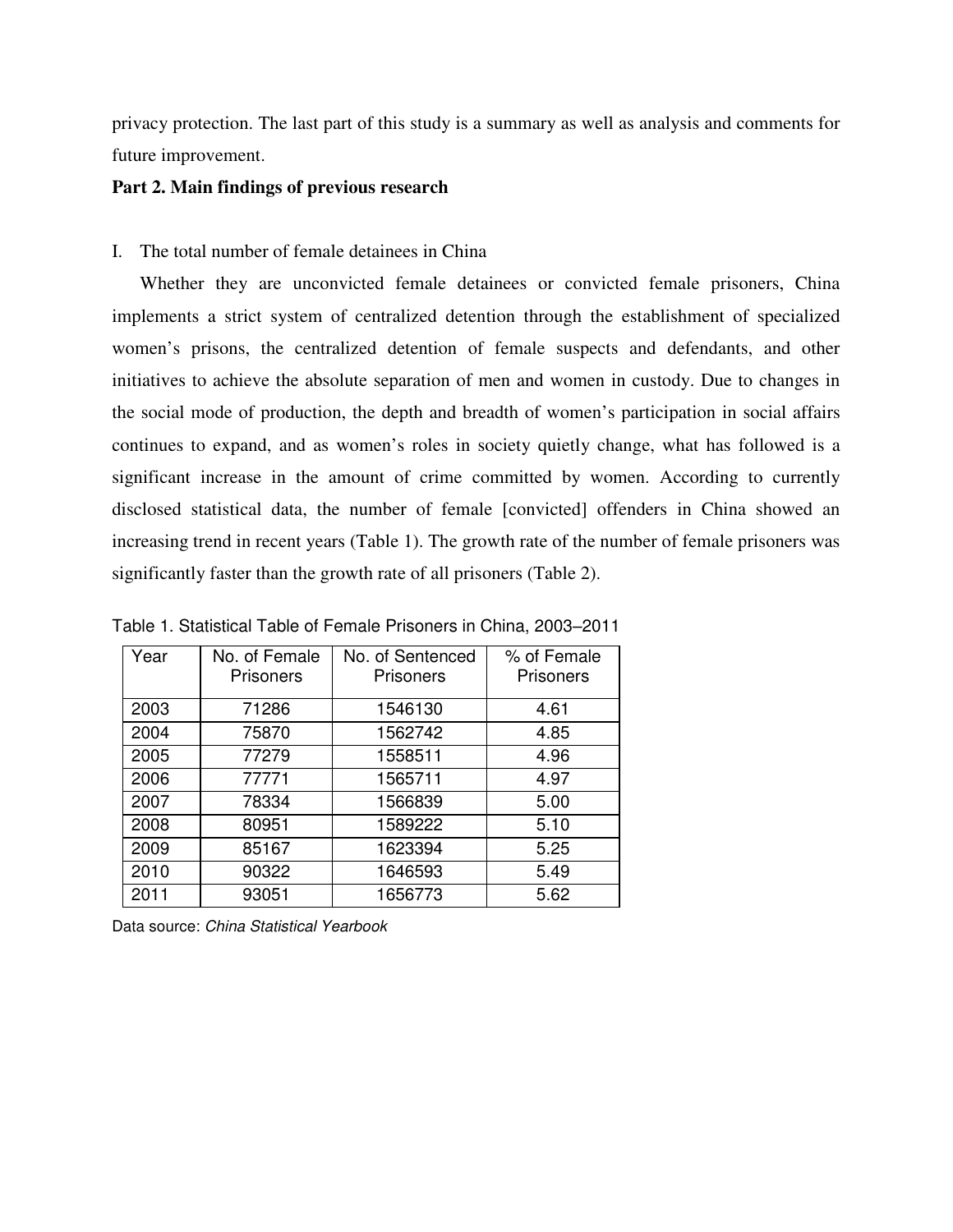privacy protection. The last part of this study is a summary as well as analysis and comments for future improvement.

#### **Part 2. Main findings of previous research**

I. The total number of female detainees in China

Whether they are unconvicted female detainees or convicted female prisoners, China implements a strict system of centralized detention through the establishment of specialized women's prisons, the centralized detention of female suspects and defendants, and other initiatives to achieve the absolute separation of men and women in custody. Due to changes in the social mode of production, the depth and breadth of women's participation in social affairs continues to expand, and as women's roles in society quietly change, what has followed is a significant increase in the amount of crime committed by women. According to currently disclosed statistical data, the number of female [convicted] offenders in China showed an increasing trend in recent years (Table 1). The growth rate of the number of female prisoners was significantly faster than the growth rate of all prisoners (Table 2).

| Year | No. of Female    | No. of Sentenced | % of Female      |
|------|------------------|------------------|------------------|
|      | <b>Prisoners</b> | <b>Prisoners</b> | <b>Prisoners</b> |
| 2003 | 71286            | 1546130          | 4.61             |
| 2004 | 75870            | 1562742          | 4.85             |
| 2005 | 77279            | 1558511          | 4.96             |
| 2006 | 77771            | 1565711          | 4.97             |
| 2007 | 78334            | 1566839          | 5.00             |
| 2008 | 80951            | 1589222          | 5.10             |
| 2009 | 85167            | 1623394          | 5.25             |
| 2010 | 90322            | 1646593          | 5.49             |
| 2011 | 93051            | 1656773          | 5.62             |

Table 1. Statistical Table of Female Prisoners in China, 2003-2011

Data source: China Statistical Yearbook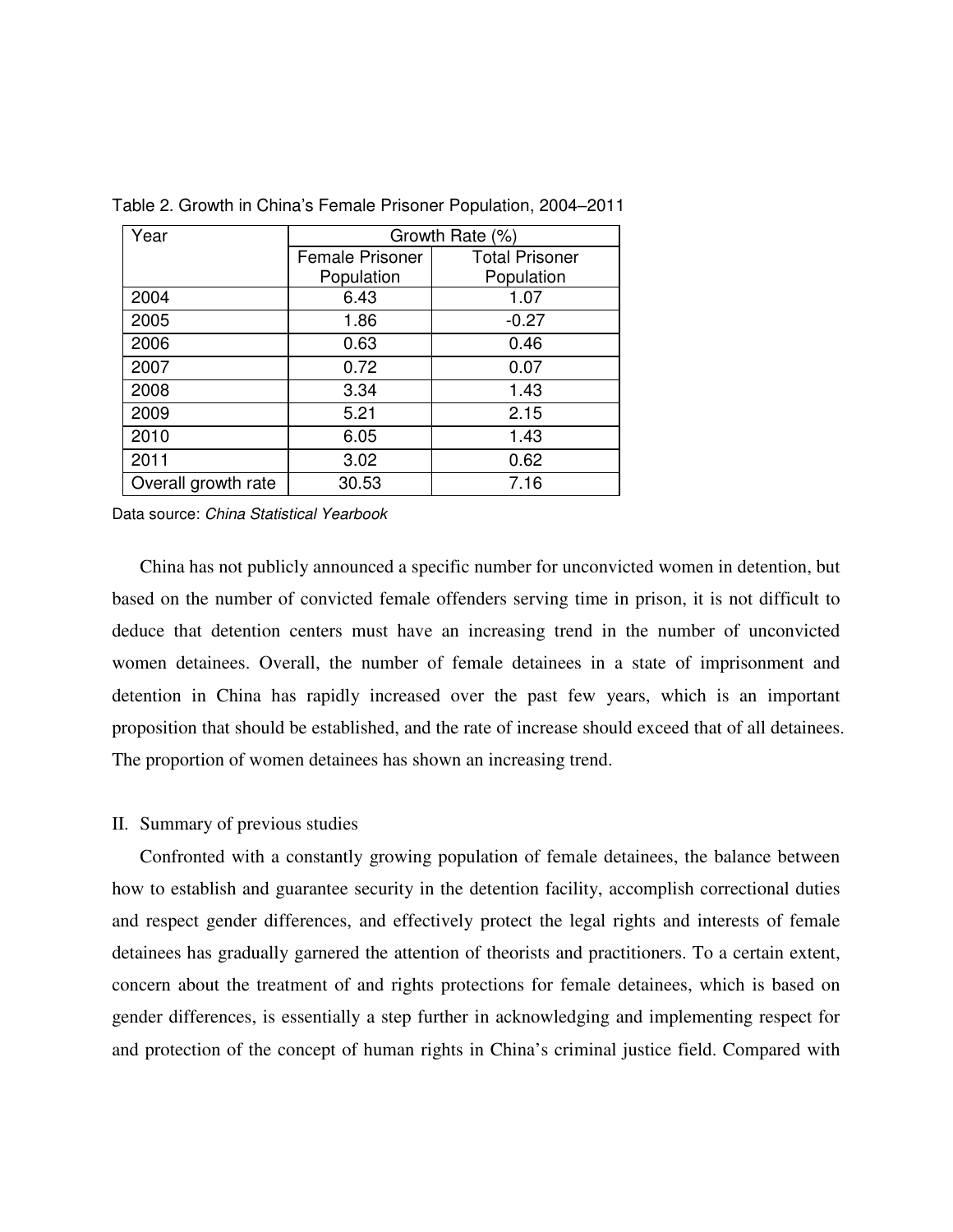| Year                | Growth Rate (%)        |                       |  |
|---------------------|------------------------|-----------------------|--|
|                     | <b>Female Prisoner</b> | <b>Total Prisoner</b> |  |
|                     | Population             | Population            |  |
| 2004                | 6.43                   | 1.07                  |  |
| 2005                | 1.86                   | $-0.27$               |  |
| 2006                | 0.63                   | 0.46                  |  |
| 2007                | 0.72                   | 0.07                  |  |
| 2008                | 3.34                   | 1.43                  |  |
| 2009                | 5.21                   | 2.15                  |  |
| 2010                | 6.05                   | 1.43                  |  |
| 2011                | 3.02                   | 0.62                  |  |
| Overall growth rate | 30.53                  | 7.16                  |  |

Table 2. Growth in China's Female Prisoner Population, 2004–2011

Data source: China Statistical Yearbook

China has not publicly announced a specific number for unconvicted women in detention, but based on the number of convicted female offenders serving time in prison, it is not difficult to deduce that detention centers must have an increasing trend in the number of unconvicted women detainees. Overall, the number of female detainees in a state of imprisonment and detention in China has rapidly increased over the past few years, which is an important proposition that should be established, and the rate of increase should exceed that of all detainees. The proportion of women detainees has shown an increasing trend.

#### II. Summary of previous studies

Confronted with a constantly growing population of female detainees, the balance between how to establish and guarantee security in the detention facility, accomplish correctional duties and respect gender differences, and effectively protect the legal rights and interests of female detainees has gradually garnered the attention of theorists and practitioners. To a certain extent, concern about the treatment of and rights protections for female detainees, which is based on gender differences, is essentially a step further in acknowledging and implementing respect for and protection of the concept of human rights in China's criminal justice field. Compared with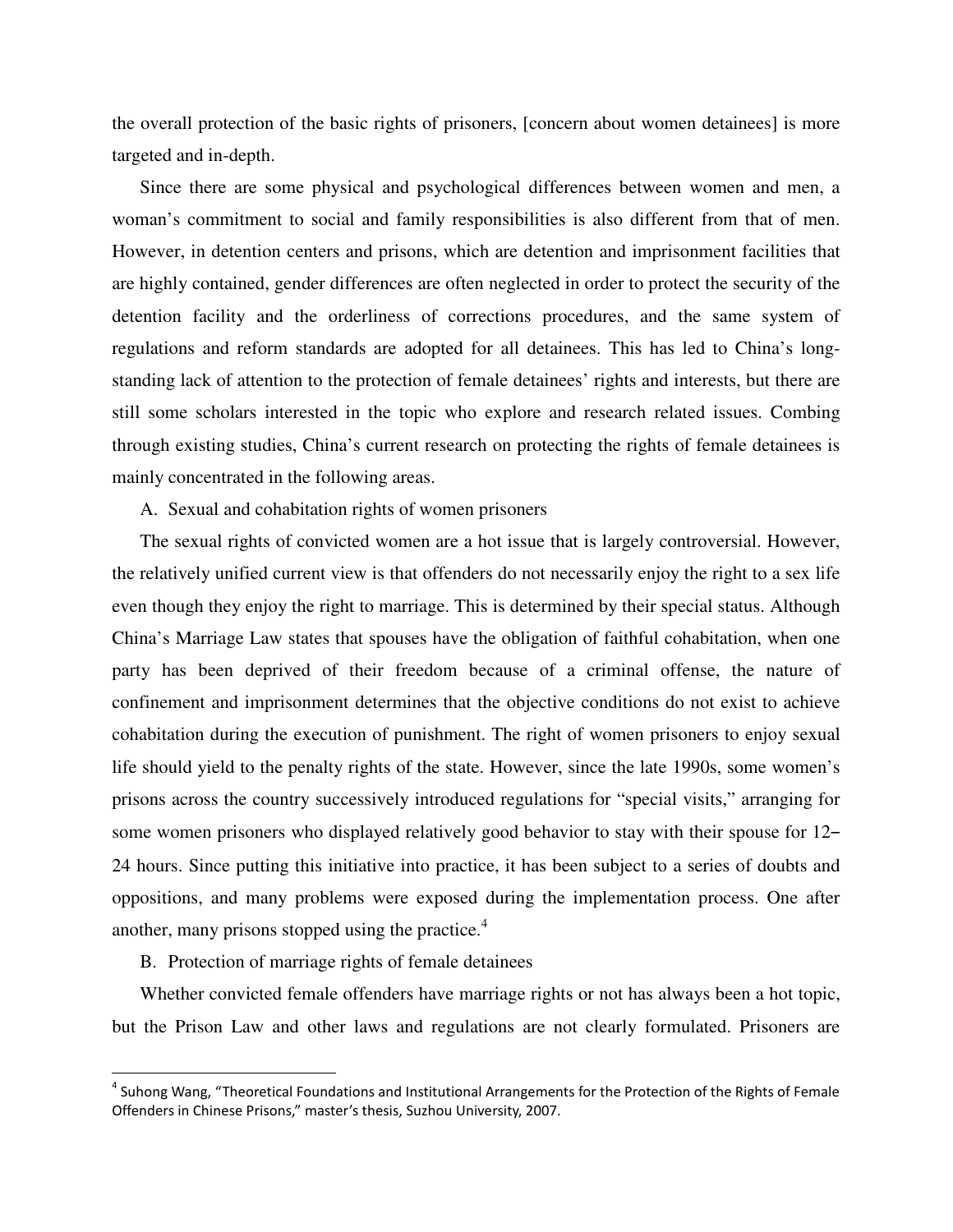the overall protection of the basic rights of prisoners, [concern about women detainees] is more targeted and in-depth.

Since there are some physical and psychological differences between women and men, a woman's commitment to social and family responsibilities is also different from that of men. However, in detention centers and prisons, which are detention and imprisonment facilities that are highly contained, gender differences are often neglected in order to protect the security of the detention facility and the orderliness of corrections procedures, and the same system of regulations and reform standards are adopted for all detainees. This has led to China's longstanding lack of attention to the protection of female detainees' rights and interests, but there are still some scholars interested in the topic who explore and research related issues. Combing through existing studies, China's current research on protecting the rights of female detainees is mainly concentrated in the following areas.

A. Sexual and cohabitation rights of women prisoners

The sexual rights of convicted women are a hot issue that is largely controversial. However, the relatively unified current view is that offenders do not necessarily enjoy the right to a sex life even though they enjoy the right to marriage. This is determined by their special status. Although China's Marriage Law states that spouses have the obligation of faithful cohabitation, when one party has been deprived of their freedom because of a criminal offense, the nature of confinement and imprisonment determines that the objective conditions do not exist to achieve cohabitation during the execution of punishment. The right of women prisoners to enjoy sexual life should yield to the penalty rights of the state. However, since the late 1990s, some women's prisons across the country successively introduced regulations for "special visits," arranging for some women prisoners who displayed relatively good behavior to stay with their spouse for 12– 24 hours. Since putting this initiative into practice, it has been subject to a series of doubts and oppositions, and many problems were exposed during the implementation process. One after another, many prisons stopped using the practice.<sup>4</sup>

B. Protection of marriage rights of female detainees

 $\overline{a}$ 

Whether convicted female offenders have marriage rights or not has always been a hot topic, but the Prison Law and other laws and regulations are not clearly formulated. Prisoners are

<sup>&</sup>lt;sup>4</sup> Suhong Wang, "Theoretical Foundations and Institutional Arrangements for the Protection of the Rights of Female Offenders in Chinese Prisons," master's thesis, Suzhou University, 2007.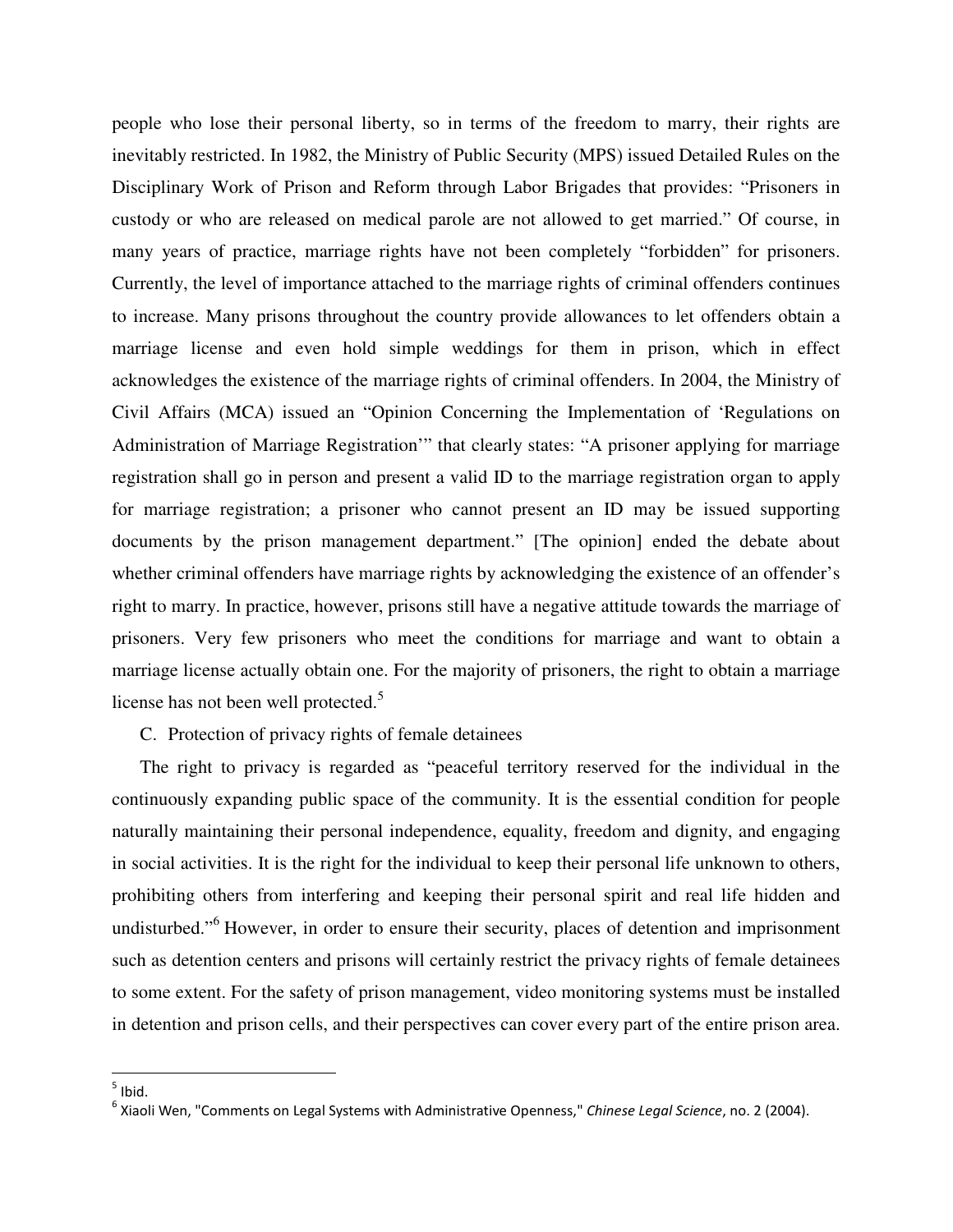people who lose their personal liberty, so in terms of the freedom to marry, their rights are inevitably restricted. In 1982, the Ministry of Public Security (MPS) issued Detailed Rules on the Disciplinary Work of Prison and Reform through Labor Brigades that provides: "Prisoners in custody or who are released on medical parole are not allowed to get married." Of course, in many years of practice, marriage rights have not been completely "forbidden" for prisoners. Currently, the level of importance attached to the marriage rights of criminal offenders continues to increase. Many prisons throughout the country provide allowances to let offenders obtain a marriage license and even hold simple weddings for them in prison, which in effect acknowledges the existence of the marriage rights of criminal offenders. In 2004, the Ministry of Civil Affairs (MCA) issued an "Opinion Concerning the Implementation of 'Regulations on Administration of Marriage Registration'" that clearly states: "A prisoner applying for marriage registration shall go in person and present a valid ID to the marriage registration organ to apply for marriage registration; a prisoner who cannot present an ID may be issued supporting documents by the prison management department." [The opinion] ended the debate about whether criminal offenders have marriage rights by acknowledging the existence of an offender's right to marry. In practice, however, prisons still have a negative attitude towards the marriage of prisoners. Very few prisoners who meet the conditions for marriage and want to obtain a marriage license actually obtain one. For the majority of prisoners, the right to obtain a marriage license has not been well protected.<sup>5</sup>

C. Protection of privacy rights of female detainees

The right to privacy is regarded as "peaceful territory reserved for the individual in the continuously expanding public space of the community. It is the essential condition for people naturally maintaining their personal independence, equality, freedom and dignity, and engaging in social activities. It is the right for the individual to keep their personal life unknown to others, prohibiting others from interfering and keeping their personal spirit and real life hidden and undisturbed."<sup>6</sup> However, in order to ensure their security, places of detention and imprisonment such as detention centers and prisons will certainly restrict the privacy rights of female detainees to some extent. For the safety of prison management, video monitoring systems must be installed in detention and prison cells, and their perspectives can cover every part of the entire prison area.

 $\frac{1}{5}$  Ibid.

<sup>&</sup>lt;sup>6</sup> Xiaoli Wen, "Comments on Legal Systems with Administrative Openness," Chinese Legal Science, no. 2 (2004).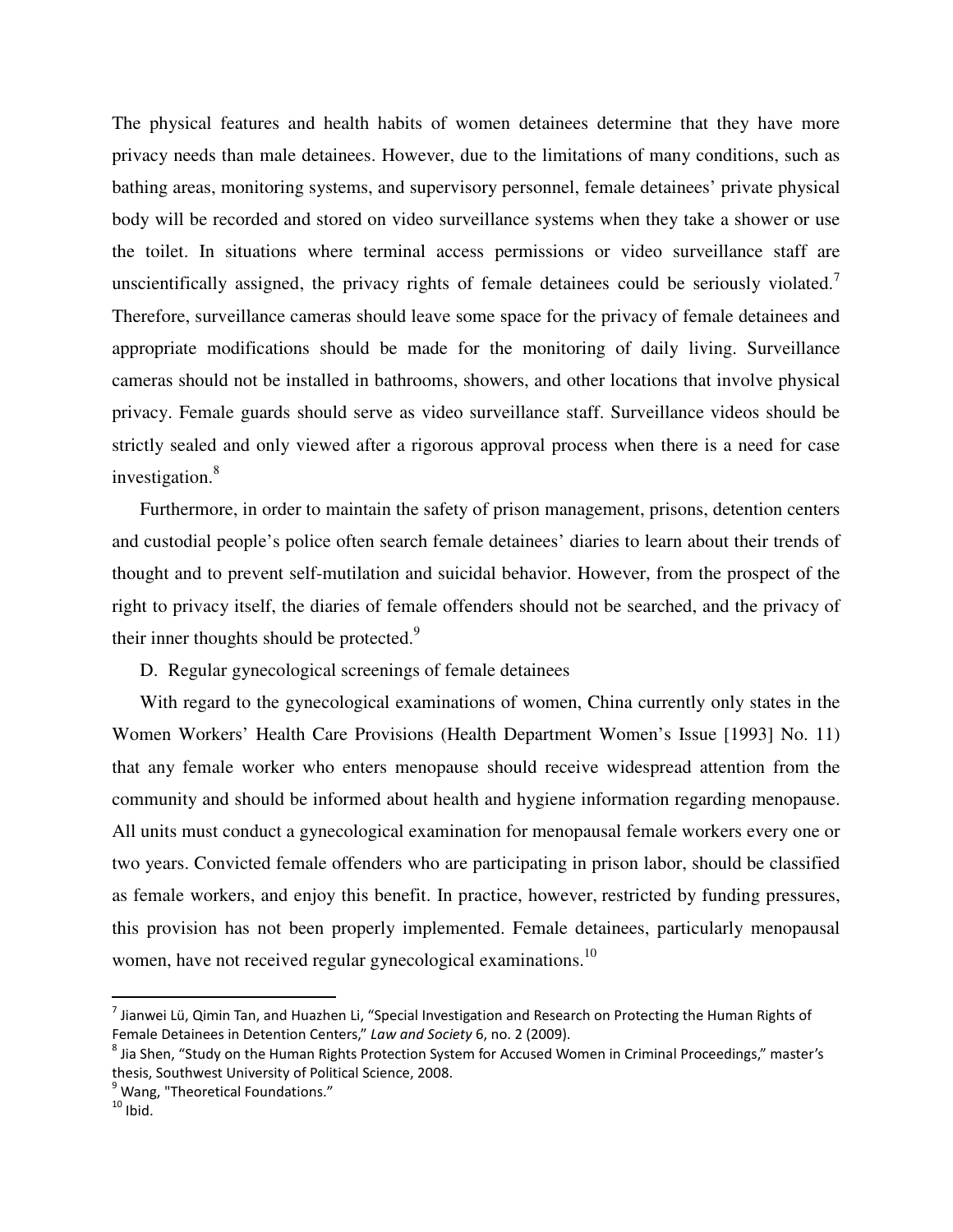The physical features and health habits of women detainees determine that they have more privacy needs than male detainees. However, due to the limitations of many conditions, such as bathing areas, monitoring systems, and supervisory personnel, female detainees' private physical body will be recorded and stored on video surveillance systems when they take a shower or use the toilet. In situations where terminal access permissions or video surveillance staff are unscientifically assigned, the privacy rights of female detainees could be seriously violated.<sup>7</sup> Therefore, surveillance cameras should leave some space for the privacy of female detainees and appropriate modifications should be made for the monitoring of daily living. Surveillance cameras should not be installed in bathrooms, showers, and other locations that involve physical privacy. Female guards should serve as video surveillance staff. Surveillance videos should be strictly sealed and only viewed after a rigorous approval process when there is a need for case investigation.<sup>8</sup>

Furthermore, in order to maintain the safety of prison management, prisons, detention centers and custodial people's police often search female detainees' diaries to learn about their trends of thought and to prevent self-mutilation and suicidal behavior. However, from the prospect of the right to privacy itself, the diaries of female offenders should not be searched, and the privacy of their inner thoughts should be protected. $9$ 

D. Regular gynecological screenings of female detainees

With regard to the gynecological examinations of women, China currently only states in the Women Workers' Health Care Provisions (Health Department Women's Issue [1993] No. 11) that any female worker who enters menopause should receive widespread attention from the community and should be informed about health and hygiene information regarding menopause. All units must conduct a gynecological examination for menopausal female workers every one or two years. Convicted female offenders who are participating in prison labor, should be classified as female workers, and enjoy this benefit. In practice, however, restricted by funding pressures, this provision has not been properly implemented. Female detainees, particularly menopausal women, have not received regular gynecological examinations.<sup>10</sup>

<sup>&</sup>lt;sup>7</sup> Jianwei Lü, Qimin Tan, and Huazhen Li, "Special Investigation and Research on Protecting the Human Rights of Female Detainees in Detention Centers," Law and Society 6, no. 2 (2009).

<sup>&</sup>lt;sup>8</sup> Jia Shen, "Study on the Human Rights Protection System for Accused Women in Criminal Proceedings," master's thesis, Southwest University of Political Science, 2008.

<sup>&</sup>lt;sup>9</sup> Wang, "Theoretical Foundations."

 $10$  Ibid.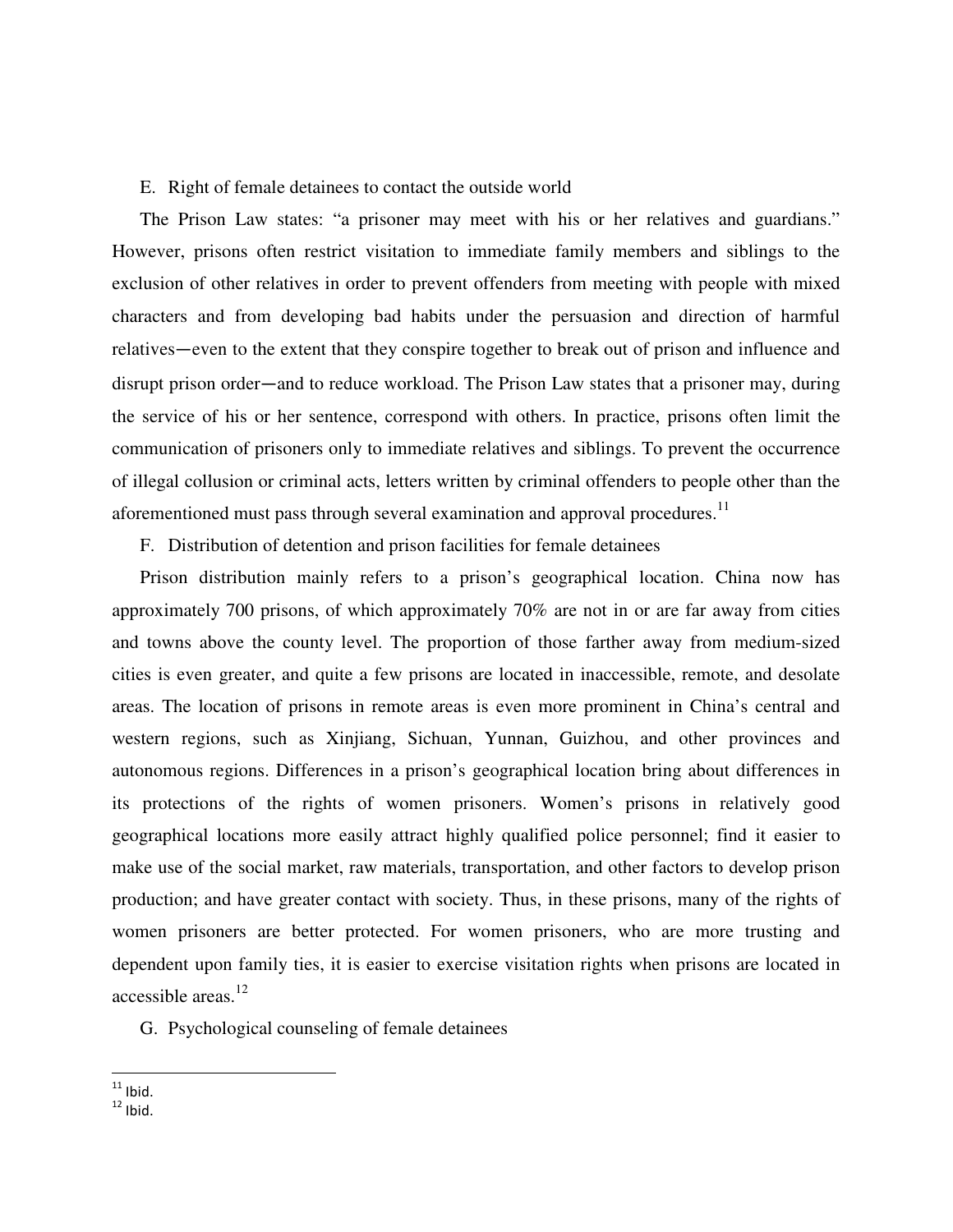# E. Right of female detainees to contact the outside world

The Prison Law states: "a prisoner may meet with his or her relatives and guardians." However, prisons often restrict visitation to immediate family members and siblings to the exclusion of other relatives in order to prevent offenders from meeting with people with mixed characters and from developing bad habits under the persuasion and direction of harmful relatives—even to the extent that they conspire together to break out of prison and influence and disrupt prison order—and to reduce workload. The Prison Law states that a prisoner may, during the service of his or her sentence, correspond with others. In practice, prisons often limit the communication of prisoners only to immediate relatives and siblings. To prevent the occurrence of illegal collusion or criminal acts, letters written by criminal offenders to people other than the aforementioned must pass through several examination and approval procedures.<sup>11</sup>

F. Distribution of detention and prison facilities for female detainees

Prison distribution mainly refers to a prison's geographical location. China now has approximately 700 prisons, of which approximately 70% are not in or are far away from cities and towns above the county level. The proportion of those farther away from medium-sized cities is even greater, and quite a few prisons are located in inaccessible, remote, and desolate areas. The location of prisons in remote areas is even more prominent in China's central and western regions, such as Xinjiang, Sichuan, Yunnan, Guizhou, and other provinces and autonomous regions. Differences in a prison's geographical location bring about differences in its protections of the rights of women prisoners. Women's prisons in relatively good geographical locations more easily attract highly qualified police personnel; find it easier to make use of the social market, raw materials, transportation, and other factors to develop prison production; and have greater contact with society. Thus, in these prisons, many of the rights of women prisoners are better protected. For women prisoners, who are more trusting and dependent upon family ties, it is easier to exercise visitation rights when prisons are located in accessible areas.<sup>12</sup>

G. Psychological counseling of female detainees

 $\overline{a}$  $11$  Ibid.

 $12$  Ibid.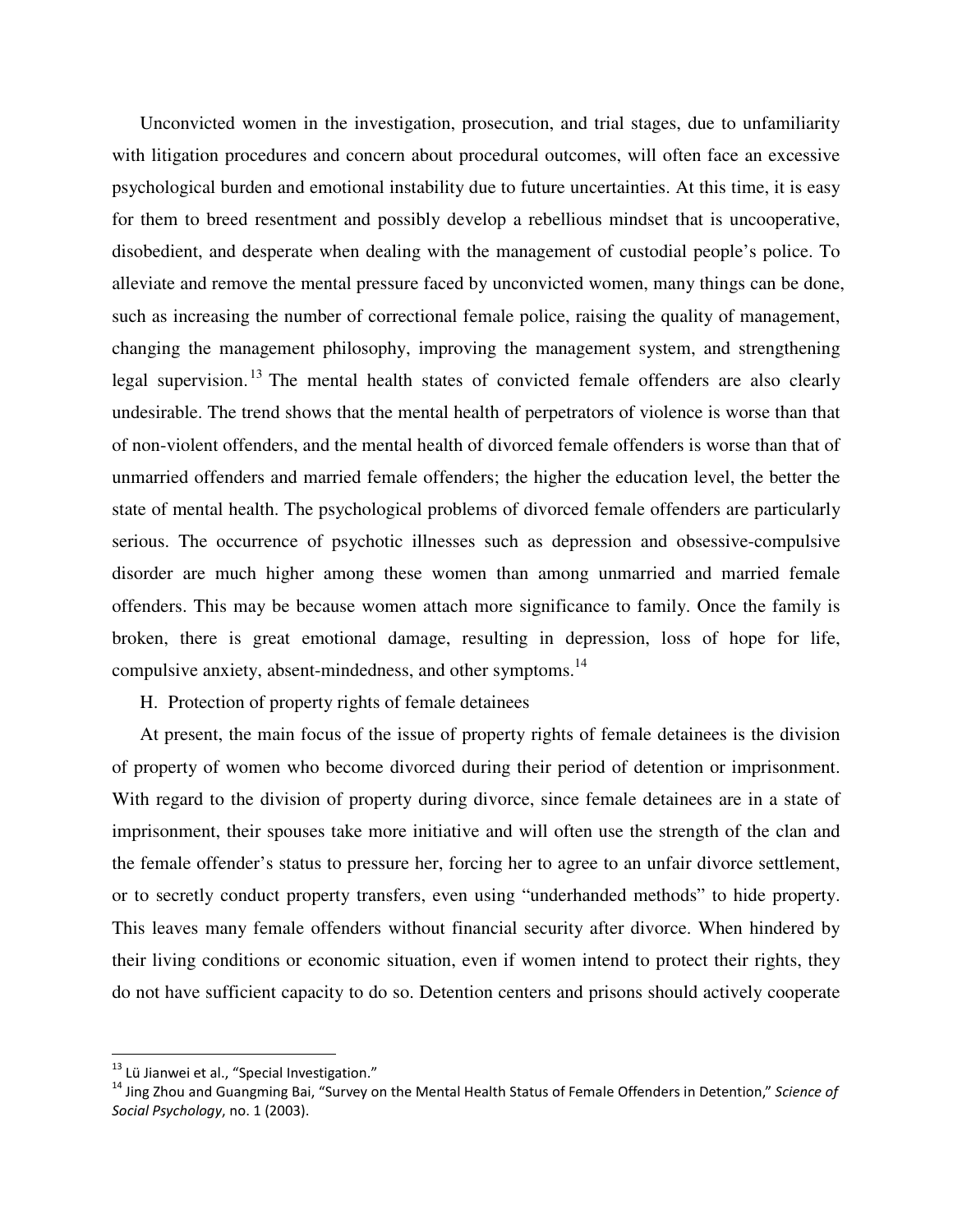Unconvicted women in the investigation, prosecution, and trial stages, due to unfamiliarity with litigation procedures and concern about procedural outcomes, will often face an excessive psychological burden and emotional instability due to future uncertainties. At this time, it is easy for them to breed resentment and possibly develop a rebellious mindset that is uncooperative, disobedient, and desperate when dealing with the management of custodial people's police. To alleviate and remove the mental pressure faced by unconvicted women, many things can be done, such as increasing the number of correctional female police, raising the quality of management, changing the management philosophy, improving the management system, and strengthening legal supervision.<sup>13</sup> The mental health states of convicted female offenders are also clearly undesirable. The trend shows that the mental health of perpetrators of violence is worse than that of non-violent offenders, and the mental health of divorced female offenders is worse than that of unmarried offenders and married female offenders; the higher the education level, the better the state of mental health. The psychological problems of divorced female offenders are particularly serious. The occurrence of psychotic illnesses such as depression and obsessive-compulsive disorder are much higher among these women than among unmarried and married female offenders. This may be because women attach more significance to family. Once the family is broken, there is great emotional damage, resulting in depression, loss of hope for life, compulsive anxiety, absent-mindedness, and other symptoms.<sup>14</sup>

H. Protection of property rights of female detainees

At present, the main focus of the issue of property rights of female detainees is the division of property of women who become divorced during their period of detention or imprisonment. With regard to the division of property during divorce, since female detainees are in a state of imprisonment, their spouses take more initiative and will often use the strength of the clan and the female offender's status to pressure her, forcing her to agree to an unfair divorce settlement, or to secretly conduct property transfers, even using "underhanded methods" to hide property. This leaves many female offenders without financial security after divorce. When hindered by their living conditions or economic situation, even if women intend to protect their rights, they do not have sufficient capacity to do so. Detention centers and prisons should actively cooperate

 $^{13}$  Lü Jianwei et al., "Special Investigation."

 $14$  Jing Zhou and Guangming Bai, "Survey on the Mental Health Status of Female Offenders in Detention," Science of Social Psychology, no. 1 (2003).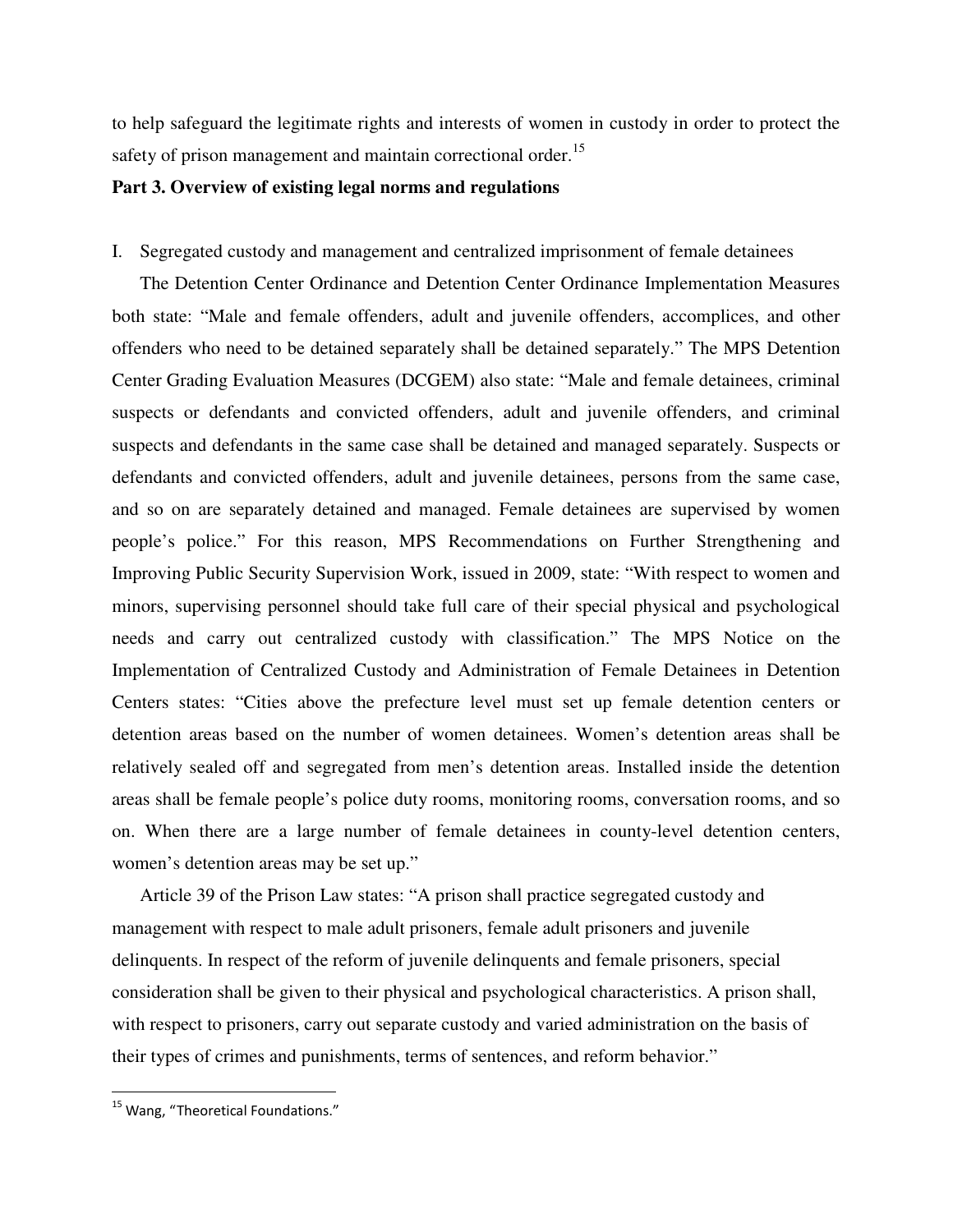to help safeguard the legitimate rights and interests of women in custody in order to protect the safety of prison management and maintain correctional order.<sup>15</sup>

# **Part 3. Overview of existing legal norms and regulations**

# I. Segregated custody and management and centralized imprisonment of female detainees

The Detention Center Ordinance and Detention Center Ordinance Implementation Measures both state: "Male and female offenders, adult and juvenile offenders, accomplices, and other offenders who need to be detained separately shall be detained separately." The MPS Detention Center Grading Evaluation Measures (DCGEM) also state: "Male and female detainees, criminal suspects or defendants and convicted offenders, adult and juvenile offenders, and criminal suspects and defendants in the same case shall be detained and managed separately. Suspects or defendants and convicted offenders, adult and juvenile detainees, persons from the same case, and so on are separately detained and managed. Female detainees are supervised by women people's police." For this reason, MPS Recommendations on Further Strengthening and Improving Public Security Supervision Work, issued in 2009, state: "With respect to women and minors, supervising personnel should take full care of their special physical and psychological needs and carry out centralized custody with classification." The MPS Notice on the Implementation of Centralized Custody and Administration of Female Detainees in Detention Centers states: "Cities above the prefecture level must set up female detention centers or detention areas based on the number of women detainees. Women's detention areas shall be relatively sealed off and segregated from men's detention areas. Installed inside the detention areas shall be female people's police duty rooms, monitoring rooms, conversation rooms, and so on. When there are a large number of female detainees in county-level detention centers, women's detention areas may be set up."

Article 39 of the Prison Law states: "A prison shall practice segregated custody and management with respect to male adult prisoners, female adult prisoners and juvenile delinquents. In respect of the reform of juvenile delinquents and female prisoners, special consideration shall be given to their physical and psychological characteristics. A prison shall, with respect to prisoners, carry out separate custody and varied administration on the basis of their types of crimes and punishments, terms of sentences, and reform behavior."

<sup>&</sup>lt;sup>15</sup> Wang, "Theoretical Foundations."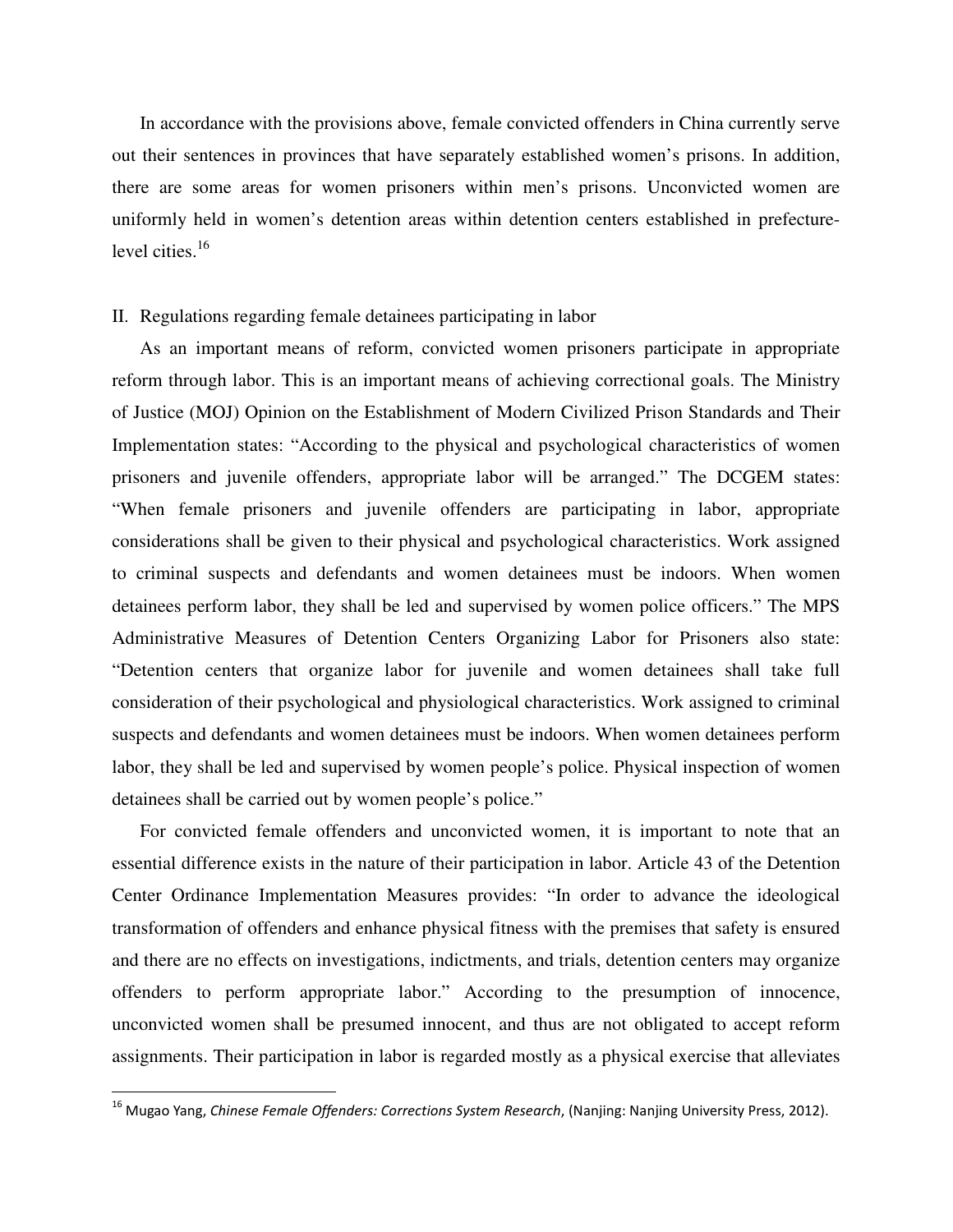In accordance with the provisions above, female convicted offenders in China currently serve out their sentences in provinces that have separately established women's prisons. In addition, there are some areas for women prisoners within men's prisons. Unconvicted women are uniformly held in women's detention areas within detention centers established in prefecturelevel cities.<sup>16</sup>

#### II. Regulations regarding female detainees participating in labor

As an important means of reform, convicted women prisoners participate in appropriate reform through labor. This is an important means of achieving correctional goals. The Ministry of Justice (MOJ) Opinion on the Establishment of Modern Civilized Prison Standards and Their Implementation states: "According to the physical and psychological characteristics of women prisoners and juvenile offenders, appropriate labor will be arranged." The DCGEM states: "When female prisoners and juvenile offenders are participating in labor, appropriate considerations shall be given to their physical and psychological characteristics. Work assigned to criminal suspects and defendants and women detainees must be indoors. When women detainees perform labor, they shall be led and supervised by women police officers." The MPS Administrative Measures of Detention Centers Organizing Labor for Prisoners also state: "Detention centers that organize labor for juvenile and women detainees shall take full consideration of their psychological and physiological characteristics. Work assigned to criminal suspects and defendants and women detainees must be indoors. When women detainees perform labor, they shall be led and supervised by women people's police. Physical inspection of women detainees shall be carried out by women people's police."

For convicted female offenders and unconvicted women, it is important to note that an essential difference exists in the nature of their participation in labor. Article 43 of the Detention Center Ordinance Implementation Measures provides: "In order to advance the ideological transformation of offenders and enhance physical fitness with the premises that safety is ensured and there are no effects on investigations, indictments, and trials, detention centers may organize offenders to perform appropriate labor." According to the presumption of innocence, unconvicted women shall be presumed innocent, and thus are not obligated to accept reform assignments. Their participation in labor is regarded mostly as a physical exercise that alleviates

<sup>&</sup>lt;sup>16</sup> Mugao Yang, *Chinese Female Offenders: Corrections System Research*, (Nanjing: Nanjing University Press, 2012).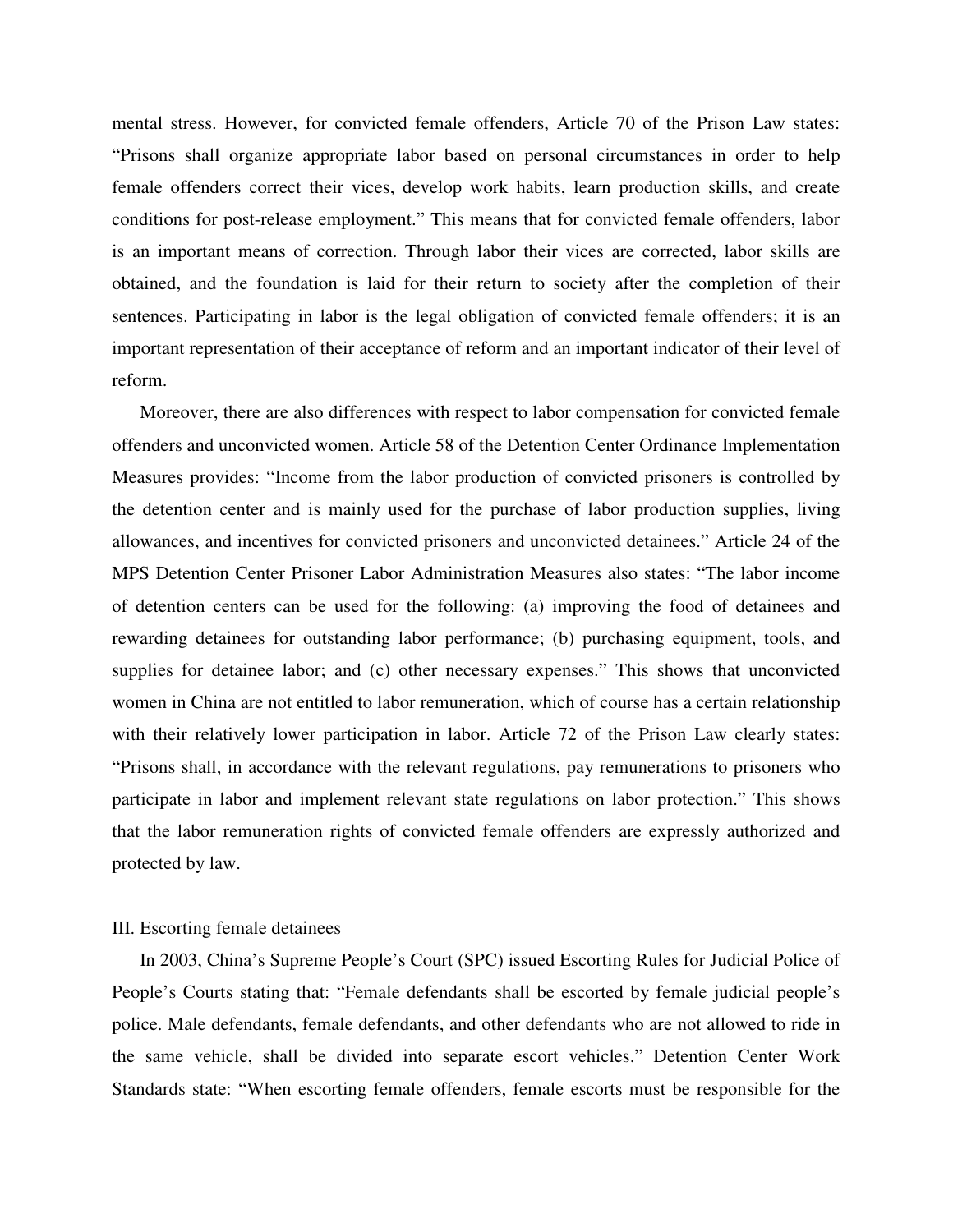mental stress. However, for convicted female offenders, Article 70 of the Prison Law states: "Prisons shall organize appropriate labor based on personal circumstances in order to help female offenders correct their vices, develop work habits, learn production skills, and create conditions for post-release employment." This means that for convicted female offenders, labor is an important means of correction. Through labor their vices are corrected, labor skills are obtained, and the foundation is laid for their return to society after the completion of their sentences. Participating in labor is the legal obligation of convicted female offenders; it is an important representation of their acceptance of reform and an important indicator of their level of reform.

Moreover, there are also differences with respect to labor compensation for convicted female offenders and unconvicted women. Article 58 of the Detention Center Ordinance Implementation Measures provides: "Income from the labor production of convicted prisoners is controlled by the detention center and is mainly used for the purchase of labor production supplies, living allowances, and incentives for convicted prisoners and unconvicted detainees." Article 24 of the MPS Detention Center Prisoner Labor Administration Measures also states: "The labor income of detention centers can be used for the following: (a) improving the food of detainees and rewarding detainees for outstanding labor performance; (b) purchasing equipment, tools, and supplies for detainee labor; and (c) other necessary expenses." This shows that unconvicted women in China are not entitled to labor remuneration, which of course has a certain relationship with their relatively lower participation in labor. Article 72 of the Prison Law clearly states: "Prisons shall, in accordance with the relevant regulations, pay remunerations to prisoners who participate in labor and implement relevant state regulations on labor protection." This shows that the labor remuneration rights of convicted female offenders are expressly authorized and protected by law.

#### III. Escorting female detainees

In 2003, China's Supreme People's Court (SPC) issued Escorting Rules for Judicial Police of People's Courts stating that: "Female defendants shall be escorted by female judicial people's police. Male defendants, female defendants, and other defendants who are not allowed to ride in the same vehicle, shall be divided into separate escort vehicles." Detention Center Work Standards state: "When escorting female offenders, female escorts must be responsible for the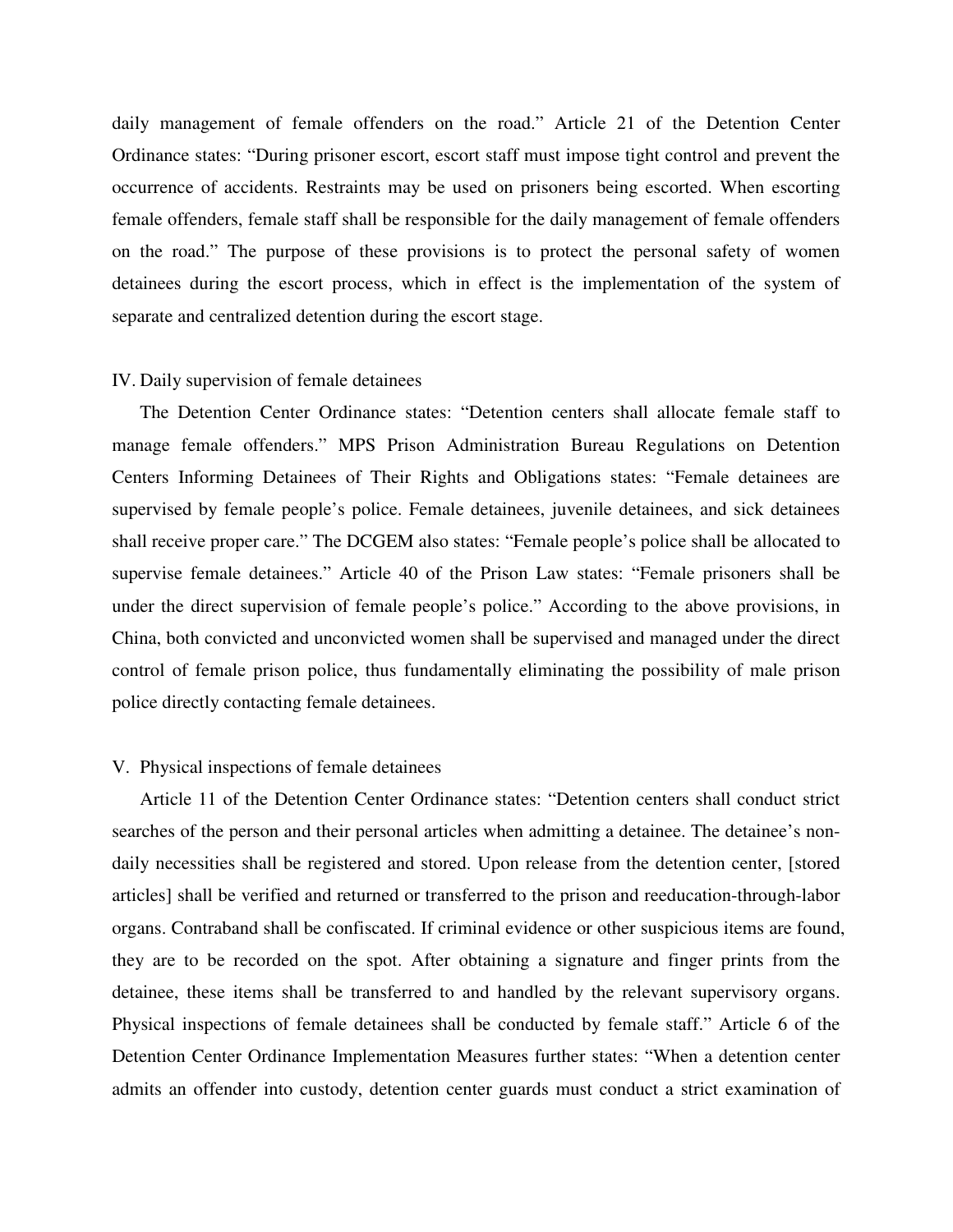daily management of female offenders on the road." Article 21 of the Detention Center Ordinance states: "During prisoner escort, escort staff must impose tight control and prevent the occurrence of accidents. Restraints may be used on prisoners being escorted. When escorting female offenders, female staff shall be responsible for the daily management of female offenders on the road." The purpose of these provisions is to protect the personal safety of women detainees during the escort process, which in effect is the implementation of the system of separate and centralized detention during the escort stage.

#### IV. Daily supervision of female detainees

The Detention Center Ordinance states: "Detention centers shall allocate female staff to manage female offenders." MPS Prison Administration Bureau Regulations on Detention Centers Informing Detainees of Their Rights and Obligations states: "Female detainees are supervised by female people's police. Female detainees, juvenile detainees, and sick detainees shall receive proper care." The DCGEM also states: "Female people's police shall be allocated to supervise female detainees." Article 40 of the Prison Law states: "Female prisoners shall be under the direct supervision of female people's police." According to the above provisions, in China, both convicted and unconvicted women shall be supervised and managed under the direct control of female prison police, thus fundamentally eliminating the possibility of male prison police directly contacting female detainees.

#### V. Physical inspections of female detainees

Article 11 of the Detention Center Ordinance states: "Detention centers shall conduct strict searches of the person and their personal articles when admitting a detainee. The detainee's nondaily necessities shall be registered and stored. Upon release from the detention center, [stored articles] shall be verified and returned or transferred to the prison and reeducation-through-labor organs. Contraband shall be confiscated. If criminal evidence or other suspicious items are found, they are to be recorded on the spot. After obtaining a signature and finger prints from the detainee, these items shall be transferred to and handled by the relevant supervisory organs. Physical inspections of female detainees shall be conducted by female staff." Article 6 of the Detention Center Ordinance Implementation Measures further states: "When a detention center admits an offender into custody, detention center guards must conduct a strict examination of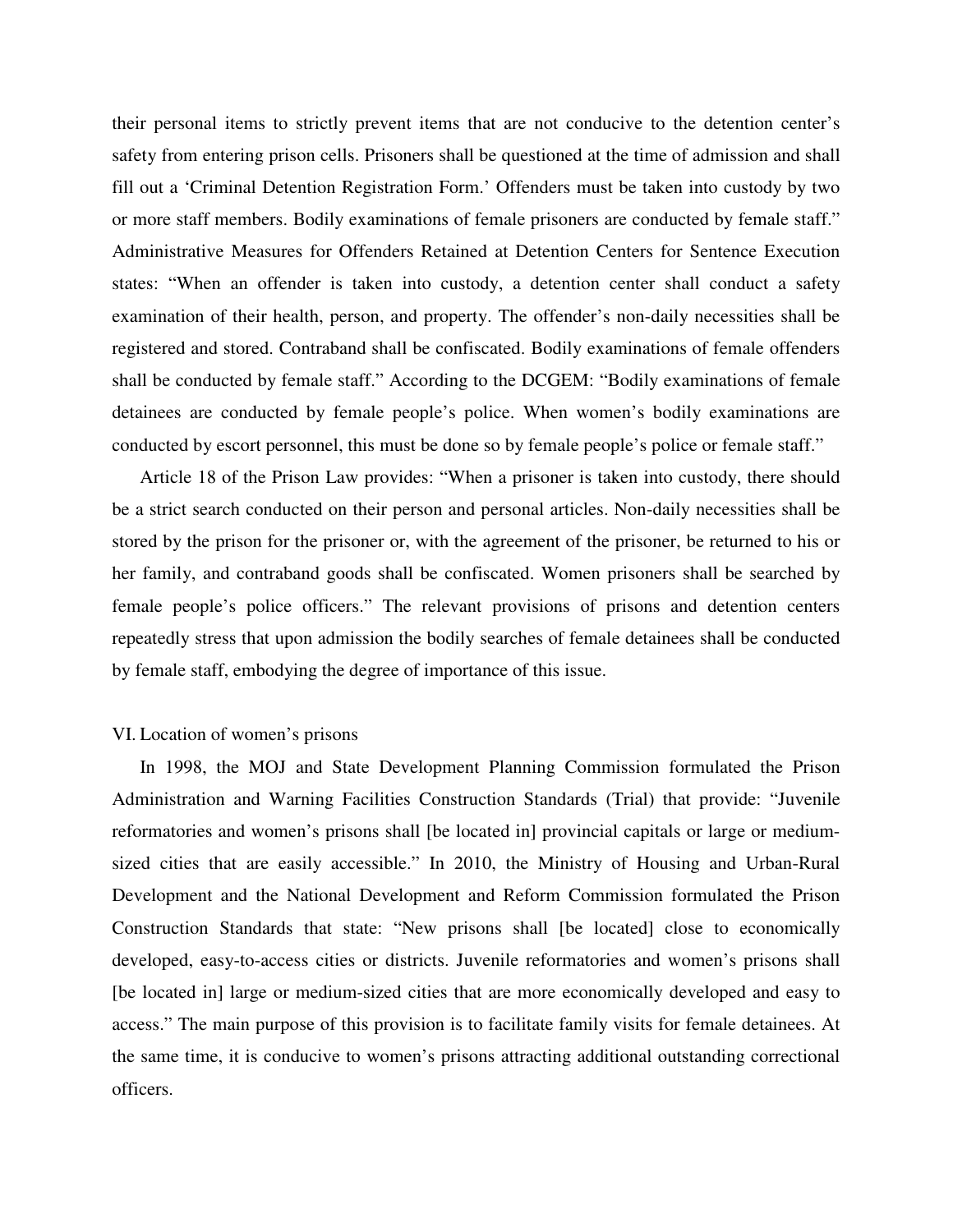their personal items to strictly prevent items that are not conducive to the detention center's safety from entering prison cells. Prisoners shall be questioned at the time of admission and shall fill out a 'Criminal Detention Registration Form.' Offenders must be taken into custody by two or more staff members. Bodily examinations of female prisoners are conducted by female staff." Administrative Measures for Offenders Retained at Detention Centers for Sentence Execution states: "When an offender is taken into custody, a detention center shall conduct a safety examination of their health, person, and property. The offender's non-daily necessities shall be registered and stored. Contraband shall be confiscated. Bodily examinations of female offenders shall be conducted by female staff." According to the DCGEM: "Bodily examinations of female detainees are conducted by female people's police. When women's bodily examinations are conducted by escort personnel, this must be done so by female people's police or female staff."

Article 18 of the Prison Law provides: "When a prisoner is taken into custody, there should be a strict search conducted on their person and personal articles. Non-daily necessities shall be stored by the prison for the prisoner or, with the agreement of the prisoner, be returned to his or her family, and contraband goods shall be confiscated. Women prisoners shall be searched by female people's police officers." The relevant provisions of prisons and detention centers repeatedly stress that upon admission the bodily searches of female detainees shall be conducted by female staff, embodying the degree of importance of this issue.

#### VI. Location of women's prisons

In 1998, the MOJ and State Development Planning Commission formulated the Prison Administration and Warning Facilities Construction Standards (Trial) that provide: "Juvenile reformatories and women's prisons shall [be located in] provincial capitals or large or mediumsized cities that are easily accessible." In 2010, the Ministry of Housing and Urban-Rural Development and the National Development and Reform Commission formulated the Prison Construction Standards that state: "New prisons shall [be located] close to economically developed, easy-to-access cities or districts. Juvenile reformatories and women's prisons shall [be located in] large or medium-sized cities that are more economically developed and easy to access." The main purpose of this provision is to facilitate family visits for female detainees. At the same time, it is conducive to women's prisons attracting additional outstanding correctional officers.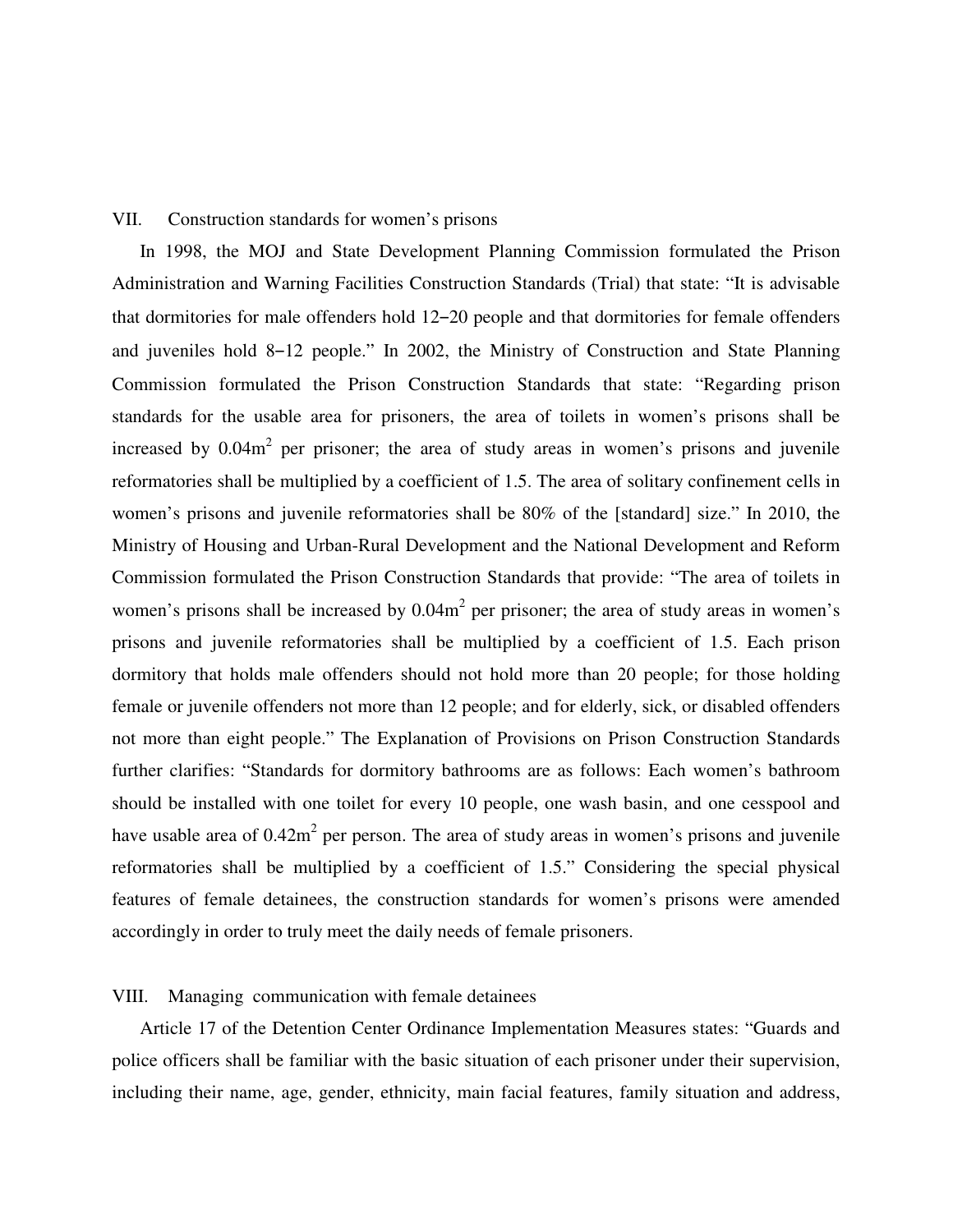#### VII. Construction standards for women's prisons

In 1998, the MOJ and State Development Planning Commission formulated the Prison Administration and Warning Facilities Construction Standards (Trial) that state: "It is advisable that dormitories for male offenders hold 12–20 people and that dormitories for female offenders and juveniles hold 8–12 people." In 2002, the Ministry of Construction and State Planning Commission formulated the Prison Construction Standards that state: "Regarding prison standards for the usable area for prisoners, the area of toilets in women's prisons shall be increased by  $0.04m<sup>2</sup>$  per prisoner; the area of study areas in women's prisons and juvenile reformatories shall be multiplied by a coefficient of 1.5. The area of solitary confinement cells in women's prisons and juvenile reformatories shall be 80% of the [standard] size." In 2010, the Ministry of Housing and Urban-Rural Development and the National Development and Reform Commission formulated the Prison Construction Standards that provide: "The area of toilets in women's prisons shall be increased by  $0.04m<sup>2</sup>$  per prisoner; the area of study areas in women's prisons and juvenile reformatories shall be multiplied by a coefficient of 1.5. Each prison dormitory that holds male offenders should not hold more than 20 people; for those holding female or juvenile offenders not more than 12 people; and for elderly, sick, or disabled offenders not more than eight people." The Explanation of Provisions on Prison Construction Standards further clarifies: "Standards for dormitory bathrooms are as follows: Each women's bathroom should be installed with one toilet for every 10 people, one wash basin, and one cesspool and have usable area of  $0.42m<sup>2</sup>$  per person. The area of study areas in women's prisons and juvenile reformatories shall be multiplied by a coefficient of 1.5." Considering the special physical features of female detainees, the construction standards for women's prisons were amended accordingly in order to truly meet the daily needs of female prisoners.

# VIII. Managing communication with female detainees

Article 17 of the Detention Center Ordinance Implementation Measures states: "Guards and police officers shall be familiar with the basic situation of each prisoner under their supervision, including their name, age, gender, ethnicity, main facial features, family situation and address,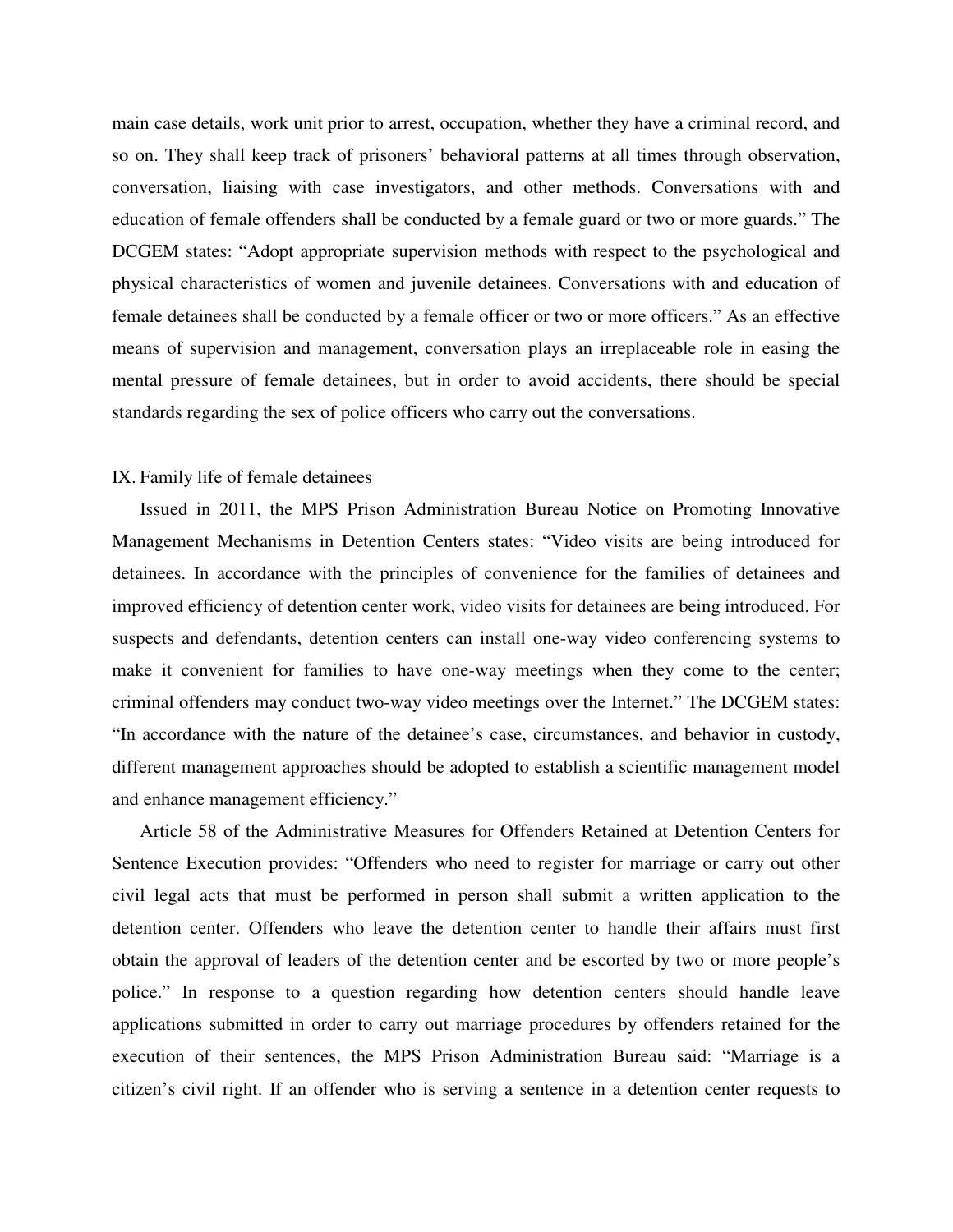main case details, work unit prior to arrest, occupation, whether they have a criminal record, and so on. They shall keep track of prisoners' behavioral patterns at all times through observation, conversation, liaising with case investigators, and other methods. Conversations with and education of female offenders shall be conducted by a female guard or two or more guards." The DCGEM states: "Adopt appropriate supervision methods with respect to the psychological and physical characteristics of women and juvenile detainees. Conversations with and education of female detainees shall be conducted by a female officer or two or more officers." As an effective means of supervision and management, conversation plays an irreplaceable role in easing the mental pressure of female detainees, but in order to avoid accidents, there should be special standards regarding the sex of police officers who carry out the conversations.

## IX. Family life of female detainees

Issued in 2011, the MPS Prison Administration Bureau Notice on Promoting Innovative Management Mechanisms in Detention Centers states: "Video visits are being introduced for detainees. In accordance with the principles of convenience for the families of detainees and improved efficiency of detention center work, video visits for detainees are being introduced. For suspects and defendants, detention centers can install one-way video conferencing systems to make it convenient for families to have one-way meetings when they come to the center; criminal offenders may conduct two-way video meetings over the Internet." The DCGEM states: "In accordance with the nature of the detainee's case, circumstances, and behavior in custody, different management approaches should be adopted to establish a scientific management model and enhance management efficiency."

Article 58 of the Administrative Measures for Offenders Retained at Detention Centers for Sentence Execution provides: "Offenders who need to register for marriage or carry out other civil legal acts that must be performed in person shall submit a written application to the detention center. Offenders who leave the detention center to handle their affairs must first obtain the approval of leaders of the detention center and be escorted by two or more people's police." In response to a question regarding how detention centers should handle leave applications submitted in order to carry out marriage procedures by offenders retained for the execution of their sentences, the MPS Prison Administration Bureau said: "Marriage is a citizen's civil right. If an offender who is serving a sentence in a detention center requests to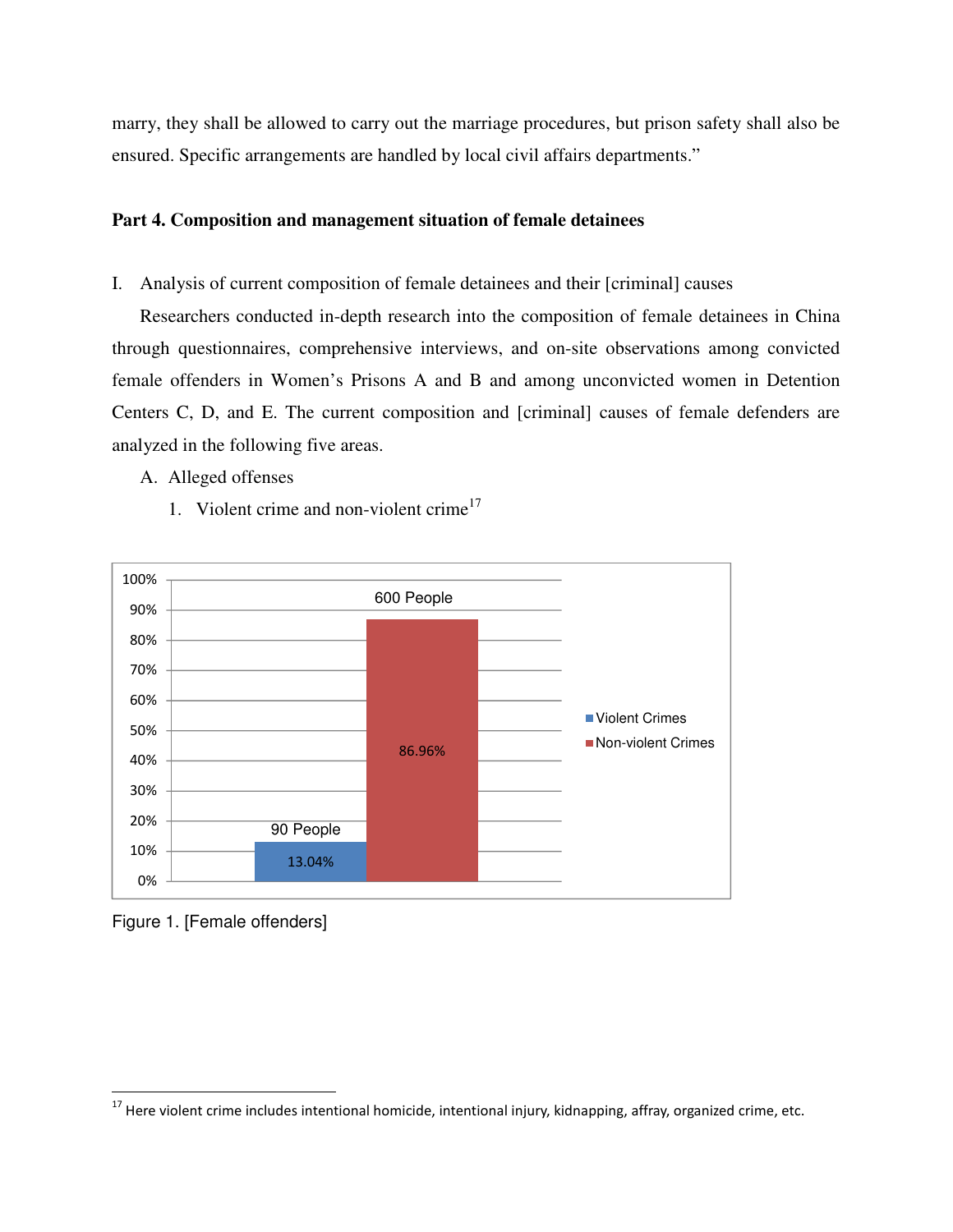marry, they shall be allowed to carry out the marriage procedures, but prison safety shall also be ensured. Specific arrangements are handled by local civil affairs departments."

# **Part 4. Composition and management situation of female detainees**

I. Analysis of current composition of female detainees and their [criminal] causes

Researchers conducted in-depth research into the composition of female detainees in China through questionnaires, comprehensive interviews, and on-site observations among convicted female offenders in Women's Prisons A and B and among unconvicted women in Detention Centers C, D, and E. The current composition and [criminal] causes of female defenders are analyzed in the following five areas.

A. Alleged offenses

1. Violent crime and non-violent crime $17$ 



Figure 1. [Female offenders]

 $^{17}$  Here violent crime includes intentional homicide, intentional injury, kidnapping, affray, organized crime, etc.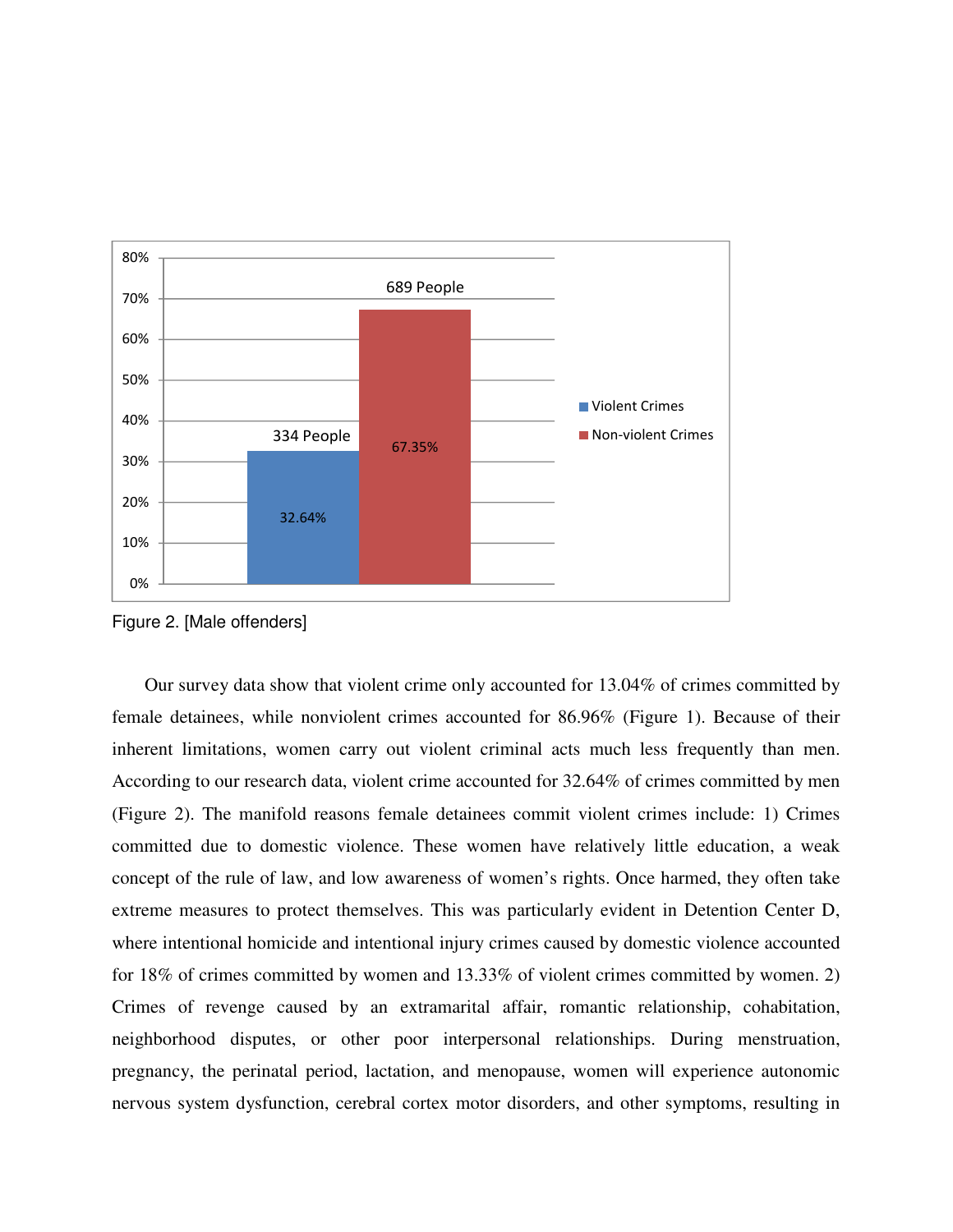

Figure 2. [Male offenders]

Our survey data show that violent crime only accounted for 13.04% of crimes committed by female detainees, while nonviolent crimes accounted for 86.96% (Figure 1). Because of their inherent limitations, women carry out violent criminal acts much less frequently than men. According to our research data, violent crime accounted for 32.64% of crimes committed by men (Figure 2). The manifold reasons female detainees commit violent crimes include: 1) Crimes committed due to domestic violence. These women have relatively little education, a weak concept of the rule of law, and low awareness of women's rights. Once harmed, they often take extreme measures to protect themselves. This was particularly evident in Detention Center D, where intentional homicide and intentional injury crimes caused by domestic violence accounted for 18% of crimes committed by women and 13.33% of violent crimes committed by women. 2) Crimes of revenge caused by an extramarital affair, romantic relationship, cohabitation, neighborhood disputes, or other poor interpersonal relationships. During menstruation, pregnancy, the perinatal period, lactation, and menopause, women will experience autonomic nervous system dysfunction, cerebral cortex motor disorders, and other symptoms, resulting in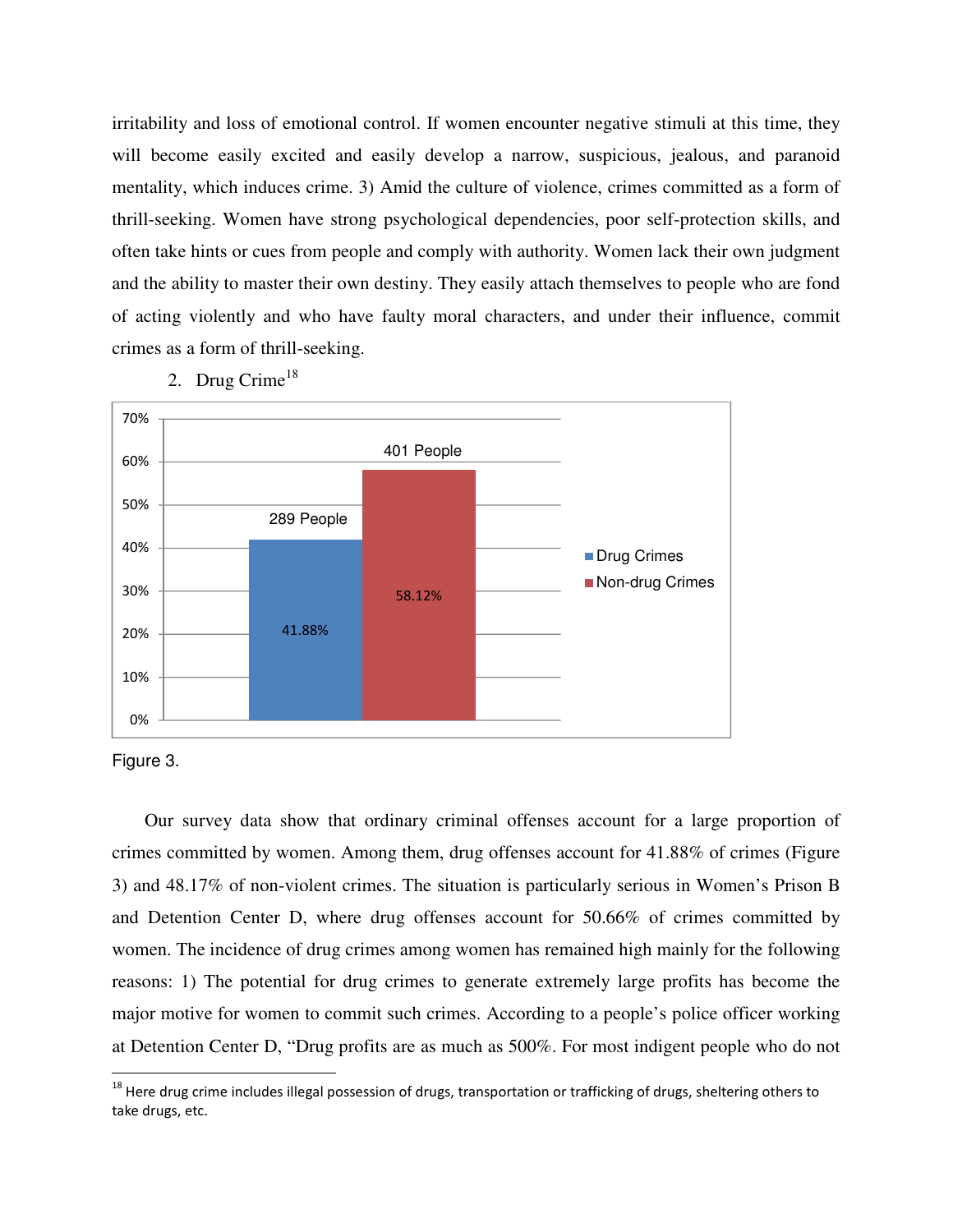irritability and loss of emotional control. If women encounter negative stimuli at this time, they will become easily excited and easily develop a narrow, suspicious, jealous, and paranoid mentality, which induces crime. 3) Amid the culture of violence, crimes committed as a form of thrill-seeking. Women have strong psychological dependencies, poor self-protection skills, and often take hints or cues from people and comply with authority. Women lack their own judgment and the ability to master their own destiny. They easily attach themselves to people who are fond of acting violently and who have faulty moral characters, and under their influence, commit crimes as a form of thrill-seeking.



2. Drug Crime<sup>18</sup>



 $\overline{a}$ 

Our survey data show that ordinary criminal offenses account for a large proportion of crimes committed by women. Among them, drug offenses account for 41.88% of crimes (Figure 3) and 48.17% of non-violent crimes. The situation is particularly serious in Women's Prison B and Detention Center D, where drug offenses account for 50.66% of crimes committed by women. The incidence of drug crimes among women has remained high mainly for the following reasons: 1) The potential for drug crimes to generate extremely large profits has become the major motive for women to commit such crimes. According to a people's police officer working at Detention Center D, "Drug profits are as much as 500%. For most indigent people who do not

 $^{18}$  Here drug crime includes illegal possession of drugs, transportation or trafficking of drugs, sheltering others to take drugs, etc.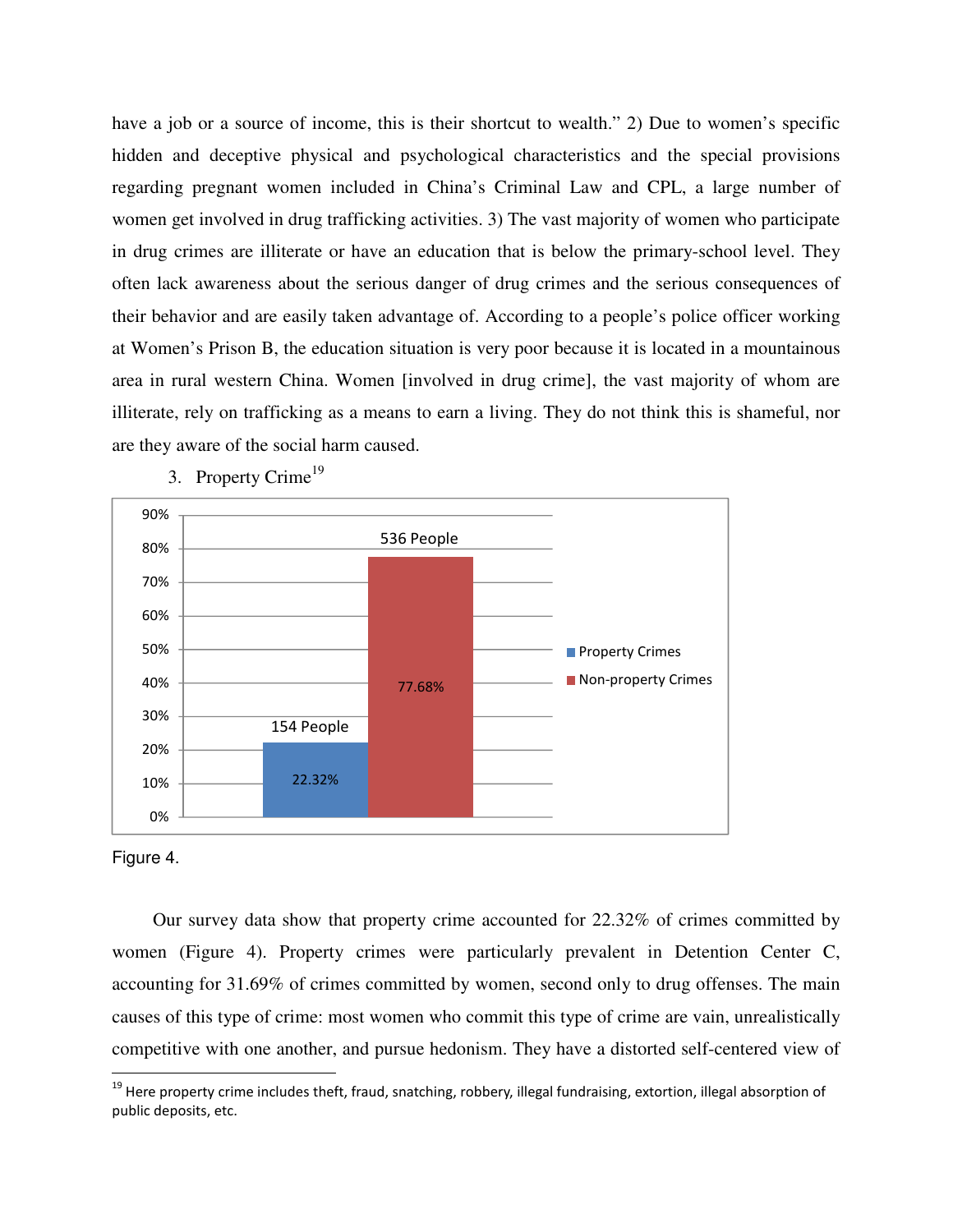have a job or a source of income, this is their shortcut to wealth." 2) Due to women's specific hidden and deceptive physical and psychological characteristics and the special provisions regarding pregnant women included in China's Criminal Law and CPL, a large number of women get involved in drug trafficking activities. 3) The vast majority of women who participate in drug crimes are illiterate or have an education that is below the primary-school level. They often lack awareness about the serious danger of drug crimes and the serious consequences of their behavior and are easily taken advantage of. According to a people's police officer working at Women's Prison B, the education situation is very poor because it is located in a mountainous area in rural western China. Women [involved in drug crime], the vast majority of whom are illiterate, rely on trafficking as a means to earn a living. They do not think this is shameful, nor are they aware of the social harm caused.



3. Property Crime<sup>19</sup>



 $\overline{a}$ 

Our survey data show that property crime accounted for 22.32% of crimes committed by women (Figure 4). Property crimes were particularly prevalent in Detention Center C, accounting for 31.69% of crimes committed by women, second only to drug offenses. The main causes of this type of crime: most women who commit this type of crime are vain, unrealistically competitive with one another, and pursue hedonism. They have a distorted self-centered view of

<sup>&</sup>lt;sup>19</sup> Here property crime includes theft, fraud, snatching, robbery, illegal fundraising, extortion, illegal absorption of public deposits, etc.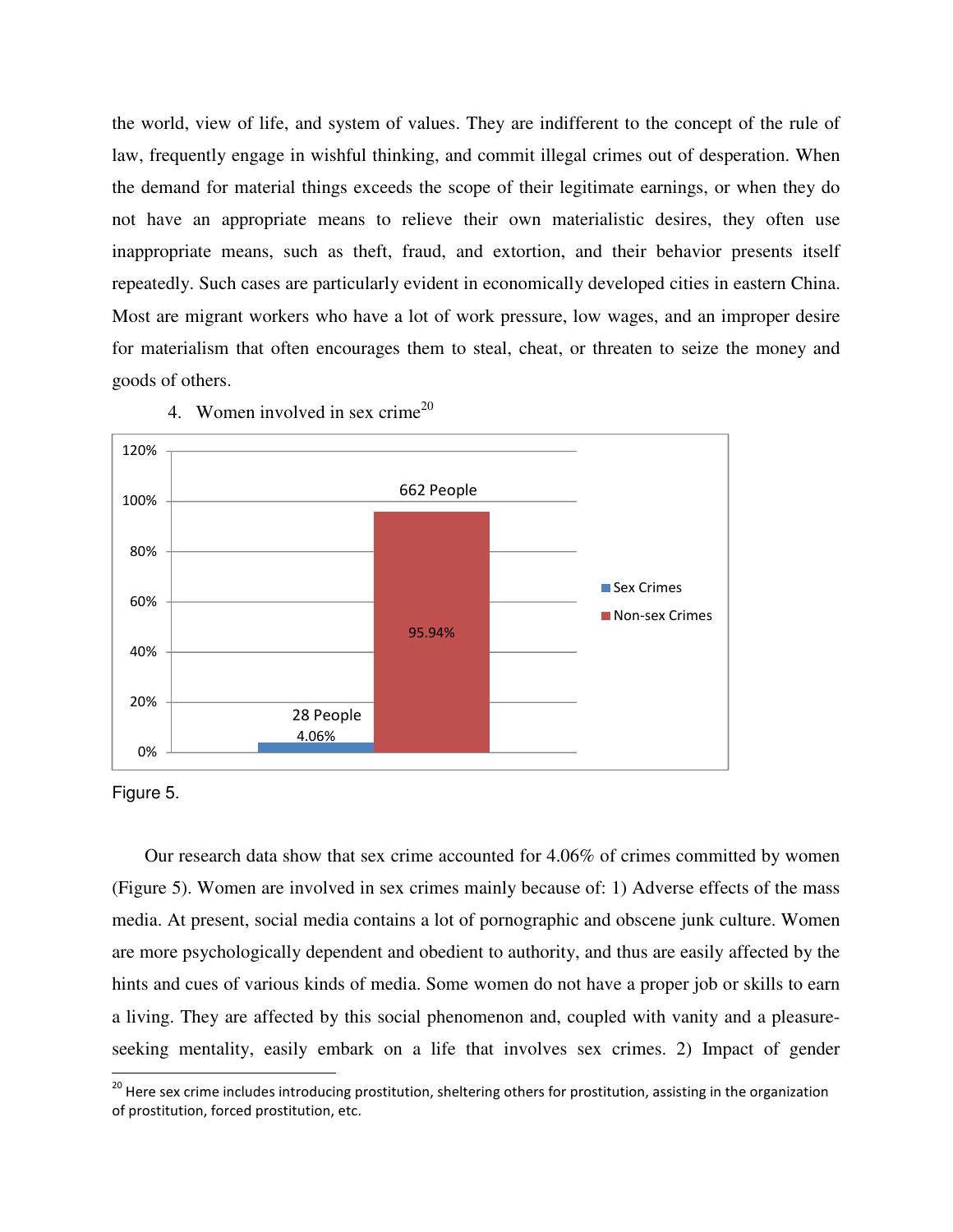the world, view of life, and system of values. They are indifferent to the concept of the rule of law, frequently engage in wishful thinking, and commit illegal crimes out of desperation. When the demand for material things exceeds the scope of their legitimate earnings, or when they do not have an appropriate means to relieve their own materialistic desires, they often use inappropriate means, such as theft, fraud, and extortion, and their behavior presents itself repeatedly. Such cases are particularly evident in economically developed cities in eastern China. Most are migrant workers who have a lot of work pressure, low wages, and an improper desire for materialism that often encourages them to steal, cheat, or threaten to seize the money and goods of others.



4. Women involved in sex crime<sup>20</sup>

Figure 5.

 $\overline{a}$ 

Our research data show that sex crime accounted for 4.06% of crimes committed by women (Figure 5). Women are involved in sex crimes mainly because of: 1) Adverse effects of the mass media. At present, social media contains a lot of pornographic and obscene junk culture. Women are more psychologically dependent and obedient to authority, and thus are easily affected by the hints and cues of various kinds of media. Some women do not have a proper job or skills to earn a living. They are affected by this social phenomenon and, coupled with vanity and a pleasureseeking mentality, easily embark on a life that involves sex crimes. 2) Impact of gender

<sup>&</sup>lt;sup>20</sup> Here sex crime includes introducing prostitution, sheltering others for prostitution, assisting in the organization of prostitution, forced prostitution, etc.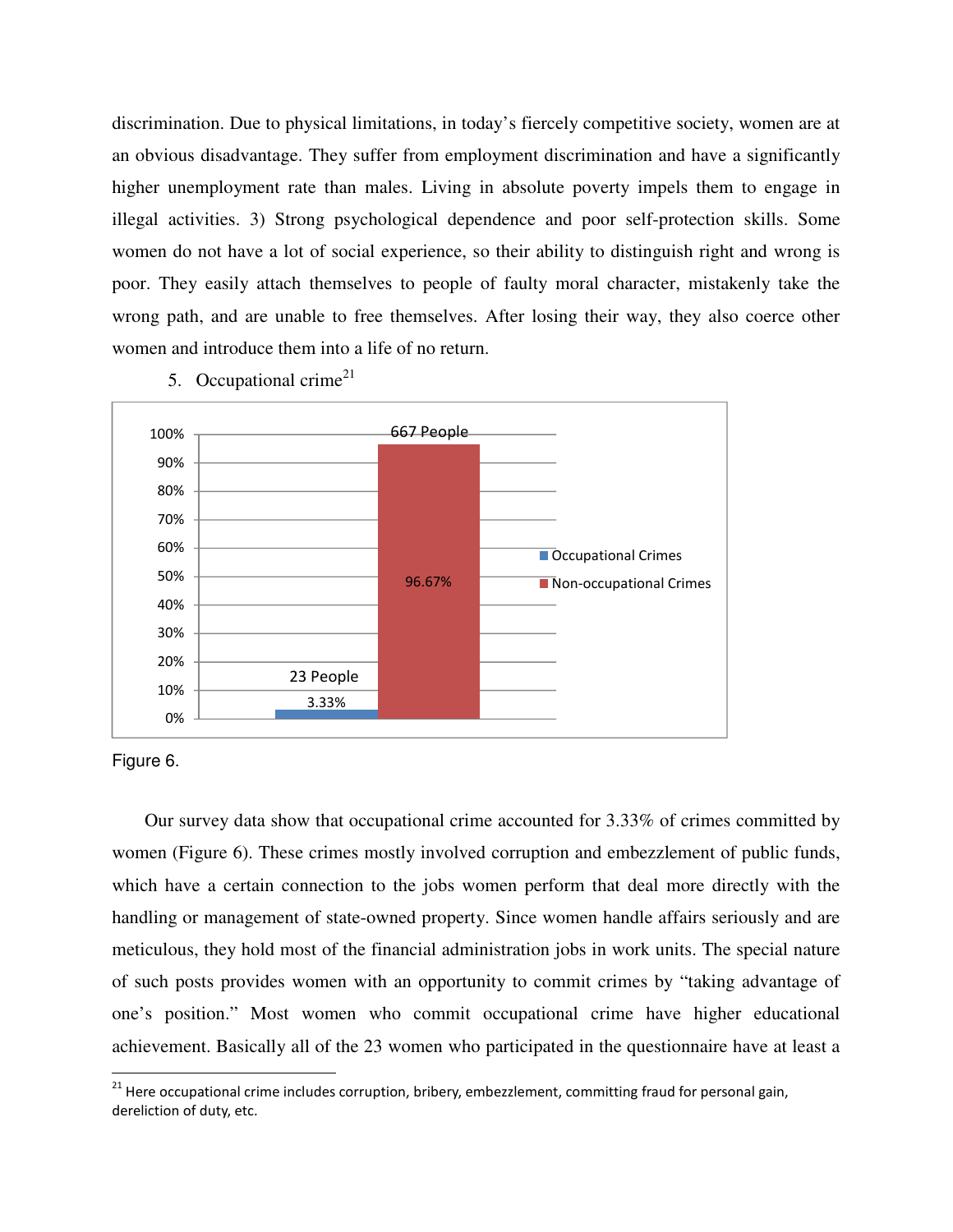discrimination. Due to physical limitations, in today's fiercely competitive society, women are at an obvious disadvantage. They suffer from employment discrimination and have a significantly higher unemployment rate than males. Living in absolute poverty impels them to engage in illegal activities. 3) Strong psychological dependence and poor self-protection skills. Some women do not have a lot of social experience, so their ability to distinguish right and wrong is poor. They easily attach themselves to people of faulty moral character, mistakenly take the wrong path, and are unable to free themselves. After losing their way, they also coerce other women and introduce them into a life of no return.



5. Occupational crime<sup>21</sup>



 $\overline{a}$ 

Our survey data show that occupational crime accounted for 3.33% of crimes committed by women (Figure 6). These crimes mostly involved corruption and embezzlement of public funds, which have a certain connection to the jobs women perform that deal more directly with the handling or management of state-owned property. Since women handle affairs seriously and are meticulous, they hold most of the financial administration jobs in work units. The special nature of such posts provides women with an opportunity to commit crimes by "taking advantage of one's position." Most women who commit occupational crime have higher educational achievement. Basically all of the 23 women who participated in the questionnaire have at least a

<sup>&</sup>lt;sup>21</sup> Here occupational crime includes corruption, bribery, embezzlement, committing fraud for personal gain, dereliction of duty, etc.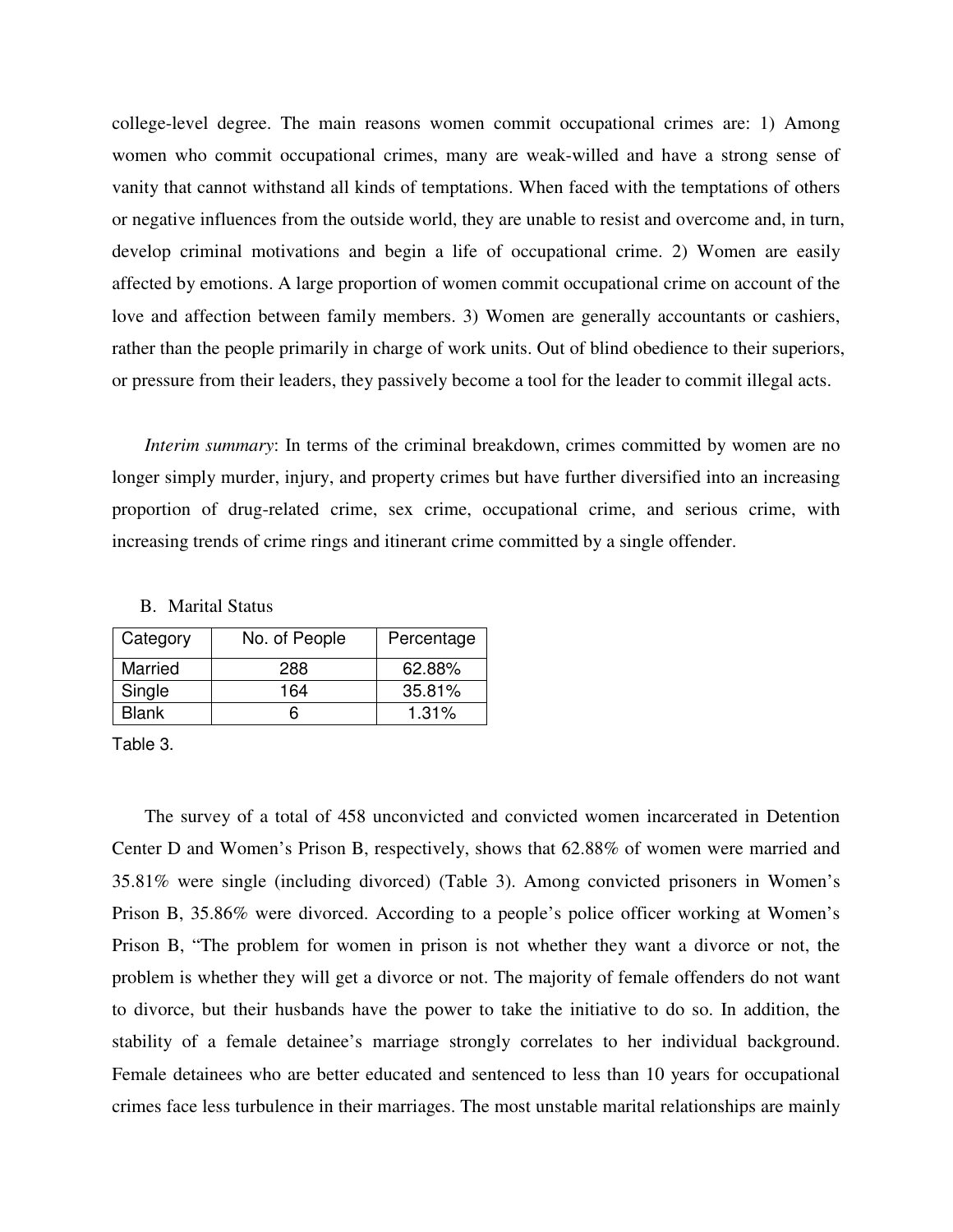college-level degree. The main reasons women commit occupational crimes are: 1) Among women who commit occupational crimes, many are weak-willed and have a strong sense of vanity that cannot withstand all kinds of temptations. When faced with the temptations of others or negative influences from the outside world, they are unable to resist and overcome and, in turn, develop criminal motivations and begin a life of occupational crime. 2) Women are easily affected by emotions. A large proportion of women commit occupational crime on account of the love and affection between family members. 3) Women are generally accountants or cashiers, rather than the people primarily in charge of work units. Out of blind obedience to their superiors, or pressure from their leaders, they passively become a tool for the leader to commit illegal acts.

*Interim summary*: In terms of the criminal breakdown, crimes committed by women are no longer simply murder, injury, and property crimes but have further diversified into an increasing proportion of drug-related crime, sex crime, occupational crime, and serious crime, with increasing trends of crime rings and itinerant crime committed by a single offender.

| Category     | No. of People | Percentage |
|--------------|---------------|------------|
| Married      | 288           | 62.88%     |
| Single       | 164           | 35.81%     |
| <b>Blank</b> |               | 1.31%      |

B. Marital Status

Table 3.

The survey of a total of 458 unconvicted and convicted women incarcerated in Detention Center D and Women's Prison B, respectively, shows that 62.88% of women were married and 35.81% were single (including divorced) (Table 3). Among convicted prisoners in Women's Prison B, 35.86% were divorced. According to a people's police officer working at Women's Prison B, "The problem for women in prison is not whether they want a divorce or not, the problem is whether they will get a divorce or not. The majority of female offenders do not want to divorce, but their husbands have the power to take the initiative to do so. In addition, the stability of a female detainee's marriage strongly correlates to her individual background. Female detainees who are better educated and sentenced to less than 10 years for occupational crimes face less turbulence in their marriages. The most unstable marital relationships are mainly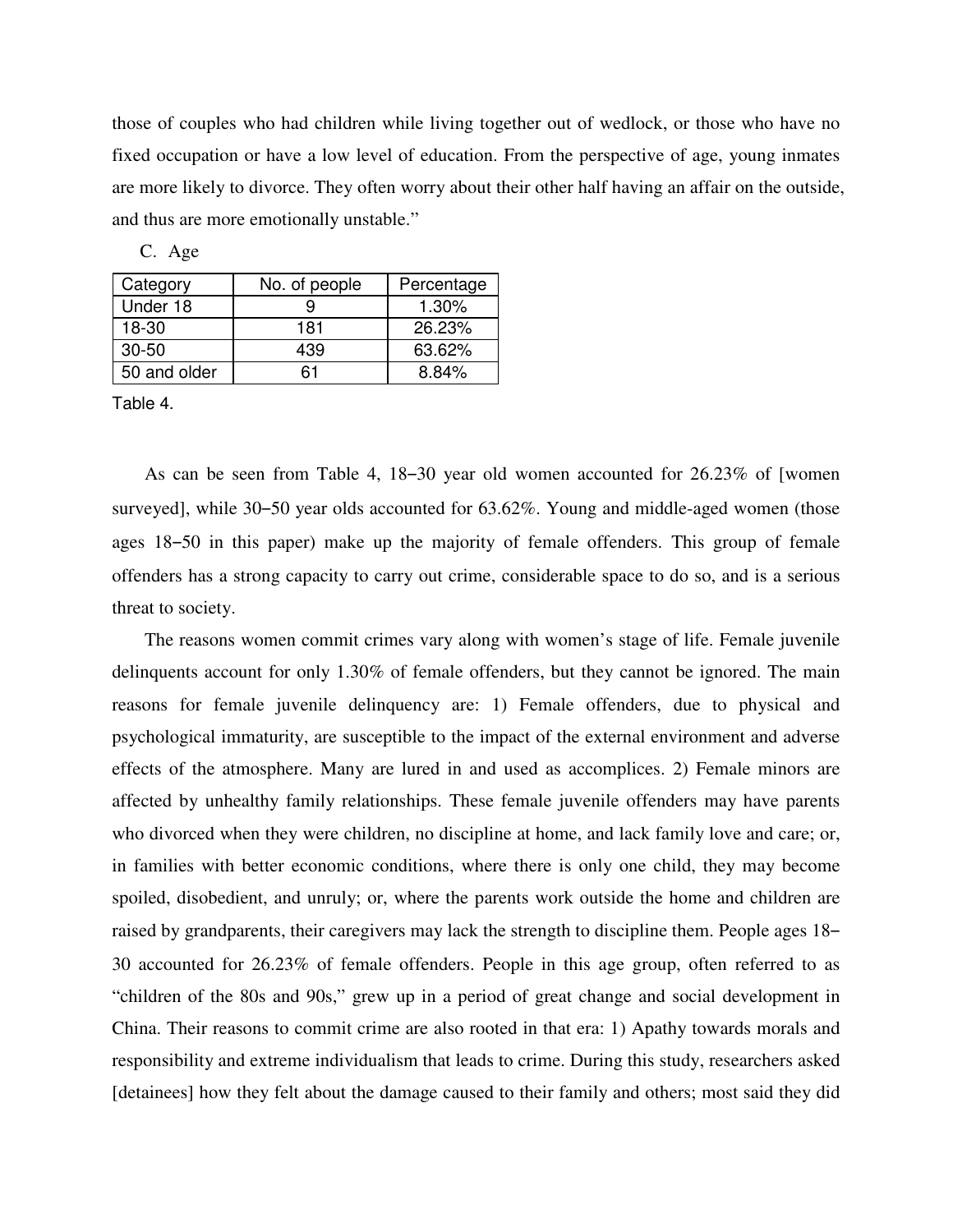those of couples who had children while living together out of wedlock, or those who have no fixed occupation or have a low level of education. From the perspective of age, young inmates are more likely to divorce. They often worry about their other half having an affair on the outside, and thus are more emotionally unstable."

| Category     | No. of people | Percentage |
|--------------|---------------|------------|
| Under 18     |               | 1.30%      |
| $18-30$      | 181           | 26.23%     |
| $30 - 50$    | 439           | 63.62%     |
| 50 and older | 61            | 8.84%      |

C. Age

Table 4.

As can be seen from Table 4, 18–30 year old women accounted for 26.23% of [women surveyed], while 30–50 year olds accounted for 63.62%. Young and middle-aged women (those ages 18–50 in this paper) make up the majority of female offenders. This group of female offenders has a strong capacity to carry out crime, considerable space to do so, and is a serious threat to society.

The reasons women commit crimes vary along with women's stage of life. Female juvenile delinquents account for only 1.30% of female offenders, but they cannot be ignored. The main reasons for female juvenile delinquency are: 1) Female offenders, due to physical and psychological immaturity, are susceptible to the impact of the external environment and adverse effects of the atmosphere. Many are lured in and used as accomplices. 2) Female minors are affected by unhealthy family relationships. These female juvenile offenders may have parents who divorced when they were children, no discipline at home, and lack family love and care; or, in families with better economic conditions, where there is only one child, they may become spoiled, disobedient, and unruly; or, where the parents work outside the home and children are raised by grandparents, their caregivers may lack the strength to discipline them. People ages 18– 30 accounted for 26.23% of female offenders. People in this age group, often referred to as "children of the 80s and 90s," grew up in a period of great change and social development in China. Their reasons to commit crime are also rooted in that era: 1) Apathy towards morals and responsibility and extreme individualism that leads to crime. During this study, researchers asked [detainees] how they felt about the damage caused to their family and others; most said they did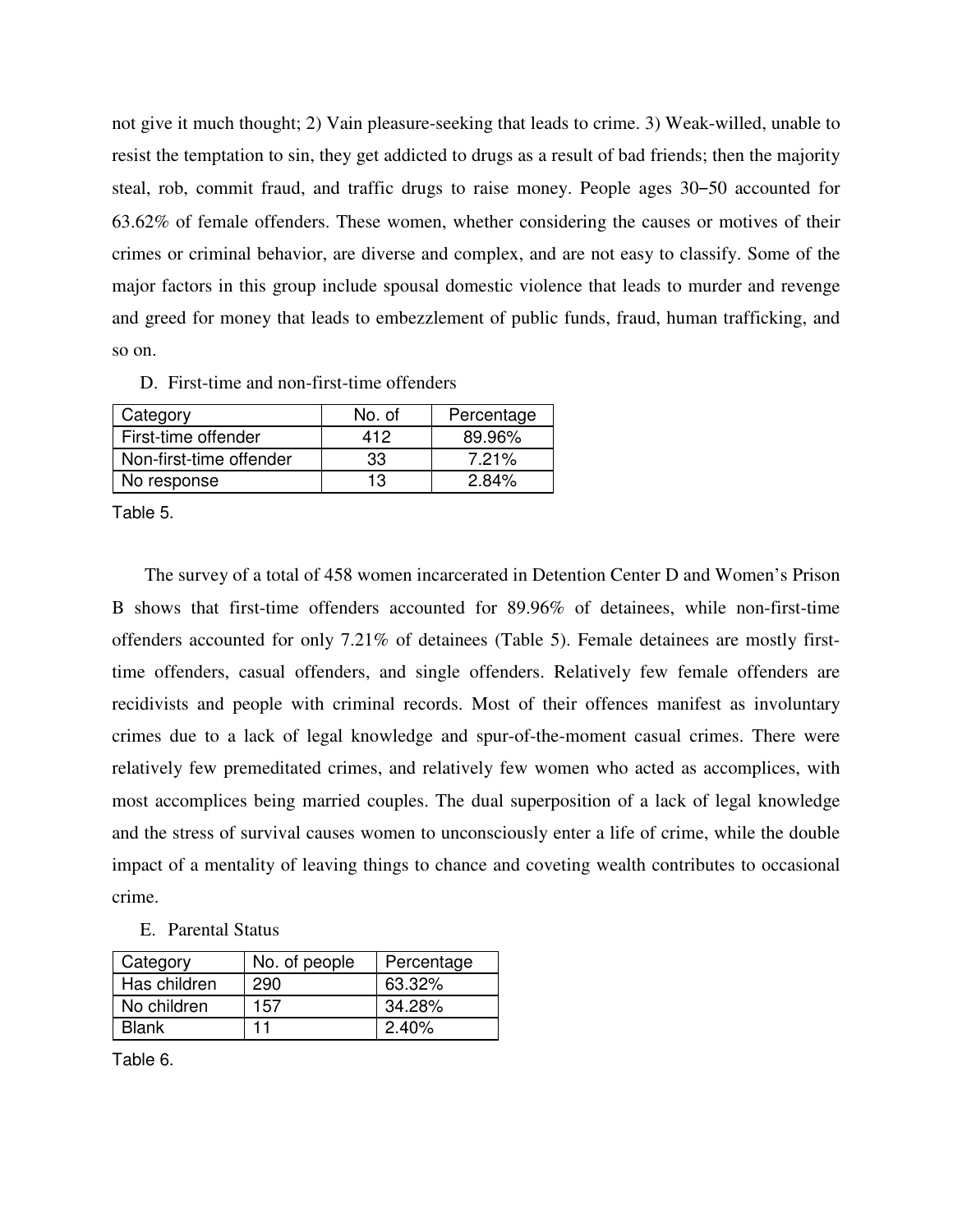not give it much thought; 2) Vain pleasure-seeking that leads to crime. 3) Weak-willed, unable to resist the temptation to sin, they get addicted to drugs as a result of bad friends; then the majority steal, rob, commit fraud, and traffic drugs to raise money. People ages 30–50 accounted for 63.62% of female offenders. These women, whether considering the causes or motives of their crimes or criminal behavior, are diverse and complex, and are not easy to classify. Some of the major factors in this group include spousal domestic violence that leads to murder and revenge and greed for money that leads to embezzlement of public funds, fraud, human trafficking, and so on.

D. First-time and non-first-time offenders

| Category                | No. of | Percentage |
|-------------------------|--------|------------|
| First-time offender     | 412    | 89.96%     |
| Non-first-time offender | -33    | 7.21%      |
| No response             | 13     | 2.84%      |

Table 5.

The survey of a total of 458 women incarcerated in Detention Center D and Women's Prison B shows that first-time offenders accounted for 89.96% of detainees, while non-first-time offenders accounted for only 7.21% of detainees (Table 5). Female detainees are mostly firsttime offenders, casual offenders, and single offenders. Relatively few female offenders are recidivists and people with criminal records. Most of their offences manifest as involuntary crimes due to a lack of legal knowledge and spur-of-the-moment casual crimes. There were relatively few premeditated crimes, and relatively few women who acted as accomplices, with most accomplices being married couples. The dual superposition of a lack of legal knowledge and the stress of survival causes women to unconsciously enter a life of crime, while the double impact of a mentality of leaving things to chance and coveting wealth contributes to occasional crime.

E. Parental Status

| Category     | No. of people | Percentage |
|--------------|---------------|------------|
| Has children | 290           | 63.32%     |
| No children  | 157           | 34.28%     |
| <b>Blank</b> | 11            | $2.40\%$   |

Table 6.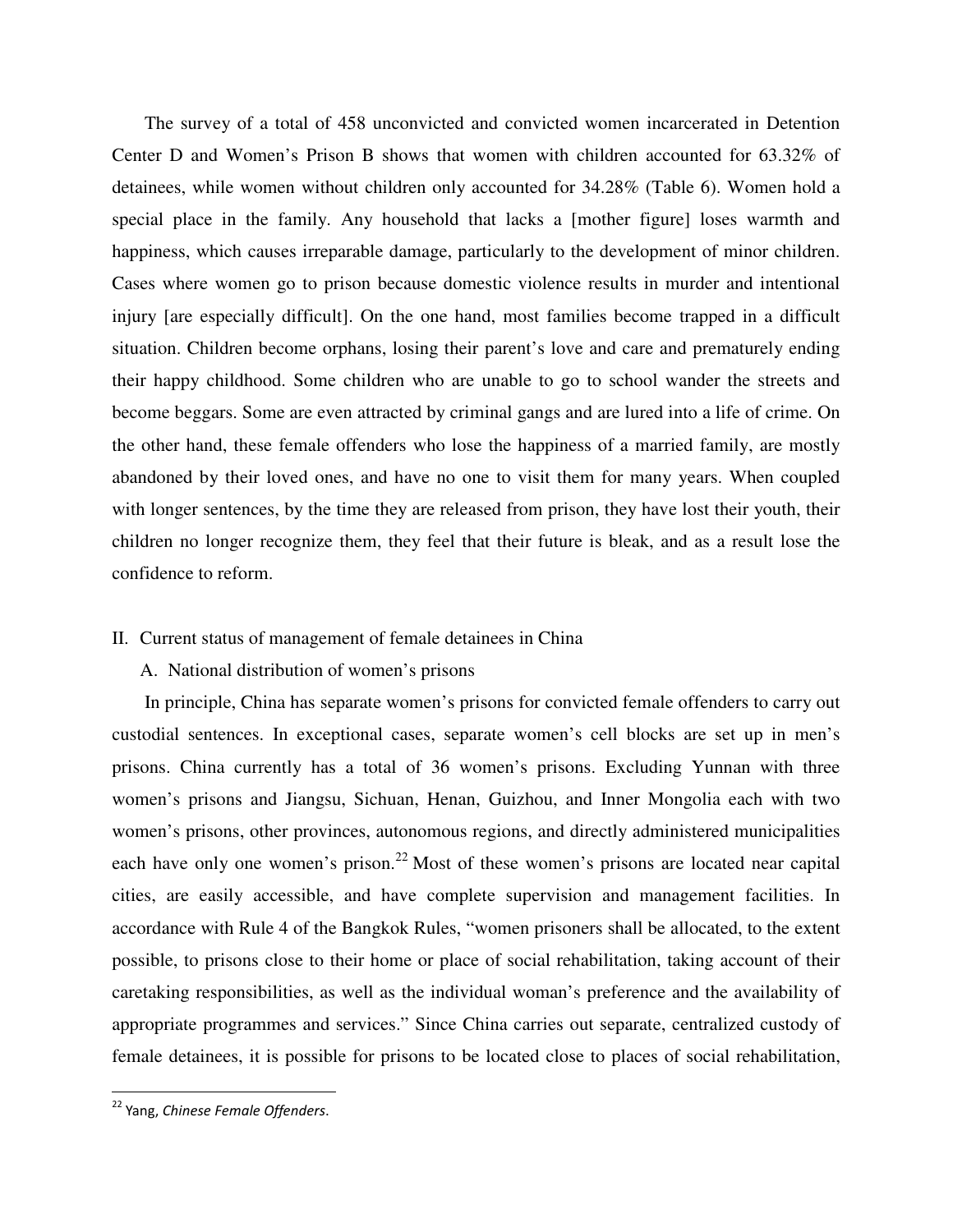The survey of a total of 458 unconvicted and convicted women incarcerated in Detention Center D and Women's Prison B shows that women with children accounted for 63.32% of detainees, while women without children only accounted for 34.28% (Table 6). Women hold a special place in the family. Any household that lacks a [mother figure] loses warmth and happiness, which causes irreparable damage, particularly to the development of minor children. Cases where women go to prison because domestic violence results in murder and intentional injury [are especially difficult]. On the one hand, most families become trapped in a difficult situation. Children become orphans, losing their parent's love and care and prematurely ending their happy childhood. Some children who are unable to go to school wander the streets and become beggars. Some are even attracted by criminal gangs and are lured into a life of crime. On the other hand, these female offenders who lose the happiness of a married family, are mostly abandoned by their loved ones, and have no one to visit them for many years. When coupled with longer sentences, by the time they are released from prison, they have lost their youth, their children no longer recognize them, they feel that their future is bleak, and as a result lose the confidence to reform.

#### II. Current status of management of female detainees in China

# A. National distribution of women's prisons

In principle, China has separate women's prisons for convicted female offenders to carry out custodial sentences. In exceptional cases, separate women's cell blocks are set up in men's prisons. China currently has a total of 36 women's prisons. Excluding Yunnan with three women's prisons and Jiangsu, Sichuan, Henan, Guizhou, and Inner Mongolia each with two women's prisons, other provinces, autonomous regions, and directly administered municipalities each have only one women's prison.<sup>22</sup> Most of these women's prisons are located near capital cities, are easily accessible, and have complete supervision and management facilities. In accordance with Rule 4 of the Bangkok Rules, "women prisoners shall be allocated, to the extent possible, to prisons close to their home or place of social rehabilitation, taking account of their caretaking responsibilities, as well as the individual woman's preference and the availability of appropriate programmes and services." Since China carries out separate, centralized custody of female detainees, it is possible for prisons to be located close to places of social rehabilitation,

<sup>&</sup>lt;sup>22</sup> Yang, Chinese Female Offenders.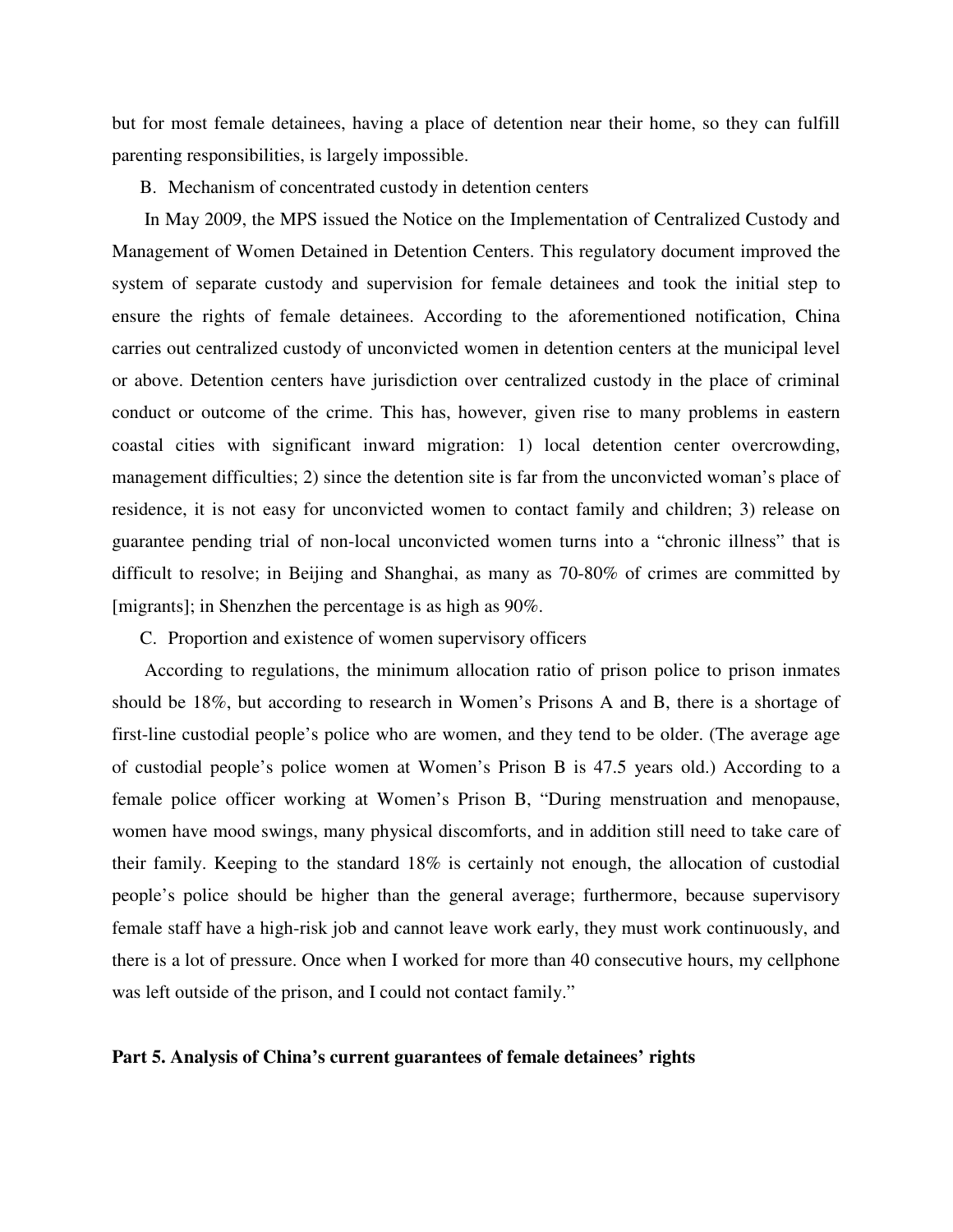but for most female detainees, having a place of detention near their home, so they can fulfill parenting responsibilities, is largely impossible.

B. Mechanism of concentrated custody in detention centers

In May 2009, the MPS issued the Notice on the Implementation of Centralized Custody and Management of Women Detained in Detention Centers. This regulatory document improved the system of separate custody and supervision for female detainees and took the initial step to ensure the rights of female detainees. According to the aforementioned notification, China carries out centralized custody of unconvicted women in detention centers at the municipal level or above. Detention centers have jurisdiction over centralized custody in the place of criminal conduct or outcome of the crime. This has, however, given rise to many problems in eastern coastal cities with significant inward migration: 1) local detention center overcrowding, management difficulties; 2) since the detention site is far from the unconvicted woman's place of residence, it is not easy for unconvicted women to contact family and children; 3) release on guarantee pending trial of non-local unconvicted women turns into a "chronic illness" that is difficult to resolve; in Beijing and Shanghai, as many as 70-80% of crimes are committed by [migrants]; in Shenzhen the percentage is as high as 90%.

C. Proportion and existence of women supervisory officers

According to regulations, the minimum allocation ratio of prison police to prison inmates should be 18%, but according to research in Women's Prisons A and B, there is a shortage of first-line custodial people's police who are women, and they tend to be older. (The average age of custodial people's police women at Women's Prison B is 47.5 years old.) According to a female police officer working at Women's Prison B, "During menstruation and menopause, women have mood swings, many physical discomforts, and in addition still need to take care of their family. Keeping to the standard 18% is certainly not enough, the allocation of custodial people's police should be higher than the general average; furthermore, because supervisory female staff have a high-risk job and cannot leave work early, they must work continuously, and there is a lot of pressure. Once when I worked for more than 40 consecutive hours, my cellphone was left outside of the prison, and I could not contact family."

#### **Part 5. Analysis of China's current guarantees of female detainees' rights**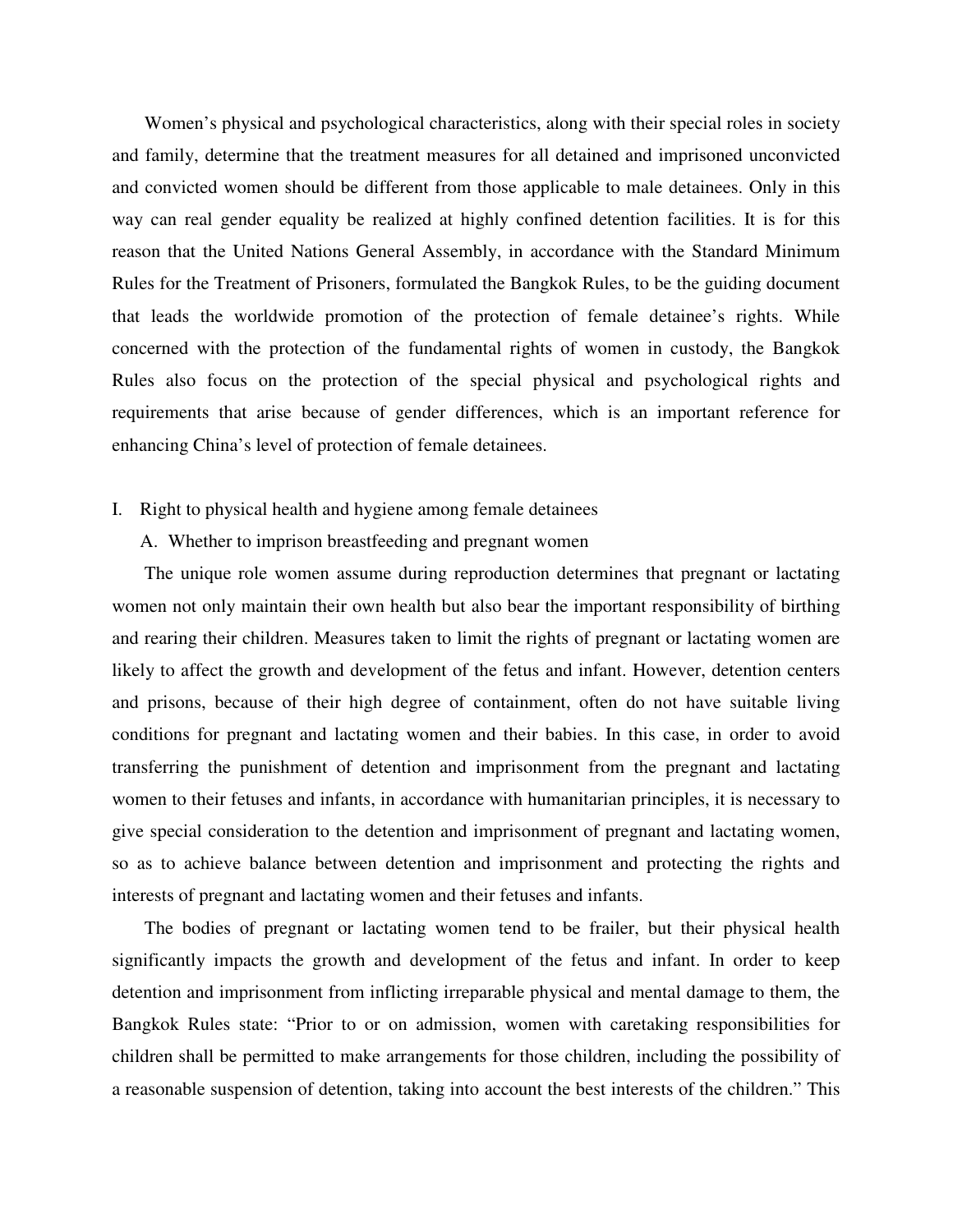Women's physical and psychological characteristics, along with their special roles in society and family, determine that the treatment measures for all detained and imprisoned unconvicted and convicted women should be different from those applicable to male detainees. Only in this way can real gender equality be realized at highly confined detention facilities. It is for this reason that the United Nations General Assembly, in accordance with the Standard Minimum Rules for the Treatment of Prisoners, formulated the Bangkok Rules, to be the guiding document that leads the worldwide promotion of the protection of female detainee's rights. While concerned with the protection of the fundamental rights of women in custody, the Bangkok Rules also focus on the protection of the special physical and psychological rights and requirements that arise because of gender differences, which is an important reference for enhancing China's level of protection of female detainees.

# I. Right to physical health and hygiene among female detainees

# A. Whether to imprison breastfeeding and pregnant women

The unique role women assume during reproduction determines that pregnant or lactating women not only maintain their own health but also bear the important responsibility of birthing and rearing their children. Measures taken to limit the rights of pregnant or lactating women are likely to affect the growth and development of the fetus and infant. However, detention centers and prisons, because of their high degree of containment, often do not have suitable living conditions for pregnant and lactating women and their babies. In this case, in order to avoid transferring the punishment of detention and imprisonment from the pregnant and lactating women to their fetuses and infants, in accordance with humanitarian principles, it is necessary to give special consideration to the detention and imprisonment of pregnant and lactating women, so as to achieve balance between detention and imprisonment and protecting the rights and interests of pregnant and lactating women and their fetuses and infants.

The bodies of pregnant or lactating women tend to be frailer, but their physical health significantly impacts the growth and development of the fetus and infant. In order to keep detention and imprisonment from inflicting irreparable physical and mental damage to them, the Bangkok Rules state: "Prior to or on admission, women with caretaking responsibilities for children shall be permitted to make arrangements for those children, including the possibility of a reasonable suspension of detention, taking into account the best interests of the children." This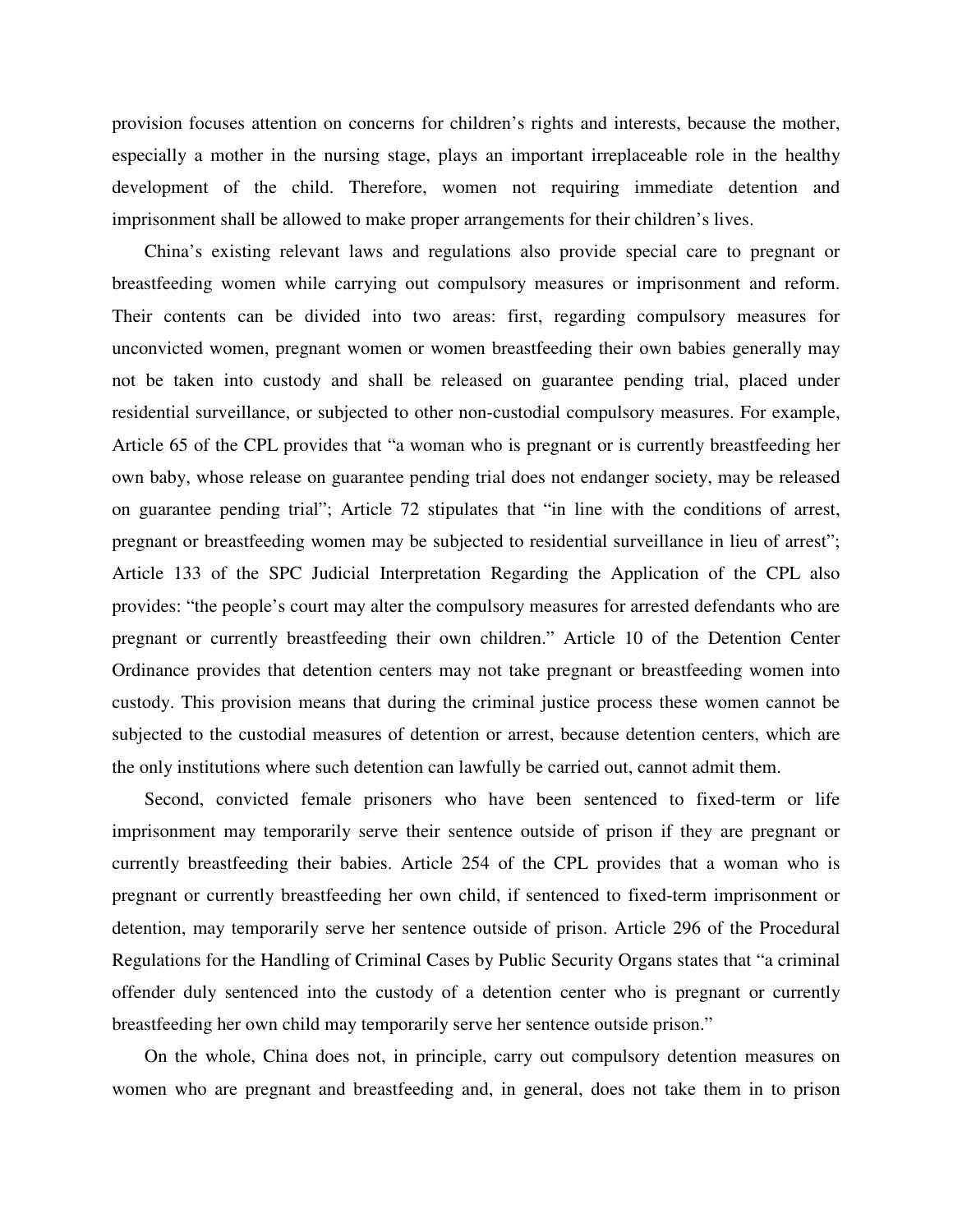provision focuses attention on concerns for children's rights and interests, because the mother, especially a mother in the nursing stage, plays an important irreplaceable role in the healthy development of the child. Therefore, women not requiring immediate detention and imprisonment shall be allowed to make proper arrangements for their children's lives.

China's existing relevant laws and regulations also provide special care to pregnant or breastfeeding women while carrying out compulsory measures or imprisonment and reform. Their contents can be divided into two areas: first, regarding compulsory measures for unconvicted women, pregnant women or women breastfeeding their own babies generally may not be taken into custody and shall be released on guarantee pending trial, placed under residential surveillance, or subjected to other non-custodial compulsory measures. For example, Article 65 of the CPL provides that "a woman who is pregnant or is currently breastfeeding her own baby, whose release on guarantee pending trial does not endanger society, may be released on guarantee pending trial"; Article 72 stipulates that "in line with the conditions of arrest, pregnant or breastfeeding women may be subjected to residential surveillance in lieu of arrest"; Article 133 of the SPC Judicial Interpretation Regarding the Application of the CPL also provides: "the people's court may alter the compulsory measures for arrested defendants who are pregnant or currently breastfeeding their own children." Article 10 of the Detention Center Ordinance provides that detention centers may not take pregnant or breastfeeding women into custody. This provision means that during the criminal justice process these women cannot be subjected to the custodial measures of detention or arrest, because detention centers, which are the only institutions where such detention can lawfully be carried out, cannot admit them.

Second, convicted female prisoners who have been sentenced to fixed-term or life imprisonment may temporarily serve their sentence outside of prison if they are pregnant or currently breastfeeding their babies. Article 254 of the CPL provides that a woman who is pregnant or currently breastfeeding her own child, if sentenced to fixed-term imprisonment or detention, may temporarily serve her sentence outside of prison. Article 296 of the Procedural Regulations for the Handling of Criminal Cases by Public Security Organs states that "a criminal offender duly sentenced into the custody of a detention center who is pregnant or currently breastfeeding her own child may temporarily serve her sentence outside prison."

On the whole, China does not, in principle, carry out compulsory detention measures on women who are pregnant and breastfeeding and, in general, does not take them in to prison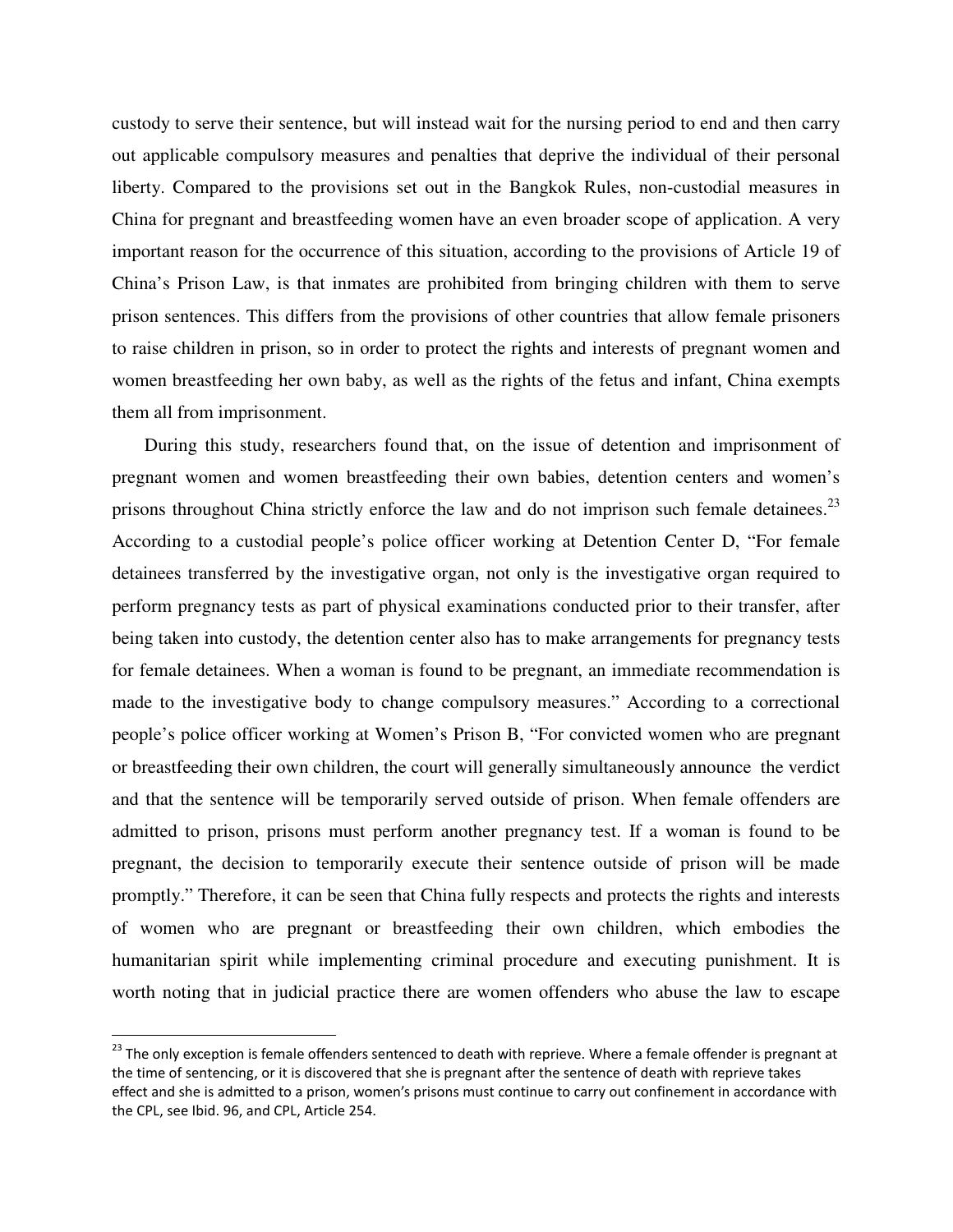custody to serve their sentence, but will instead wait for the nursing period to end and then carry out applicable compulsory measures and penalties that deprive the individual of their personal liberty. Compared to the provisions set out in the Bangkok Rules, non-custodial measures in China for pregnant and breastfeeding women have an even broader scope of application. A very important reason for the occurrence of this situation, according to the provisions of Article 19 of China's Prison Law, is that inmates are prohibited from bringing children with them to serve prison sentences. This differs from the provisions of other countries that allow female prisoners to raise children in prison, so in order to protect the rights and interests of pregnant women and women breastfeeding her own baby, as well as the rights of the fetus and infant, China exempts them all from imprisonment.

During this study, researchers found that, on the issue of detention and imprisonment of pregnant women and women breastfeeding their own babies, detention centers and women's prisons throughout China strictly enforce the law and do not imprison such female detainees.<sup>23</sup> According to a custodial people's police officer working at Detention Center D, "For female detainees transferred by the investigative organ, not only is the investigative organ required to perform pregnancy tests as part of physical examinations conducted prior to their transfer, after being taken into custody, the detention center also has to make arrangements for pregnancy tests for female detainees. When a woman is found to be pregnant, an immediate recommendation is made to the investigative body to change compulsory measures." According to a correctional people's police officer working at Women's Prison B, "For convicted women who are pregnant or breastfeeding their own children, the court will generally simultaneously announce the verdict and that the sentence will be temporarily served outside of prison. When female offenders are admitted to prison, prisons must perform another pregnancy test. If a woman is found to be pregnant, the decision to temporarily execute their sentence outside of prison will be made promptly." Therefore, it can be seen that China fully respects and protects the rights and interests of women who are pregnant or breastfeeding their own children, which embodies the humanitarian spirit while implementing criminal procedure and executing punishment. It is worth noting that in judicial practice there are women offenders who abuse the law to escape

<sup>&</sup>lt;sup>23</sup> The only exception is female offenders sentenced to death with reprieve. Where a female offender is pregnant at the time of sentencing, or it is discovered that she is pregnant after the sentence of death with reprieve takes effect and she is admitted to a prison, women's prisons must continue to carry out confinement in accordance with the CPL, see Ibid. 96, and CPL, Article 254.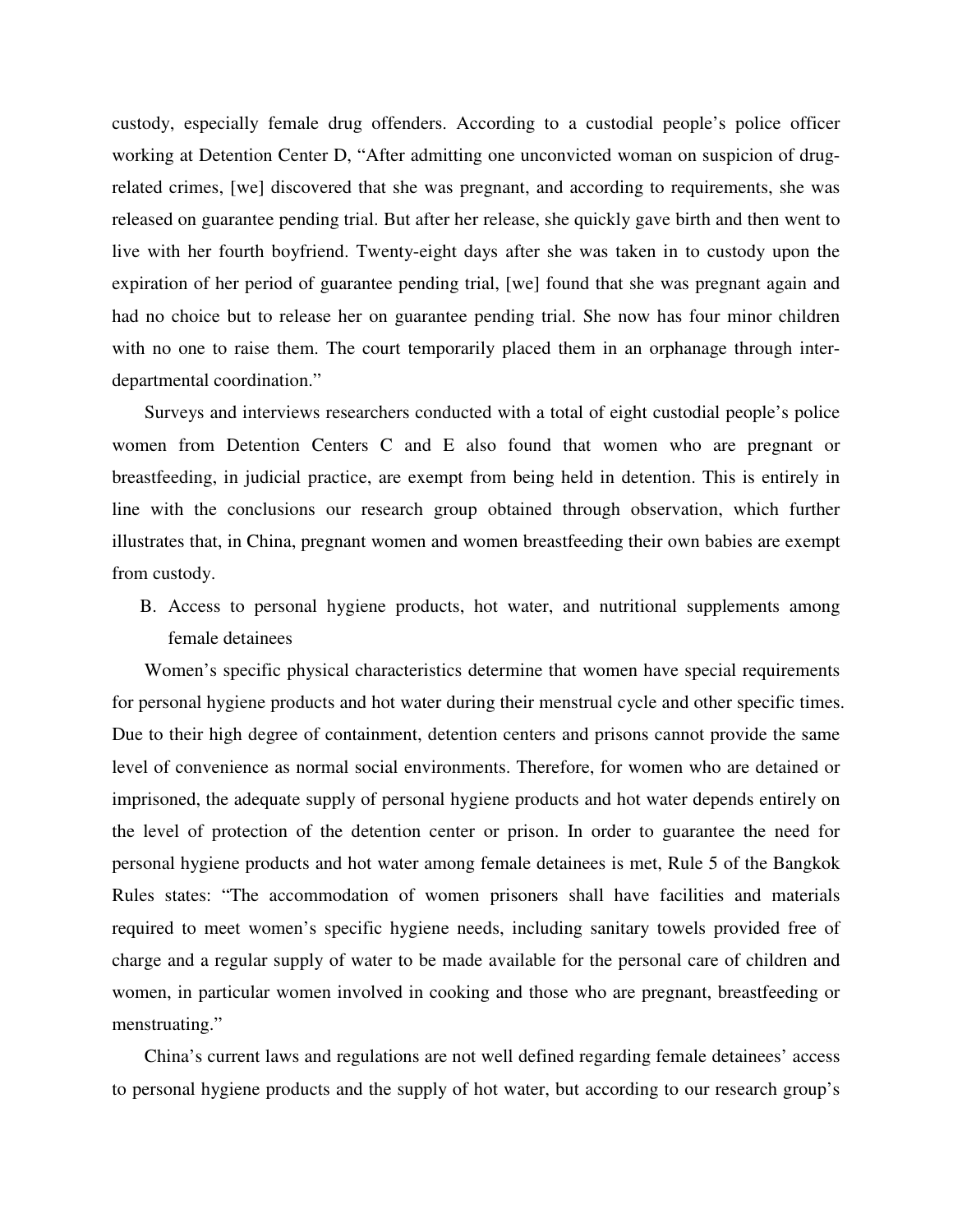custody, especially female drug offenders. According to a custodial people's police officer working at Detention Center D, "After admitting one unconvicted woman on suspicion of drugrelated crimes, [we] discovered that she was pregnant, and according to requirements, she was released on guarantee pending trial. But after her release, she quickly gave birth and then went to live with her fourth boyfriend. Twenty-eight days after she was taken in to custody upon the expiration of her period of guarantee pending trial, [we] found that she was pregnant again and had no choice but to release her on guarantee pending trial. She now has four minor children with no one to raise them. The court temporarily placed them in an orphanage through interdepartmental coordination."

Surveys and interviews researchers conducted with a total of eight custodial people's police women from Detention Centers C and E also found that women who are pregnant or breastfeeding, in judicial practice, are exempt from being held in detention. This is entirely in line with the conclusions our research group obtained through observation, which further illustrates that, in China, pregnant women and women breastfeeding their own babies are exempt from custody.

B. Access to personal hygiene products, hot water, and nutritional supplements among female detainees

Women's specific physical characteristics determine that women have special requirements for personal hygiene products and hot water during their menstrual cycle and other specific times. Due to their high degree of containment, detention centers and prisons cannot provide the same level of convenience as normal social environments. Therefore, for women who are detained or imprisoned, the adequate supply of personal hygiene products and hot water depends entirely on the level of protection of the detention center or prison. In order to guarantee the need for personal hygiene products and hot water among female detainees is met, Rule 5 of the Bangkok Rules states: "The accommodation of women prisoners shall have facilities and materials required to meet women's specific hygiene needs, including sanitary towels provided free of charge and a regular supply of water to be made available for the personal care of children and women, in particular women involved in cooking and those who are pregnant, breastfeeding or menstruating."

China's current laws and regulations are not well defined regarding female detainees' access to personal hygiene products and the supply of hot water, but according to our research group's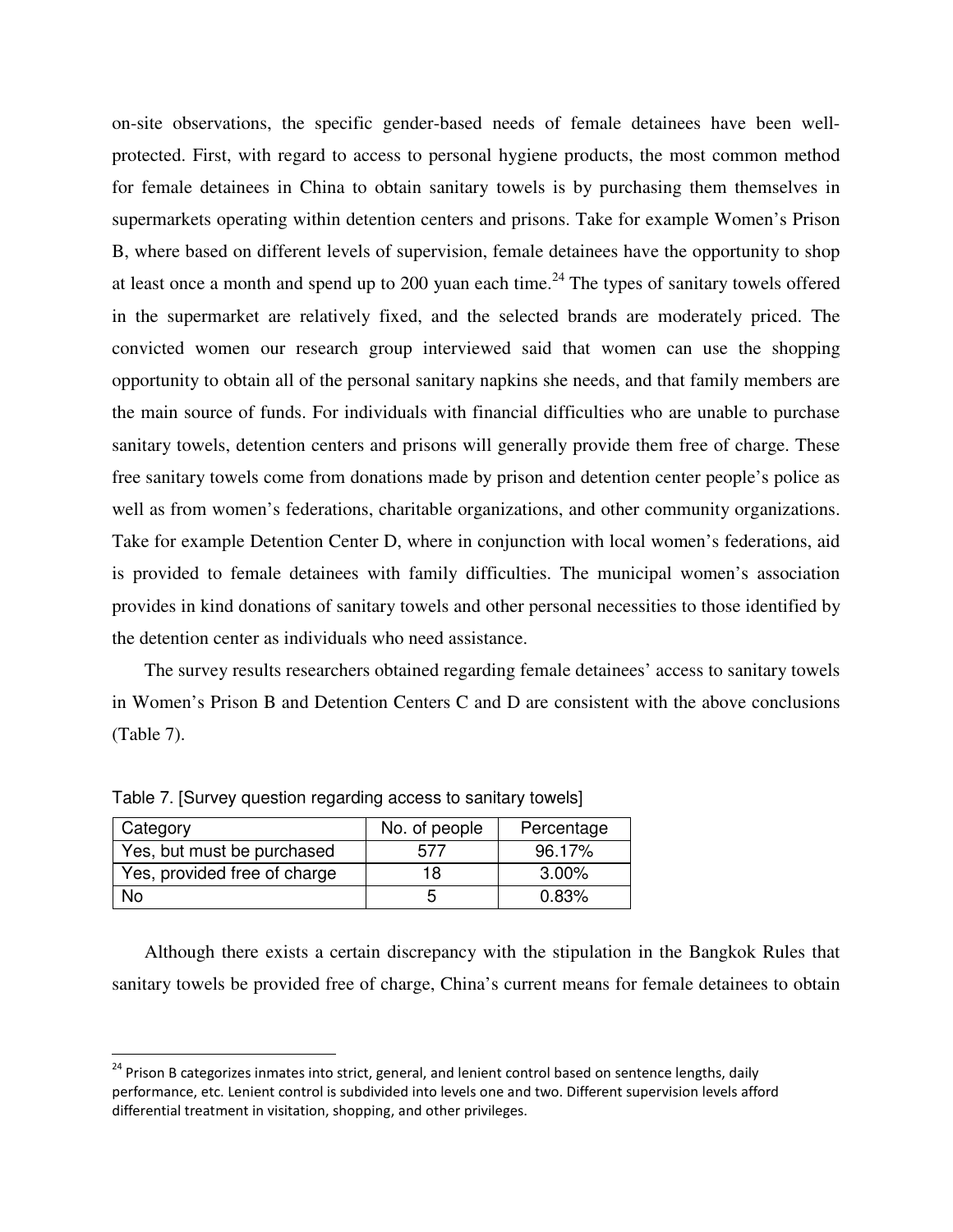on-site observations, the specific gender-based needs of female detainees have been wellprotected. First, with regard to access to personal hygiene products, the most common method for female detainees in China to obtain sanitary towels is by purchasing them themselves in supermarkets operating within detention centers and prisons. Take for example Women's Prison B, where based on different levels of supervision, female detainees have the opportunity to shop at least once a month and spend up to 200 yuan each time.<sup>24</sup> The types of sanitary towels offered in the supermarket are relatively fixed, and the selected brands are moderately priced. The convicted women our research group interviewed said that women can use the shopping opportunity to obtain all of the personal sanitary napkins she needs, and that family members are the main source of funds. For individuals with financial difficulties who are unable to purchase sanitary towels, detention centers and prisons will generally provide them free of charge. These free sanitary towels come from donations made by prison and detention center people's police as well as from women's federations, charitable organizations, and other community organizations. Take for example Detention Center D, where in conjunction with local women's federations, aid is provided to female detainees with family difficulties. The municipal women's association provides in kind donations of sanitary towels and other personal necessities to those identified by the detention center as individuals who need assistance.

The survey results researchers obtained regarding female detainees' access to sanitary towels in Women's Prison B and Detention Centers C and D are consistent with the above conclusions (Table 7).

| Category                     | No. of people | Percentage |
|------------------------------|---------------|------------|
| Yes, but must be purchased   | 577           | 96.17%     |
| Yes, provided free of charge | 18            | $3.00\%$   |
| N٥                           | b             | 0.83%      |

Table 7. [Survey question regarding access to sanitary towels]

 $\overline{a}$ 

Although there exists a certain discrepancy with the stipulation in the Bangkok Rules that sanitary towels be provided free of charge, China's current means for female detainees to obtain

<sup>&</sup>lt;sup>24</sup> Prison B categorizes inmates into strict, general, and lenient control based on sentence lengths, daily performance, etc. Lenient control is subdivided into levels one and two. Different supervision levels afford differential treatment in visitation, shopping, and other privileges.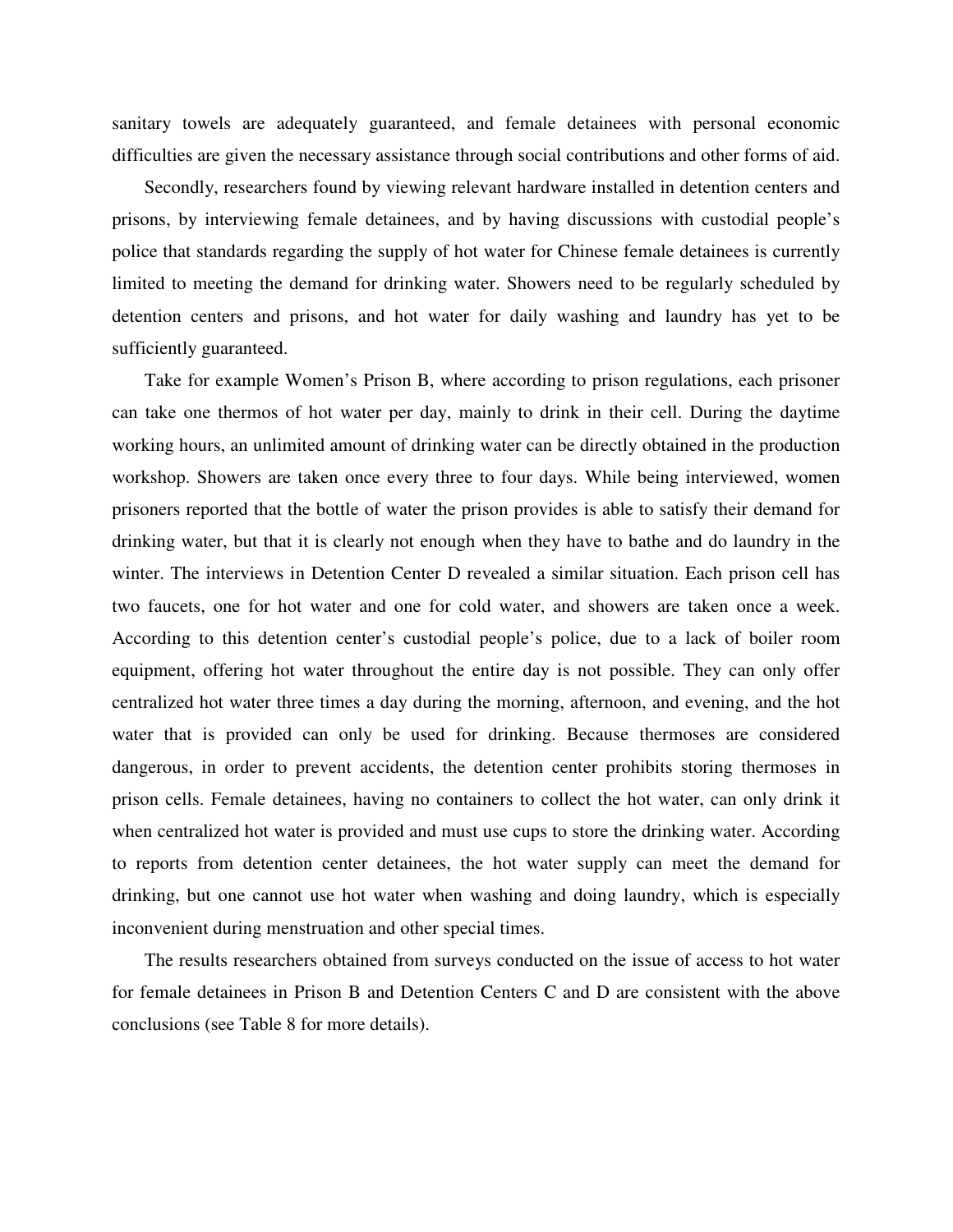sanitary towels are adequately guaranteed, and female detainees with personal economic difficulties are given the necessary assistance through social contributions and other forms of aid.

Secondly, researchers found by viewing relevant hardware installed in detention centers and prisons, by interviewing female detainees, and by having discussions with custodial people's police that standards regarding the supply of hot water for Chinese female detainees is currently limited to meeting the demand for drinking water. Showers need to be regularly scheduled by detention centers and prisons, and hot water for daily washing and laundry has yet to be sufficiently guaranteed.

Take for example Women's Prison B, where according to prison regulations, each prisoner can take one thermos of hot water per day, mainly to drink in their cell. During the daytime working hours, an unlimited amount of drinking water can be directly obtained in the production workshop. Showers are taken once every three to four days. While being interviewed, women prisoners reported that the bottle of water the prison provides is able to satisfy their demand for drinking water, but that it is clearly not enough when they have to bathe and do laundry in the winter. The interviews in Detention Center D revealed a similar situation. Each prison cell has two faucets, one for hot water and one for cold water, and showers are taken once a week. According to this detention center's custodial people's police, due to a lack of boiler room equipment, offering hot water throughout the entire day is not possible. They can only offer centralized hot water three times a day during the morning, afternoon, and evening, and the hot water that is provided can only be used for drinking. Because thermoses are considered dangerous, in order to prevent accidents, the detention center prohibits storing thermoses in prison cells. Female detainees, having no containers to collect the hot water, can only drink it when centralized hot water is provided and must use cups to store the drinking water. According to reports from detention center detainees, the hot water supply can meet the demand for drinking, but one cannot use hot water when washing and doing laundry, which is especially inconvenient during menstruation and other special times.

The results researchers obtained from surveys conducted on the issue of access to hot water for female detainees in Prison B and Detention Centers C and D are consistent with the above conclusions (see Table 8 for more details).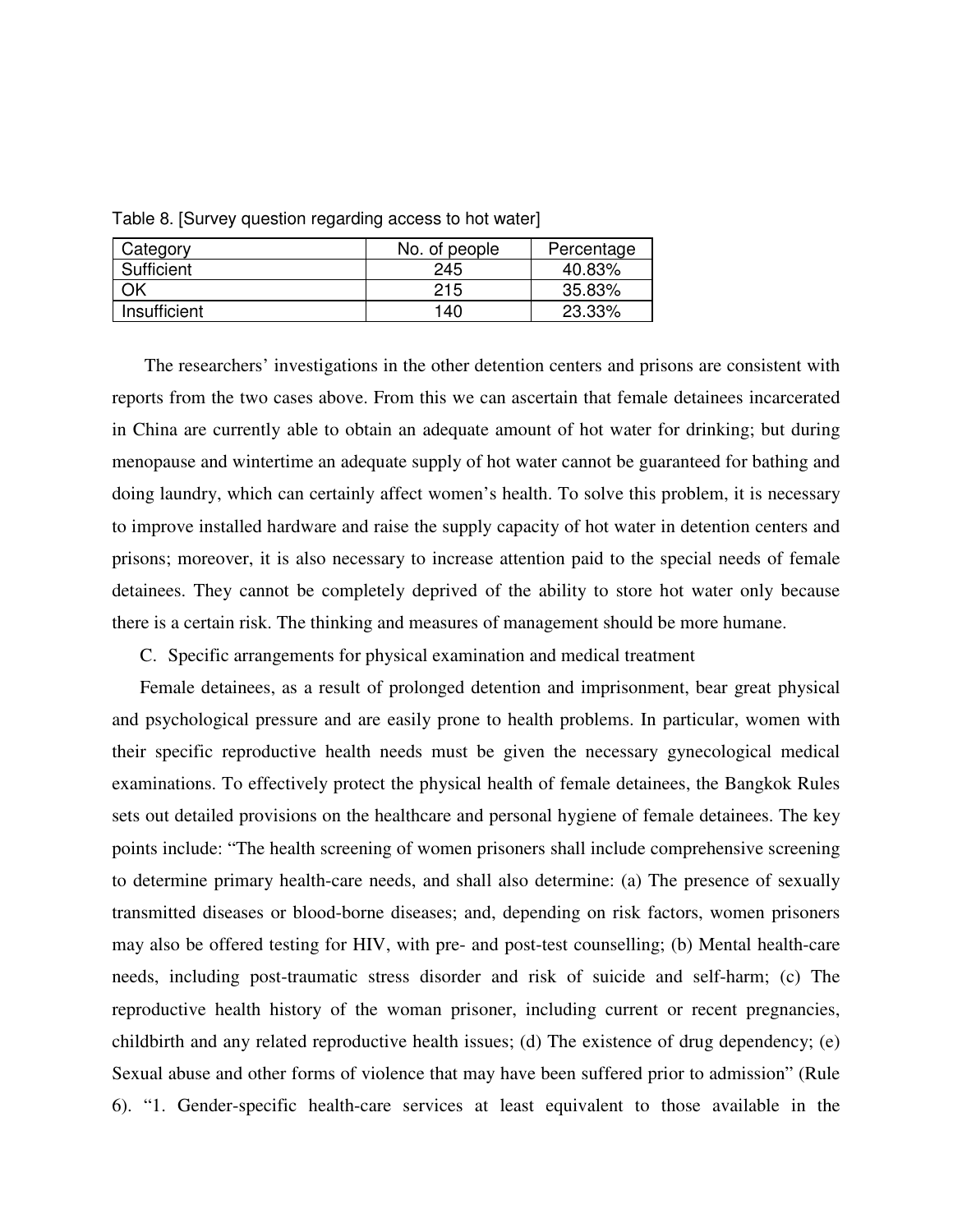| Category     | No. of people | Percentage |
|--------------|---------------|------------|
| Sufficient   | 245           | 40.83%     |
| DК           | 215           | 35.83%     |
| Insufficient | 140           | 23.33%     |

Table 8. [Survey question regarding access to hot water]

The researchers' investigations in the other detention centers and prisons are consistent with reports from the two cases above. From this we can ascertain that female detainees incarcerated in China are currently able to obtain an adequate amount of hot water for drinking; but during menopause and wintertime an adequate supply of hot water cannot be guaranteed for bathing and doing laundry, which can certainly affect women's health. To solve this problem, it is necessary to improve installed hardware and raise the supply capacity of hot water in detention centers and prisons; moreover, it is also necessary to increase attention paid to the special needs of female detainees. They cannot be completely deprived of the ability to store hot water only because there is a certain risk. The thinking and measures of management should be more humane.

C. Specific arrangements for physical examination and medical treatment

Female detainees, as a result of prolonged detention and imprisonment, bear great physical and psychological pressure and are easily prone to health problems. In particular, women with their specific reproductive health needs must be given the necessary gynecological medical examinations. To effectively protect the physical health of female detainees, the Bangkok Rules sets out detailed provisions on the healthcare and personal hygiene of female detainees. The key points include: "The health screening of women prisoners shall include comprehensive screening to determine primary health-care needs, and shall also determine: (a) The presence of sexually transmitted diseases or blood-borne diseases; and, depending on risk factors, women prisoners may also be offered testing for HIV, with pre- and post-test counselling; (b) Mental health-care needs, including post-traumatic stress disorder and risk of suicide and self-harm; (c) The reproductive health history of the woman prisoner, including current or recent pregnancies, childbirth and any related reproductive health issues; (d) The existence of drug dependency; (e) Sexual abuse and other forms of violence that may have been suffered prior to admission" (Rule 6). "1. Gender-specific health-care services at least equivalent to those available in the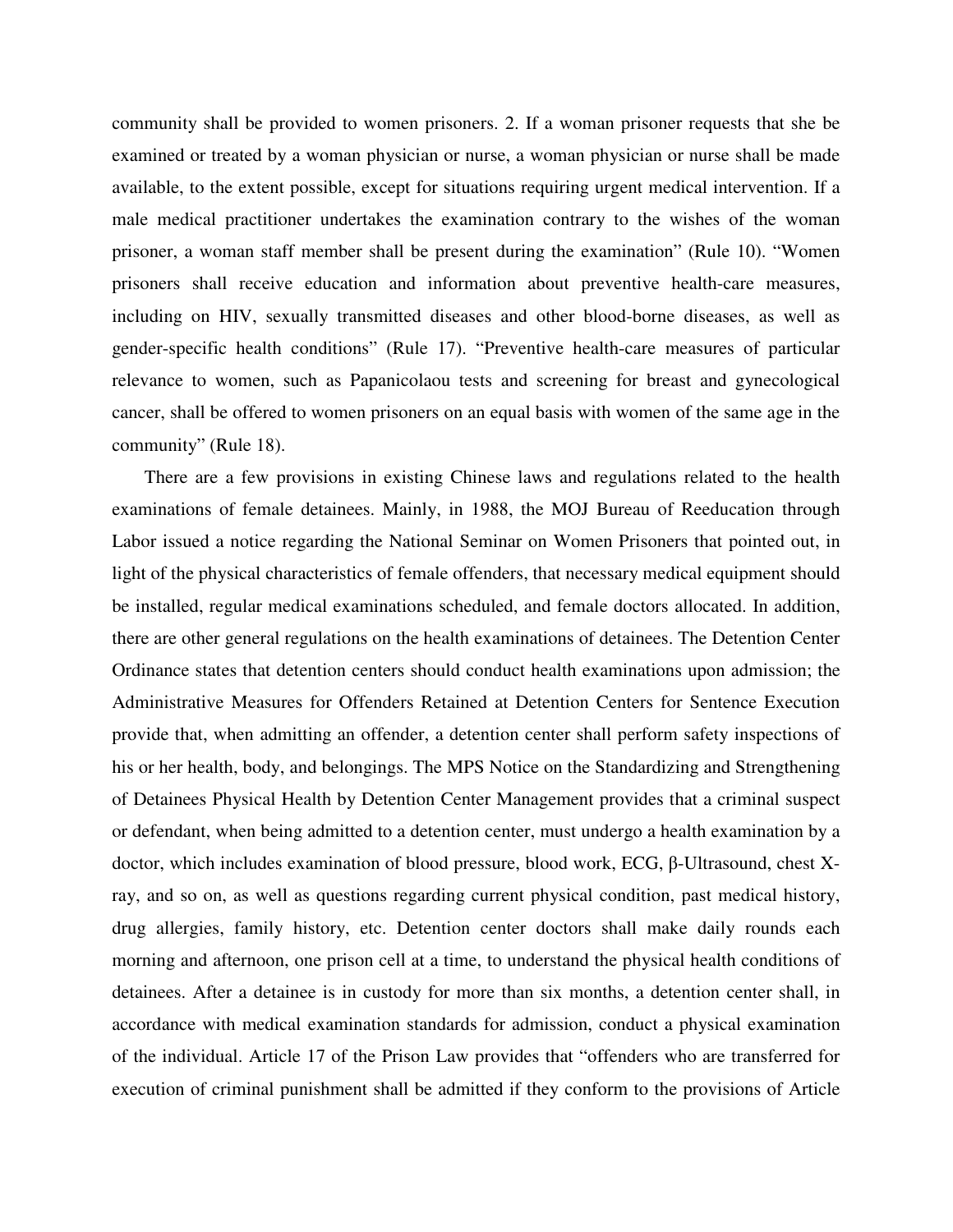community shall be provided to women prisoners. 2. If a woman prisoner requests that she be examined or treated by a woman physician or nurse, a woman physician or nurse shall be made available, to the extent possible, except for situations requiring urgent medical intervention. If a male medical practitioner undertakes the examination contrary to the wishes of the woman prisoner, a woman staff member shall be present during the examination" (Rule 10). "Women prisoners shall receive education and information about preventive health-care measures, including on HIV, sexually transmitted diseases and other blood-borne diseases, as well as gender-specific health conditions" (Rule 17). "Preventive health-care measures of particular relevance to women, such as Papanicolaou tests and screening for breast and gynecological cancer, shall be offered to women prisoners on an equal basis with women of the same age in the community" (Rule 18).

There are a few provisions in existing Chinese laws and regulations related to the health examinations of female detainees. Mainly, in 1988, the MOJ Bureau of Reeducation through Labor issued a notice regarding the National Seminar on Women Prisoners that pointed out, in light of the physical characteristics of female offenders, that necessary medical equipment should be installed, regular medical examinations scheduled, and female doctors allocated. In addition, there are other general regulations on the health examinations of detainees. The Detention Center Ordinance states that detention centers should conduct health examinations upon admission; the Administrative Measures for Offenders Retained at Detention Centers for Sentence Execution provide that, when admitting an offender, a detention center shall perform safety inspections of his or her health, body, and belongings. The MPS Notice on the Standardizing and Strengthening of Detainees Physical Health by Detention Center Management provides that a criminal suspect or defendant, when being admitted to a detention center, must undergo a health examination by a doctor, which includes examination of blood pressure, blood work, ECG, β-Ultrasound, chest Xray, and so on, as well as questions regarding current physical condition, past medical history, drug allergies, family history, etc. Detention center doctors shall make daily rounds each morning and afternoon, one prison cell at a time, to understand the physical health conditions of detainees. After a detainee is in custody for more than six months, a detention center shall, in accordance with medical examination standards for admission, conduct a physical examination of the individual. Article 17 of the Prison Law provides that "offenders who are transferred for execution of criminal punishment shall be admitted if they conform to the provisions of Article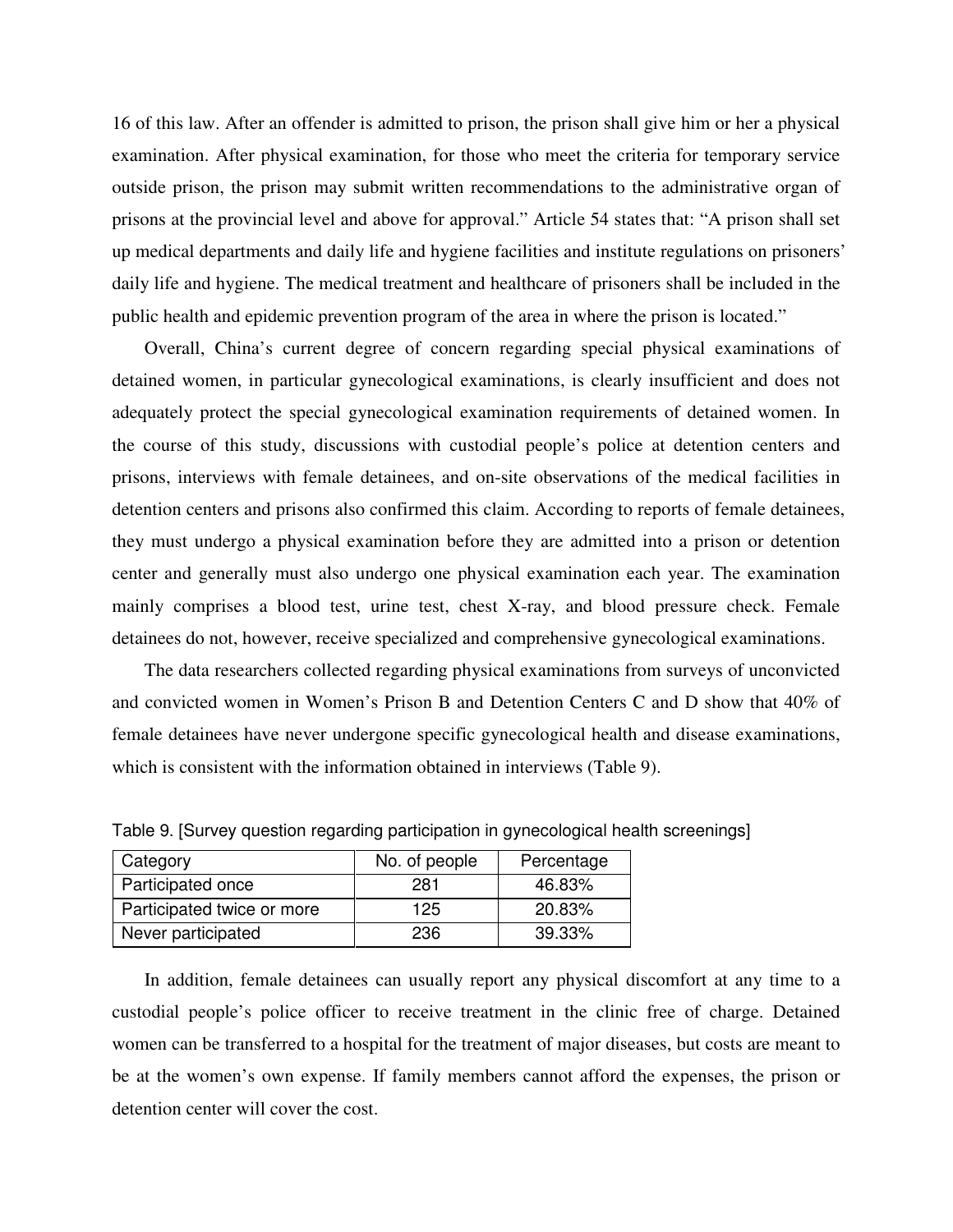16 of this law. After an offender is admitted to prison, the prison shall give him or her a physical examination. After physical examination, for those who meet the criteria for temporary service outside prison, the prison may submit written recommendations to the administrative organ of prisons at the provincial level and above for approval." Article 54 states that: "A prison shall set up medical departments and daily life and hygiene facilities and institute regulations on prisoners' daily life and hygiene. The medical treatment and healthcare of prisoners shall be included in the public health and epidemic prevention program of the area in where the prison is located."

Overall, China's current degree of concern regarding special physical examinations of detained women, in particular gynecological examinations, is clearly insufficient and does not adequately protect the special gynecological examination requirements of detained women. In the course of this study, discussions with custodial people's police at detention centers and prisons, interviews with female detainees, and on-site observations of the medical facilities in detention centers and prisons also confirmed this claim. According to reports of female detainees, they must undergo a physical examination before they are admitted into a prison or detention center and generally must also undergo one physical examination each year. The examination mainly comprises a blood test, urine test, chest X-ray, and blood pressure check. Female detainees do not, however, receive specialized and comprehensive gynecological examinations.

The data researchers collected regarding physical examinations from surveys of unconvicted and convicted women in Women's Prison B and Detention Centers C and D show that 40% of female detainees have never undergone specific gynecological health and disease examinations, which is consistent with the information obtained in interviews (Table 9).

| Category                   | No. of people | Percentage |
|----------------------------|---------------|------------|
| Participated once          | 281           | 46.83%     |
| Participated twice or more | 125           | 20.83%     |
| Never participated         | 236           | 39.33%     |

Table 9. [Survey question regarding participation in gynecological health screenings]

In addition, female detainees can usually report any physical discomfort at any time to a custodial people's police officer to receive treatment in the clinic free of charge. Detained women can be transferred to a hospital for the treatment of major diseases, but costs are meant to be at the women's own expense. If family members cannot afford the expenses, the prison or detention center will cover the cost.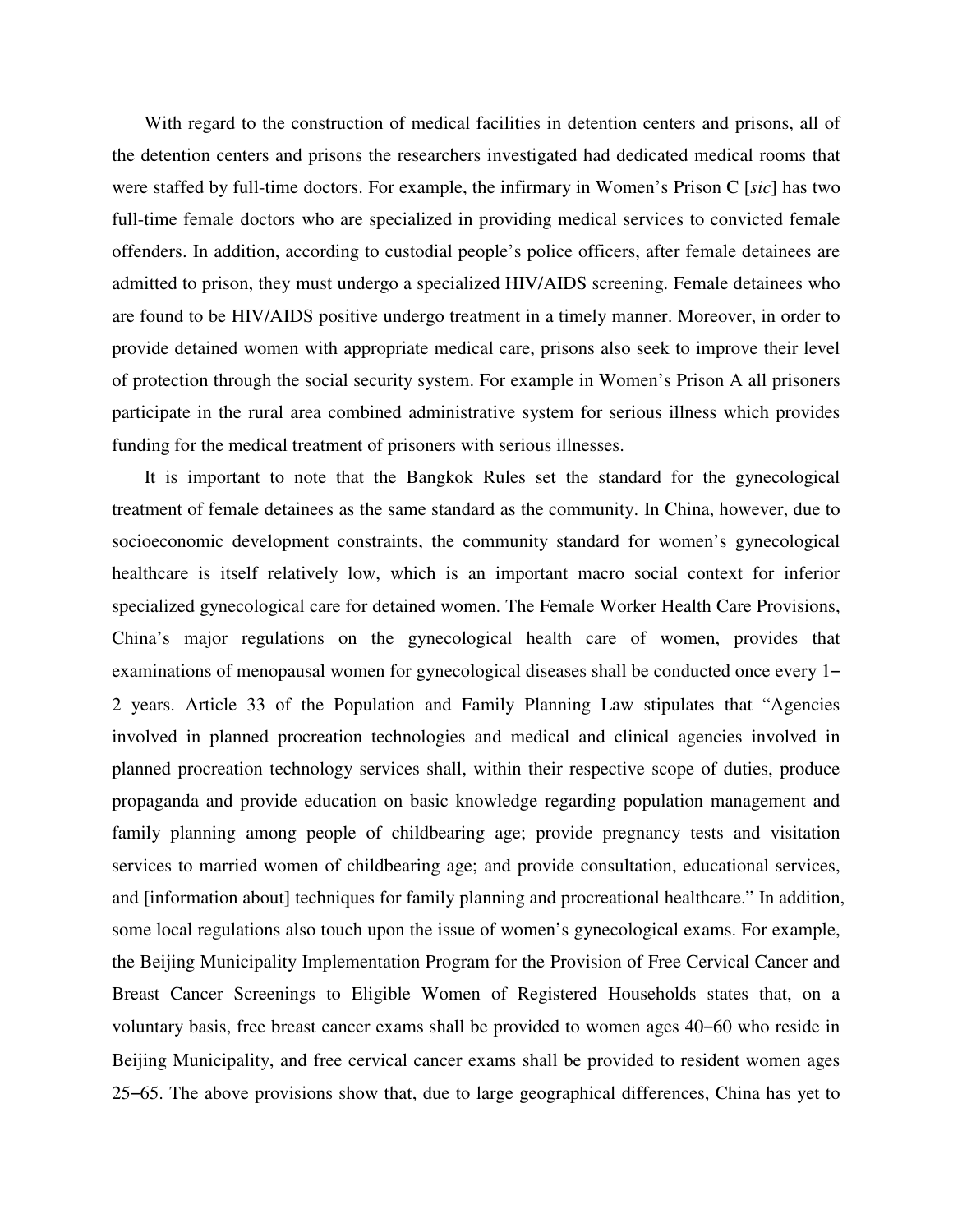With regard to the construction of medical facilities in detention centers and prisons, all of the detention centers and prisons the researchers investigated had dedicated medical rooms that were staffed by full-time doctors. For example, the infirmary in Women's Prison C [*sic*] has two full-time female doctors who are specialized in providing medical services to convicted female offenders. In addition, according to custodial people's police officers, after female detainees are admitted to prison, they must undergo a specialized HIV/AIDS screening. Female detainees who are found to be HIV/AIDS positive undergo treatment in a timely manner. Moreover, in order to provide detained women with appropriate medical care, prisons also seek to improve their level of protection through the social security system. For example in Women's Prison A all prisoners participate in the rural area combined administrative system for serious illness which provides funding for the medical treatment of prisoners with serious illnesses.

It is important to note that the Bangkok Rules set the standard for the gynecological treatment of female detainees as the same standard as the community. In China, however, due to socioeconomic development constraints, the community standard for women's gynecological healthcare is itself relatively low, which is an important macro social context for inferior specialized gynecological care for detained women. The Female Worker Health Care Provisions, China's major regulations on the gynecological health care of women, provides that examinations of menopausal women for gynecological diseases shall be conducted once every 1– 2 years. Article 33 of the Population and Family Planning Law stipulates that "Agencies involved in planned procreation technologies and medical and clinical agencies involved in planned procreation technology services shall, within their respective scope of duties, produce propaganda and provide education on basic knowledge regarding population management and family planning among people of childbearing age; provide pregnancy tests and visitation services to married women of childbearing age; and provide consultation, educational services, and [information about] techniques for family planning and procreational healthcare." In addition, some local regulations also touch upon the issue of women's gynecological exams. For example, the Beijing Municipality Implementation Program for the Provision of Free Cervical Cancer and Breast Cancer Screenings to Eligible Women of Registered Households states that, on a voluntary basis, free breast cancer exams shall be provided to women ages 40–60 who reside in Beijing Municipality, and free cervical cancer exams shall be provided to resident women ages 25‒65. The above provisions show that, due to large geographical differences, China has yet to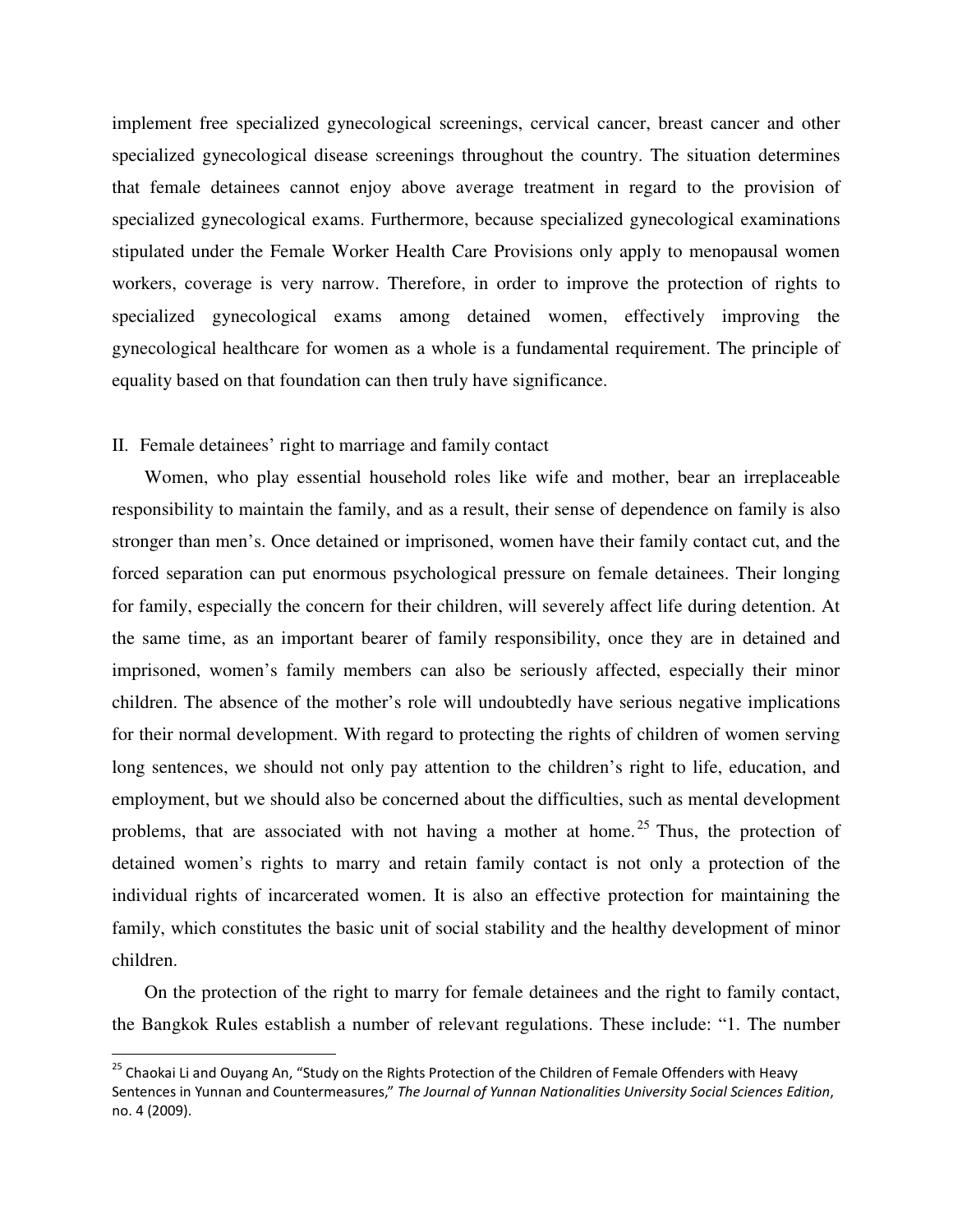implement free specialized gynecological screenings, cervical cancer, breast cancer and other specialized gynecological disease screenings throughout the country. The situation determines that female detainees cannot enjoy above average treatment in regard to the provision of specialized gynecological exams. Furthermore, because specialized gynecological examinations stipulated under the Female Worker Health Care Provisions only apply to menopausal women workers, coverage is very narrow. Therefore, in order to improve the protection of rights to specialized gynecological exams among detained women, effectively improving the gynecological healthcare for women as a whole is a fundamental requirement. The principle of equality based on that foundation can then truly have significance.

#### II. Female detainees' right to marriage and family contact

 $\overline{a}$ 

Women, who play essential household roles like wife and mother, bear an irreplaceable responsibility to maintain the family, and as a result, their sense of dependence on family is also stronger than men's. Once detained or imprisoned, women have their family contact cut, and the forced separation can put enormous psychological pressure on female detainees. Their longing for family, especially the concern for their children, will severely affect life during detention. At the same time, as an important bearer of family responsibility, once they are in detained and imprisoned, women's family members can also be seriously affected, especially their minor children. The absence of the mother's role will undoubtedly have serious negative implications for their normal development. With regard to protecting the rights of children of women serving long sentences, we should not only pay attention to the children's right to life, education, and employment, but we should also be concerned about the difficulties, such as mental development problems, that are associated with not having a mother at home.<sup>25</sup> Thus, the protection of detained women's rights to marry and retain family contact is not only a protection of the individual rights of incarcerated women. It is also an effective protection for maintaining the family, which constitutes the basic unit of social stability and the healthy development of minor children.

On the protection of the right to marry for female detainees and the right to family contact, the Bangkok Rules establish a number of relevant regulations. These include: "1. The number

<sup>&</sup>lt;sup>25</sup> Chaokai Li and Ouyang An, "Study on the Rights Protection of the Children of Female Offenders with Heavy Sentences in Yunnan and Countermeasures," The Journal of Yunnan Nationalities University Social Sciences Edition, no. 4 (2009).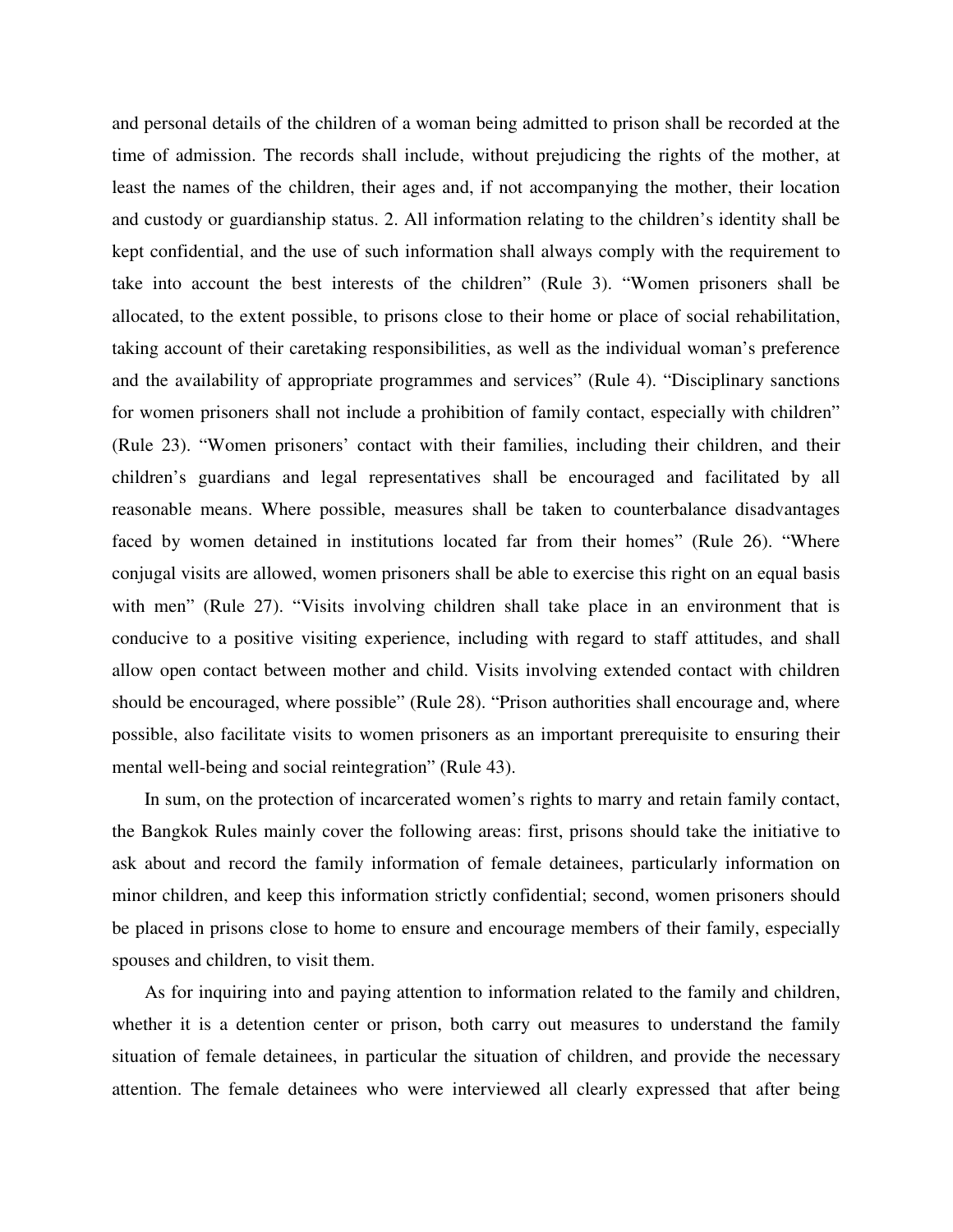and personal details of the children of a woman being admitted to prison shall be recorded at the time of admission. The records shall include, without prejudicing the rights of the mother, at least the names of the children, their ages and, if not accompanying the mother, their location and custody or guardianship status. 2. All information relating to the children's identity shall be kept confidential, and the use of such information shall always comply with the requirement to take into account the best interests of the children" (Rule 3). "Women prisoners shall be allocated, to the extent possible, to prisons close to their home or place of social rehabilitation, taking account of their caretaking responsibilities, as well as the individual woman's preference and the availability of appropriate programmes and services" (Rule 4). "Disciplinary sanctions for women prisoners shall not include a prohibition of family contact, especially with children" (Rule 23). "Women prisoners' contact with their families, including their children, and their children's guardians and legal representatives shall be encouraged and facilitated by all reasonable means. Where possible, measures shall be taken to counterbalance disadvantages faced by women detained in institutions located far from their homes" (Rule 26). "Where conjugal visits are allowed, women prisoners shall be able to exercise this right on an equal basis with men" (Rule 27). "Visits involving children shall take place in an environment that is conducive to a positive visiting experience, including with regard to staff attitudes, and shall allow open contact between mother and child. Visits involving extended contact with children should be encouraged, where possible" (Rule 28). "Prison authorities shall encourage and, where possible, also facilitate visits to women prisoners as an important prerequisite to ensuring their mental well-being and social reintegration" (Rule 43).

In sum, on the protection of incarcerated women's rights to marry and retain family contact, the Bangkok Rules mainly cover the following areas: first, prisons should take the initiative to ask about and record the family information of female detainees, particularly information on minor children, and keep this information strictly confidential; second, women prisoners should be placed in prisons close to home to ensure and encourage members of their family, especially spouses and children, to visit them.

As for inquiring into and paying attention to information related to the family and children, whether it is a detention center or prison, both carry out measures to understand the family situation of female detainees, in particular the situation of children, and provide the necessary attention. The female detainees who were interviewed all clearly expressed that after being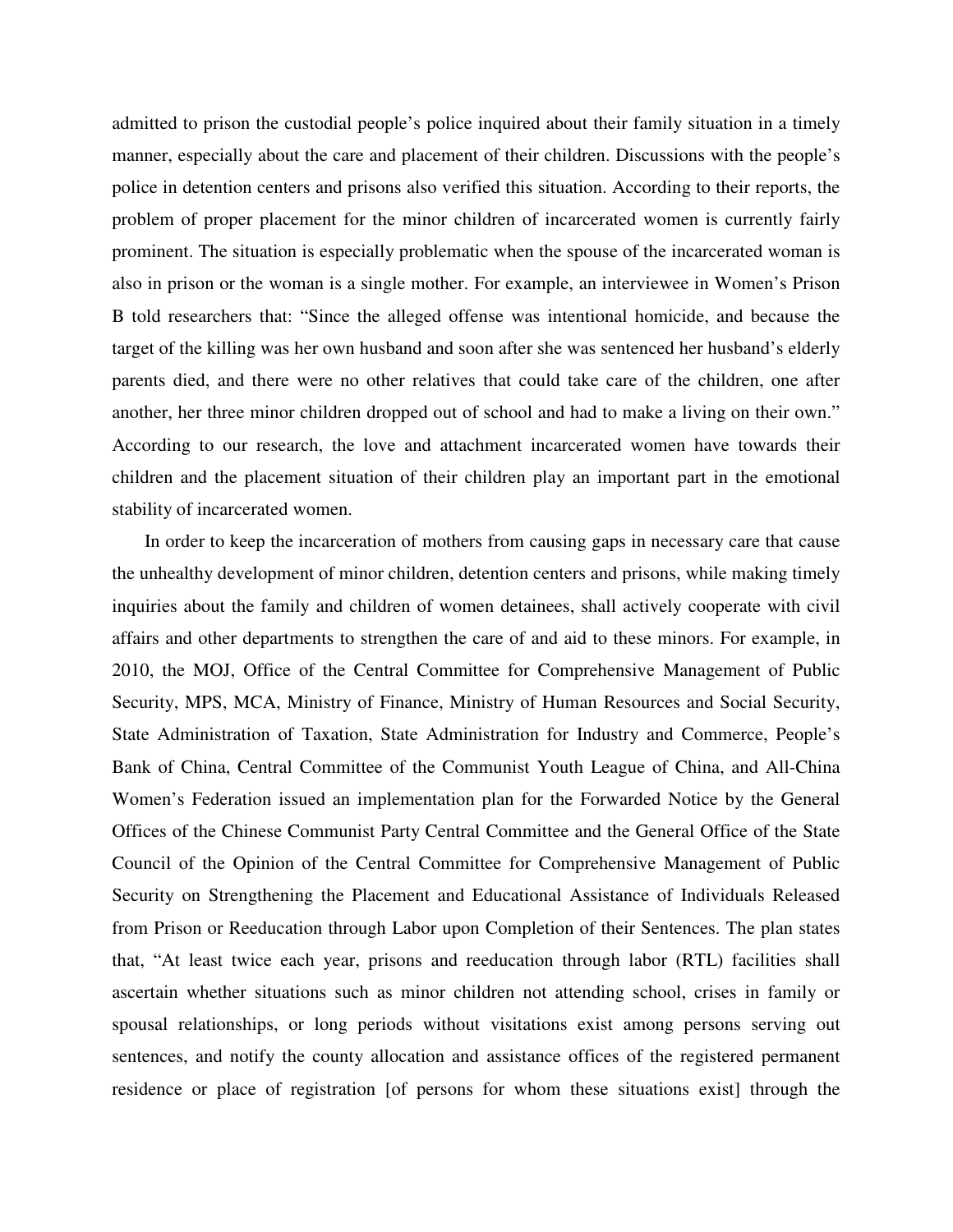admitted to prison the custodial people's police inquired about their family situation in a timely manner, especially about the care and placement of their children. Discussions with the people's police in detention centers and prisons also verified this situation. According to their reports, the problem of proper placement for the minor children of incarcerated women is currently fairly prominent. The situation is especially problematic when the spouse of the incarcerated woman is also in prison or the woman is a single mother. For example, an interviewee in Women's Prison B told researchers that: "Since the alleged offense was intentional homicide, and because the target of the killing was her own husband and soon after she was sentenced her husband's elderly parents died, and there were no other relatives that could take care of the children, one after another, her three minor children dropped out of school and had to make a living on their own." According to our research, the love and attachment incarcerated women have towards their children and the placement situation of their children play an important part in the emotional stability of incarcerated women.

In order to keep the incarceration of mothers from causing gaps in necessary care that cause the unhealthy development of minor children, detention centers and prisons, while making timely inquiries about the family and children of women detainees, shall actively cooperate with civil affairs and other departments to strengthen the care of and aid to these minors. For example, in 2010, the MOJ, Office of the Central Committee for Comprehensive Management of Public Security, MPS, MCA, Ministry of Finance, Ministry of Human Resources and Social Security, State Administration of Taxation, State Administration for Industry and Commerce, People's Bank of China, Central Committee of the Communist Youth League of China, and All-China Women's Federation issued an implementation plan for the Forwarded Notice by the General Offices of the Chinese Communist Party Central Committee and the General Office of the State Council of the Opinion of the Central Committee for Comprehensive Management of Public Security on Strengthening the Placement and Educational Assistance of Individuals Released from Prison or Reeducation through Labor upon Completion of their Sentences. The plan states that, "At least twice each year, prisons and reeducation through labor (RTL) facilities shall ascertain whether situations such as minor children not attending school, crises in family or spousal relationships, or long periods without visitations exist among persons serving out sentences, and notify the county allocation and assistance offices of the registered permanent residence or place of registration [of persons for whom these situations exist] through the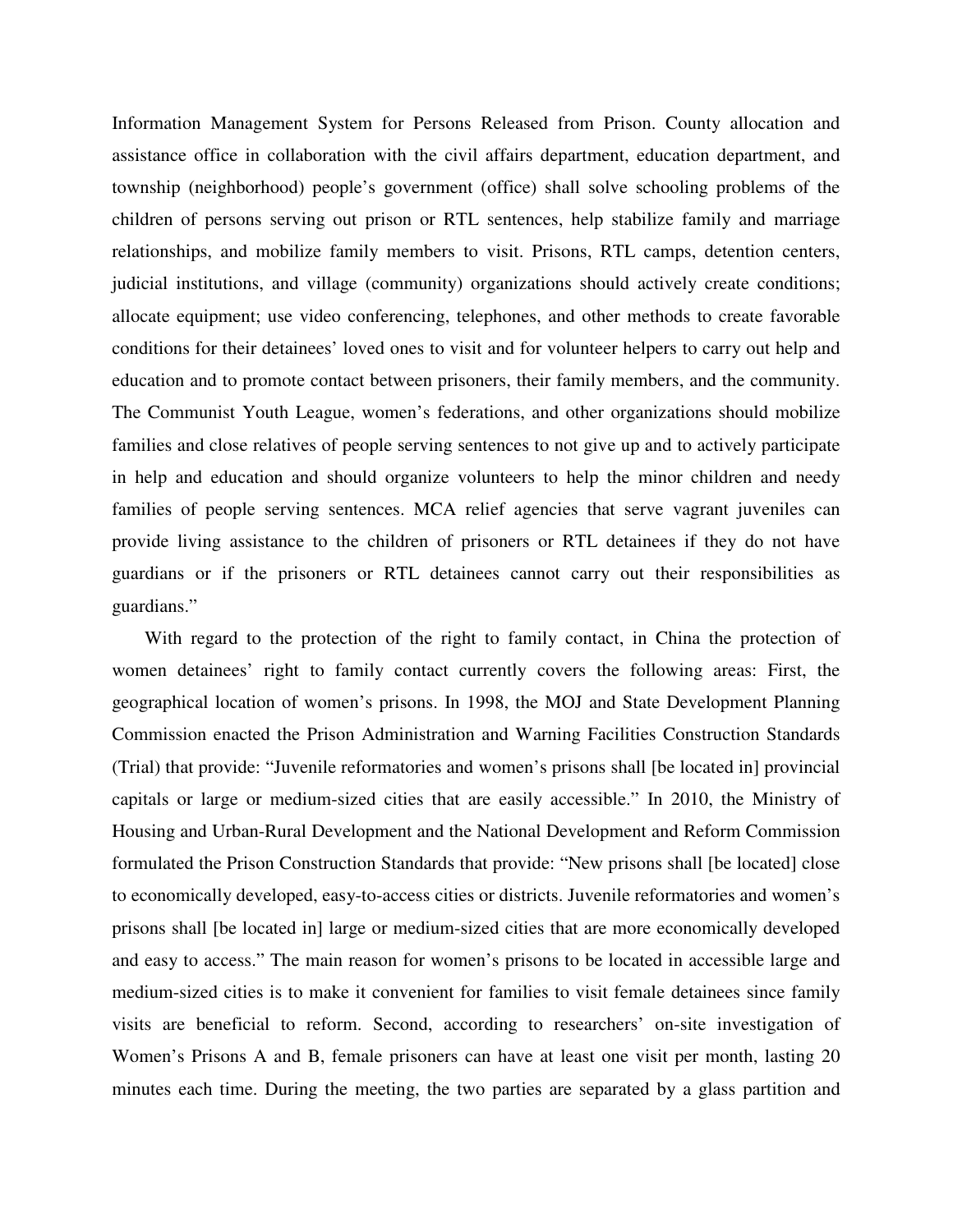Information Management System for Persons Released from Prison. County allocation and assistance office in collaboration with the civil affairs department, education department, and township (neighborhood) people's government (office) shall solve schooling problems of the children of persons serving out prison or RTL sentences, help stabilize family and marriage relationships, and mobilize family members to visit. Prisons, RTL camps, detention centers, judicial institutions, and village (community) organizations should actively create conditions; allocate equipment; use video conferencing, telephones, and other methods to create favorable conditions for their detainees' loved ones to visit and for volunteer helpers to carry out help and education and to promote contact between prisoners, their family members, and the community. The Communist Youth League, women's federations, and other organizations should mobilize families and close relatives of people serving sentences to not give up and to actively participate in help and education and should organize volunteers to help the minor children and needy families of people serving sentences. MCA relief agencies that serve vagrant juveniles can provide living assistance to the children of prisoners or RTL detainees if they do not have guardians or if the prisoners or RTL detainees cannot carry out their responsibilities as guardians."

With regard to the protection of the right to family contact, in China the protection of women detainees' right to family contact currently covers the following areas: First, the geographical location of women's prisons. In 1998, the MOJ and State Development Planning Commission enacted the Prison Administration and Warning Facilities Construction Standards (Trial) that provide: "Juvenile reformatories and women's prisons shall [be located in] provincial capitals or large or medium-sized cities that are easily accessible." In 2010, the Ministry of Housing and Urban-Rural Development and the National Development and Reform Commission formulated the Prison Construction Standards that provide: "New prisons shall [be located] close to economically developed, easy-to-access cities or districts. Juvenile reformatories and women's prisons shall [be located in] large or medium-sized cities that are more economically developed and easy to access." The main reason for women's prisons to be located in accessible large and medium-sized cities is to make it convenient for families to visit female detainees since family visits are beneficial to reform. Second, according to researchers' on-site investigation of Women's Prisons A and B, female prisoners can have at least one visit per month, lasting 20 minutes each time. During the meeting, the two parties are separated by a glass partition and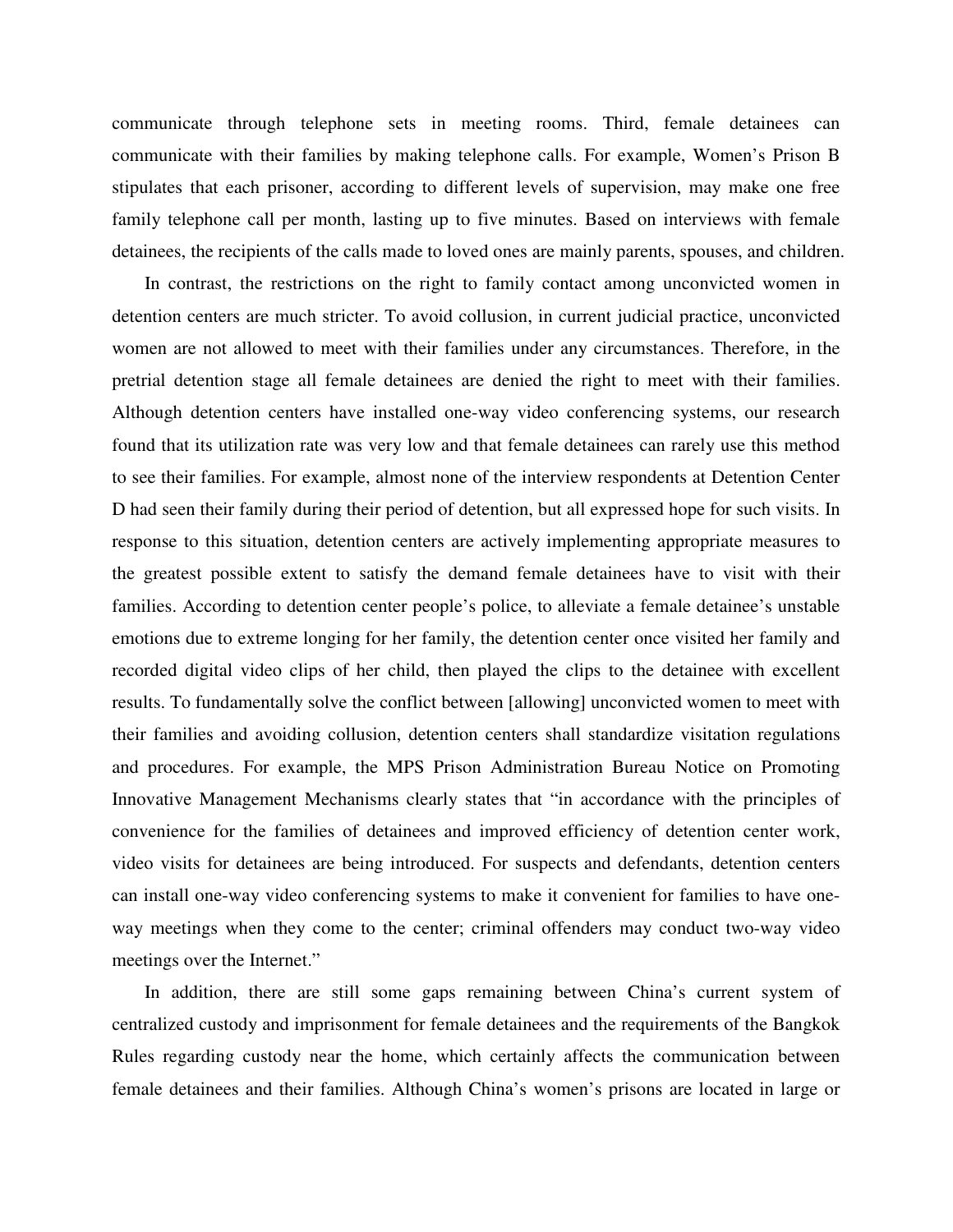communicate through telephone sets in meeting rooms. Third, female detainees can communicate with their families by making telephone calls. For example, Women's Prison B stipulates that each prisoner, according to different levels of supervision, may make one free family telephone call per month, lasting up to five minutes. Based on interviews with female detainees, the recipients of the calls made to loved ones are mainly parents, spouses, and children.

In contrast, the restrictions on the right to family contact among unconvicted women in detention centers are much stricter. To avoid collusion, in current judicial practice, unconvicted women are not allowed to meet with their families under any circumstances. Therefore, in the pretrial detention stage all female detainees are denied the right to meet with their families. Although detention centers have installed one-way video conferencing systems, our research found that its utilization rate was very low and that female detainees can rarely use this method to see their families. For example, almost none of the interview respondents at Detention Center D had seen their family during their period of detention, but all expressed hope for such visits. In response to this situation, detention centers are actively implementing appropriate measures to the greatest possible extent to satisfy the demand female detainees have to visit with their families. According to detention center people's police, to alleviate a female detainee's unstable emotions due to extreme longing for her family, the detention center once visited her family and recorded digital video clips of her child, then played the clips to the detainee with excellent results. To fundamentally solve the conflict between [allowing] unconvicted women to meet with their families and avoiding collusion, detention centers shall standardize visitation regulations and procedures. For example, the MPS Prison Administration Bureau Notice on Promoting Innovative Management Mechanisms clearly states that "in accordance with the principles of convenience for the families of detainees and improved efficiency of detention center work, video visits for detainees are being introduced. For suspects and defendants, detention centers can install one-way video conferencing systems to make it convenient for families to have oneway meetings when they come to the center; criminal offenders may conduct two-way video meetings over the Internet."

In addition, there are still some gaps remaining between China's current system of centralized custody and imprisonment for female detainees and the requirements of the Bangkok Rules regarding custody near the home, which certainly affects the communication between female detainees and their families. Although China's women's prisons are located in large or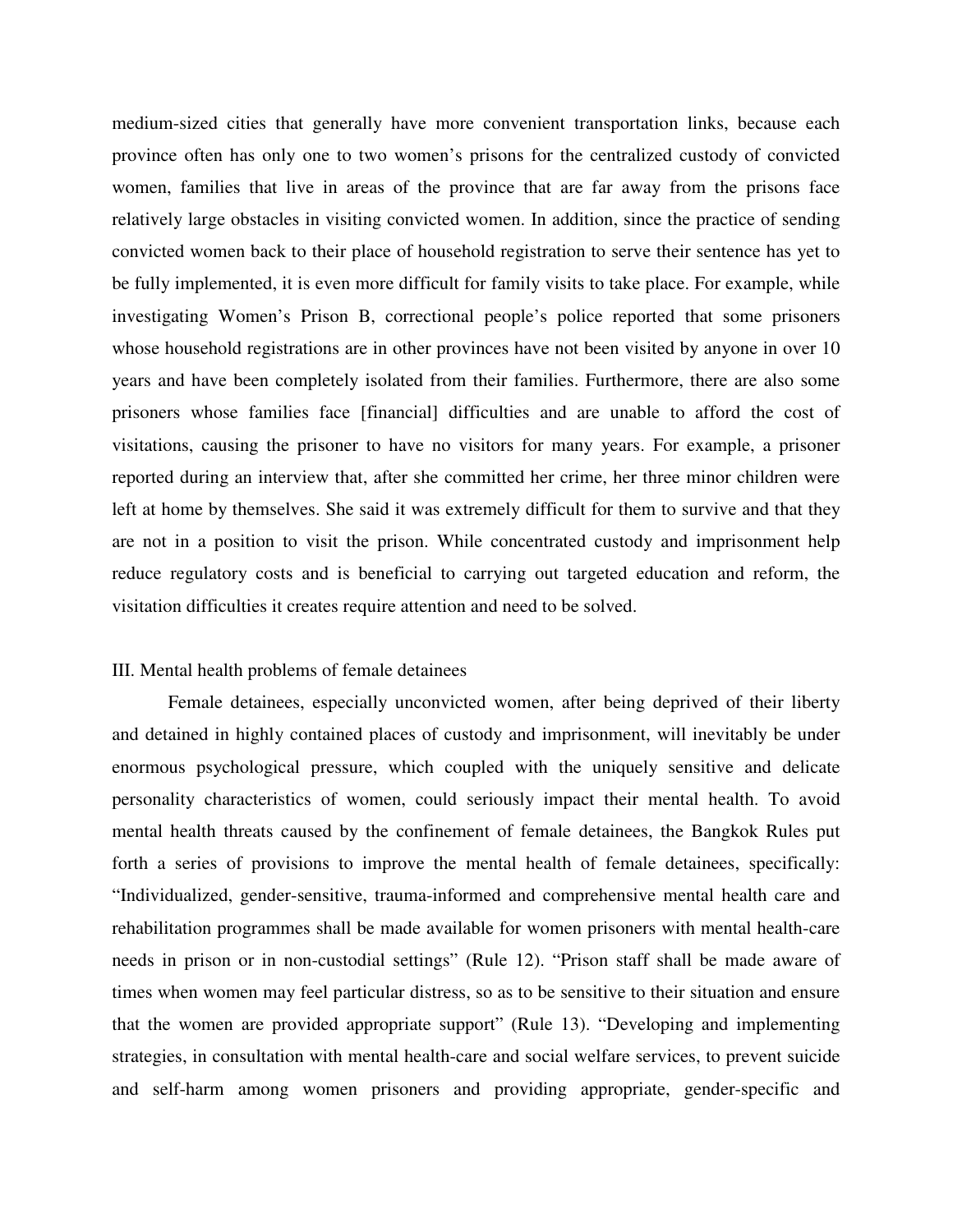medium-sized cities that generally have more convenient transportation links, because each province often has only one to two women's prisons for the centralized custody of convicted women, families that live in areas of the province that are far away from the prisons face relatively large obstacles in visiting convicted women. In addition, since the practice of sending convicted women back to their place of household registration to serve their sentence has yet to be fully implemented, it is even more difficult for family visits to take place. For example, while investigating Women's Prison B, correctional people's police reported that some prisoners whose household registrations are in other provinces have not been visited by anyone in over 10 years and have been completely isolated from their families. Furthermore, there are also some prisoners whose families face [financial] difficulties and are unable to afford the cost of visitations, causing the prisoner to have no visitors for many years. For example, a prisoner reported during an interview that, after she committed her crime, her three minor children were left at home by themselves. She said it was extremely difficult for them to survive and that they are not in a position to visit the prison. While concentrated custody and imprisonment help reduce regulatory costs and is beneficial to carrying out targeted education and reform, the visitation difficulties it creates require attention and need to be solved.

# III. Mental health problems of female detainees

 Female detainees, especially unconvicted women, after being deprived of their liberty and detained in highly contained places of custody and imprisonment, will inevitably be under enormous psychological pressure, which coupled with the uniquely sensitive and delicate personality characteristics of women, could seriously impact their mental health. To avoid mental health threats caused by the confinement of female detainees, the Bangkok Rules put forth a series of provisions to improve the mental health of female detainees, specifically: "Individualized, gender-sensitive, trauma-informed and comprehensive mental health care and rehabilitation programmes shall be made available for women prisoners with mental health-care needs in prison or in non-custodial settings" (Rule 12). "Prison staff shall be made aware of times when women may feel particular distress, so as to be sensitive to their situation and ensure that the women are provided appropriate support" (Rule 13). "Developing and implementing strategies, in consultation with mental health-care and social welfare services, to prevent suicide and self-harm among women prisoners and providing appropriate, gender-specific and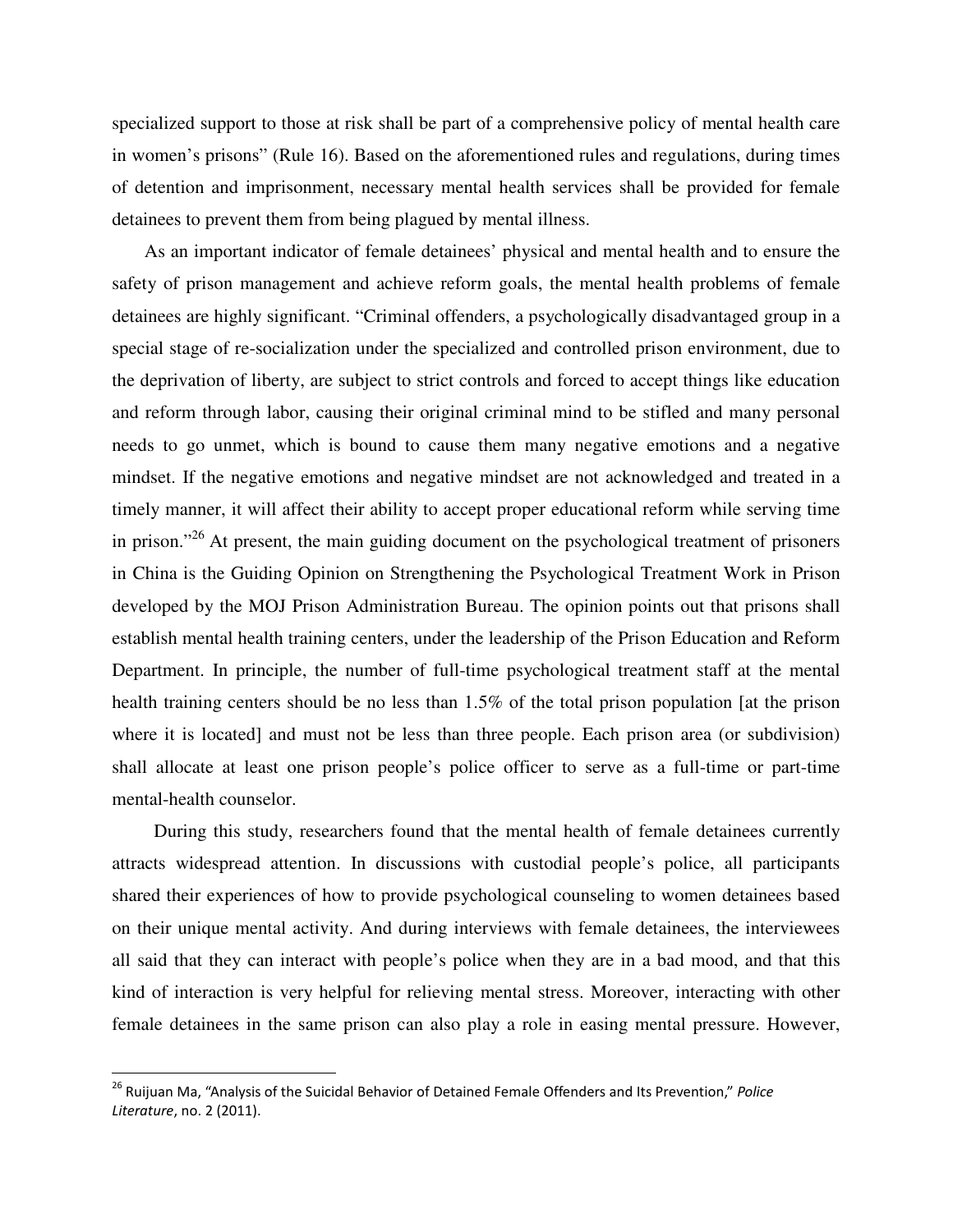specialized support to those at risk shall be part of a comprehensive policy of mental health care in women's prisons" (Rule 16). Based on the aforementioned rules and regulations, during times of detention and imprisonment, necessary mental health services shall be provided for female detainees to prevent them from being plagued by mental illness.

As an important indicator of female detainees' physical and mental health and to ensure the safety of prison management and achieve reform goals, the mental health problems of female detainees are highly significant. "Criminal offenders, a psychologically disadvantaged group in a special stage of re-socialization under the specialized and controlled prison environment, due to the deprivation of liberty, are subject to strict controls and forced to accept things like education and reform through labor, causing their original criminal mind to be stifled and many personal needs to go unmet, which is bound to cause them many negative emotions and a negative mindset. If the negative emotions and negative mindset are not acknowledged and treated in a timely manner, it will affect their ability to accept proper educational reform while serving time in prison."<sup>26</sup> At present, the main guiding document on the psychological treatment of prisoners in China is the Guiding Opinion on Strengthening the Psychological Treatment Work in Prison developed by the MOJ Prison Administration Bureau. The opinion points out that prisons shall establish mental health training centers, under the leadership of the Prison Education and Reform Department. In principle, the number of full-time psychological treatment staff at the mental health training centers should be no less than 1.5% of the total prison population [at the prison where it is located] and must not be less than three people. Each prison area (or subdivision) shall allocate at least one prison people's police officer to serve as a full-time or part-time mental-health counselor.

During this study, researchers found that the mental health of female detainees currently attracts widespread attention. In discussions with custodial people's police, all participants shared their experiences of how to provide psychological counseling to women detainees based on their unique mental activity. And during interviews with female detainees, the interviewees all said that they can interact with people's police when they are in a bad mood, and that this kind of interaction is very helpful for relieving mental stress. Moreover, interacting with other female detainees in the same prison can also play a role in easing mental pressure. However,

<sup>&</sup>lt;sup>26</sup> Ruijuan Ma, "Analysis of the Suicidal Behavior of Detained Female Offenders and Its Prevention," Police Literature, no. 2 (2011).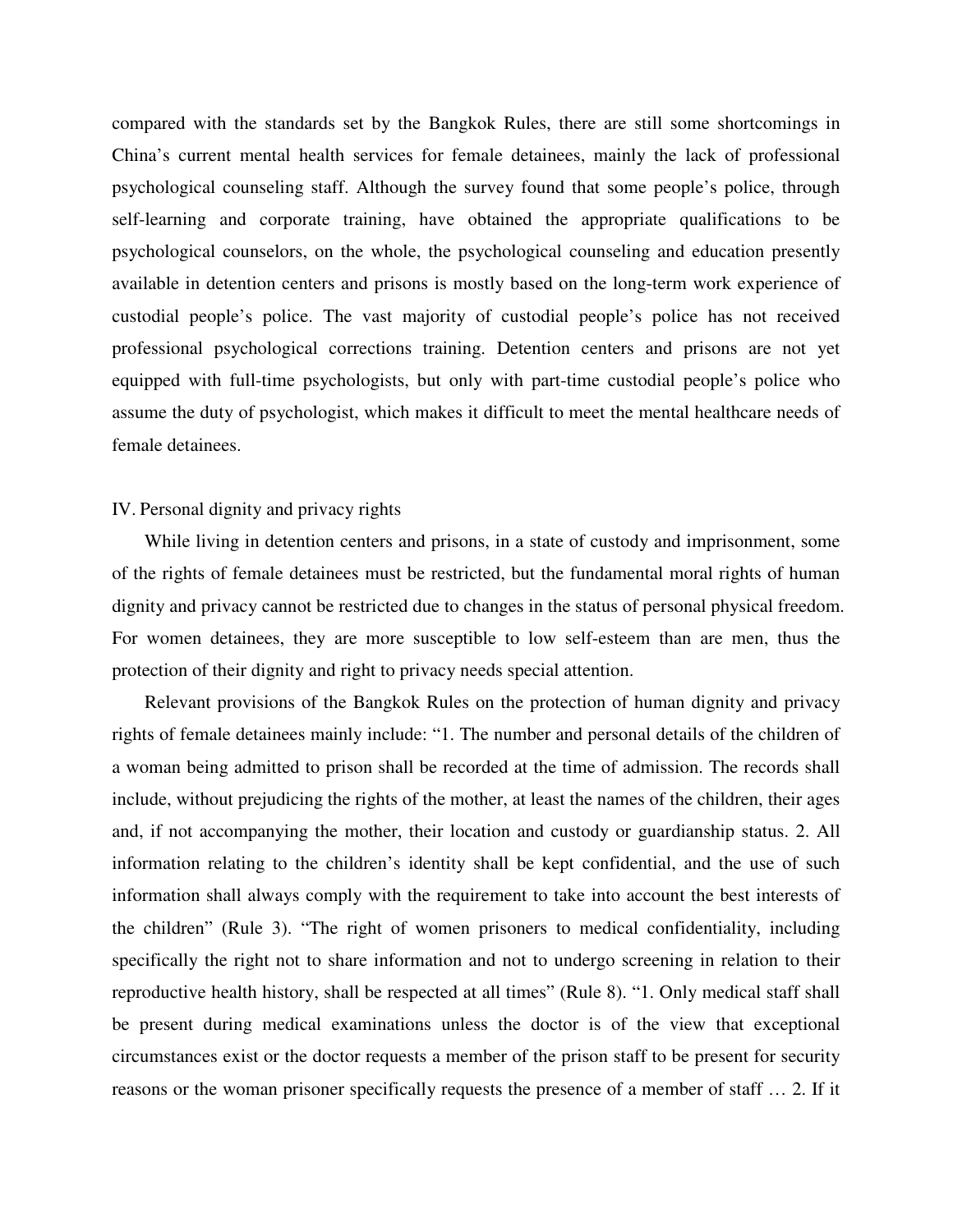compared with the standards set by the Bangkok Rules, there are still some shortcomings in China's current mental health services for female detainees, mainly the lack of professional psychological counseling staff. Although the survey found that some people's police, through self-learning and corporate training, have obtained the appropriate qualifications to be psychological counselors, on the whole, the psychological counseling and education presently available in detention centers and prisons is mostly based on the long-term work experience of custodial people's police. The vast majority of custodial people's police has not received professional psychological corrections training. Detention centers and prisons are not yet equipped with full-time psychologists, but only with part-time custodial people's police who assume the duty of psychologist, which makes it difficult to meet the mental healthcare needs of female detainees.

# IV. Personal dignity and privacy rights

While living in detention centers and prisons, in a state of custody and imprisonment, some of the rights of female detainees must be restricted, but the fundamental moral rights of human dignity and privacy cannot be restricted due to changes in the status of personal physical freedom. For women detainees, they are more susceptible to low self-esteem than are men, thus the protection of their dignity and right to privacy needs special attention.

Relevant provisions of the Bangkok Rules on the protection of human dignity and privacy rights of female detainees mainly include: "1. The number and personal details of the children of a woman being admitted to prison shall be recorded at the time of admission. The records shall include, without prejudicing the rights of the mother, at least the names of the children, their ages and, if not accompanying the mother, their location and custody or guardianship status. 2. All information relating to the children's identity shall be kept confidential, and the use of such information shall always comply with the requirement to take into account the best interests of the children" (Rule 3). "The right of women prisoners to medical confidentiality, including specifically the right not to share information and not to undergo screening in relation to their reproductive health history, shall be respected at all times" (Rule 8). "1. Only medical staff shall be present during medical examinations unless the doctor is of the view that exceptional circumstances exist or the doctor requests a member of the prison staff to be present for security reasons or the woman prisoner specifically requests the presence of a member of staff … 2. If it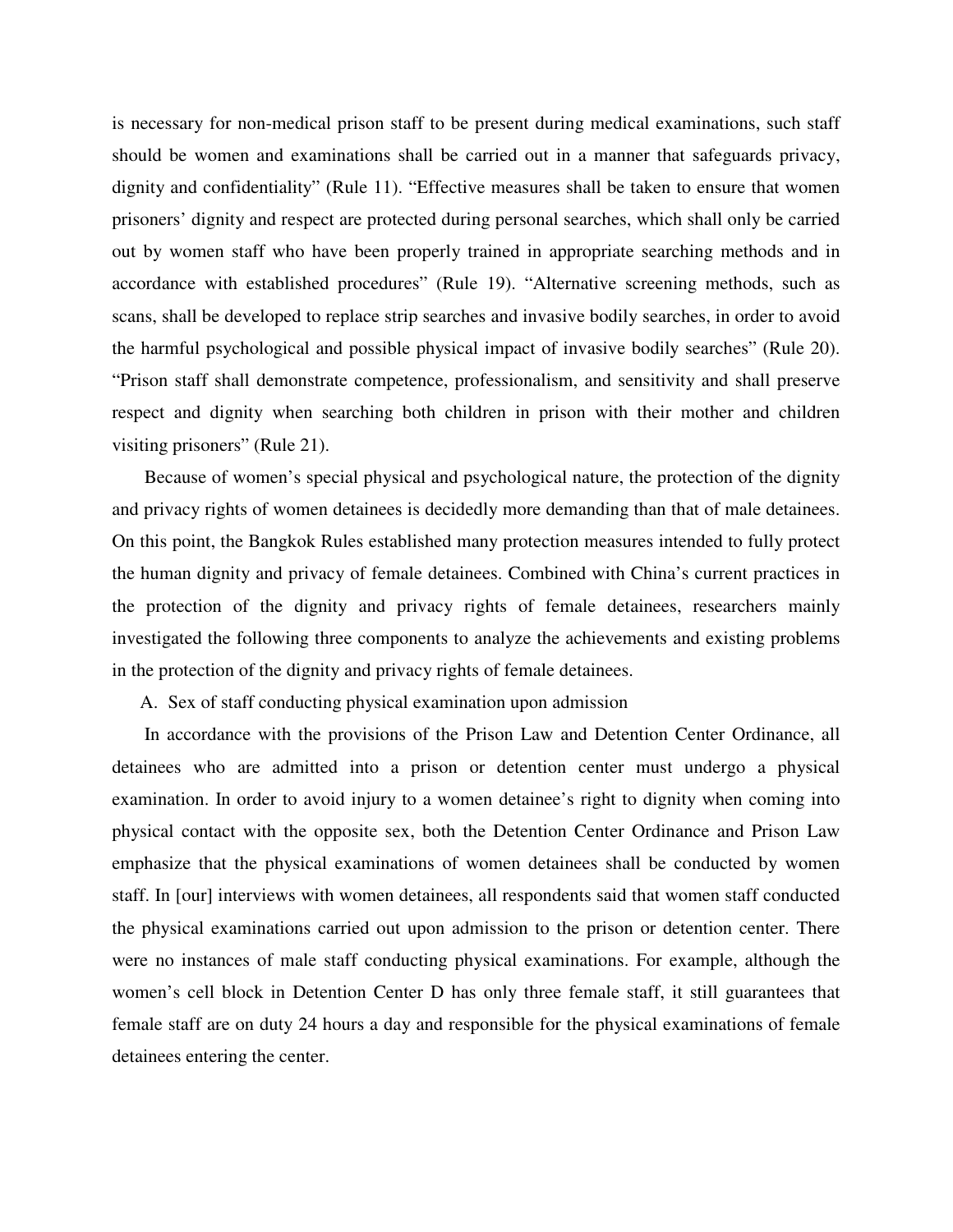is necessary for non-medical prison staff to be present during medical examinations, such staff should be women and examinations shall be carried out in a manner that safeguards privacy, dignity and confidentiality" (Rule 11). "Effective measures shall be taken to ensure that women prisoners' dignity and respect are protected during personal searches, which shall only be carried out by women staff who have been properly trained in appropriate searching methods and in accordance with established procedures" (Rule 19). "Alternative screening methods, such as scans, shall be developed to replace strip searches and invasive bodily searches, in order to avoid the harmful psychological and possible physical impact of invasive bodily searches" (Rule 20). "Prison staff shall demonstrate competence, professionalism, and sensitivity and shall preserve respect and dignity when searching both children in prison with their mother and children visiting prisoners" (Rule 21).

Because of women's special physical and psychological nature, the protection of the dignity and privacy rights of women detainees is decidedly more demanding than that of male detainees. On this point, the Bangkok Rules established many protection measures intended to fully protect the human dignity and privacy of female detainees. Combined with China's current practices in the protection of the dignity and privacy rights of female detainees, researchers mainly investigated the following three components to analyze the achievements and existing problems in the protection of the dignity and privacy rights of female detainees.

A. Sex of staff conducting physical examination upon admission

In accordance with the provisions of the Prison Law and Detention Center Ordinance, all detainees who are admitted into a prison or detention center must undergo a physical examination. In order to avoid injury to a women detainee's right to dignity when coming into physical contact with the opposite sex, both the Detention Center Ordinance and Prison Law emphasize that the physical examinations of women detainees shall be conducted by women staff. In [our] interviews with women detainees, all respondents said that women staff conducted the physical examinations carried out upon admission to the prison or detention center. There were no instances of male staff conducting physical examinations. For example, although the women's cell block in Detention Center D has only three female staff, it still guarantees that female staff are on duty 24 hours a day and responsible for the physical examinations of female detainees entering the center.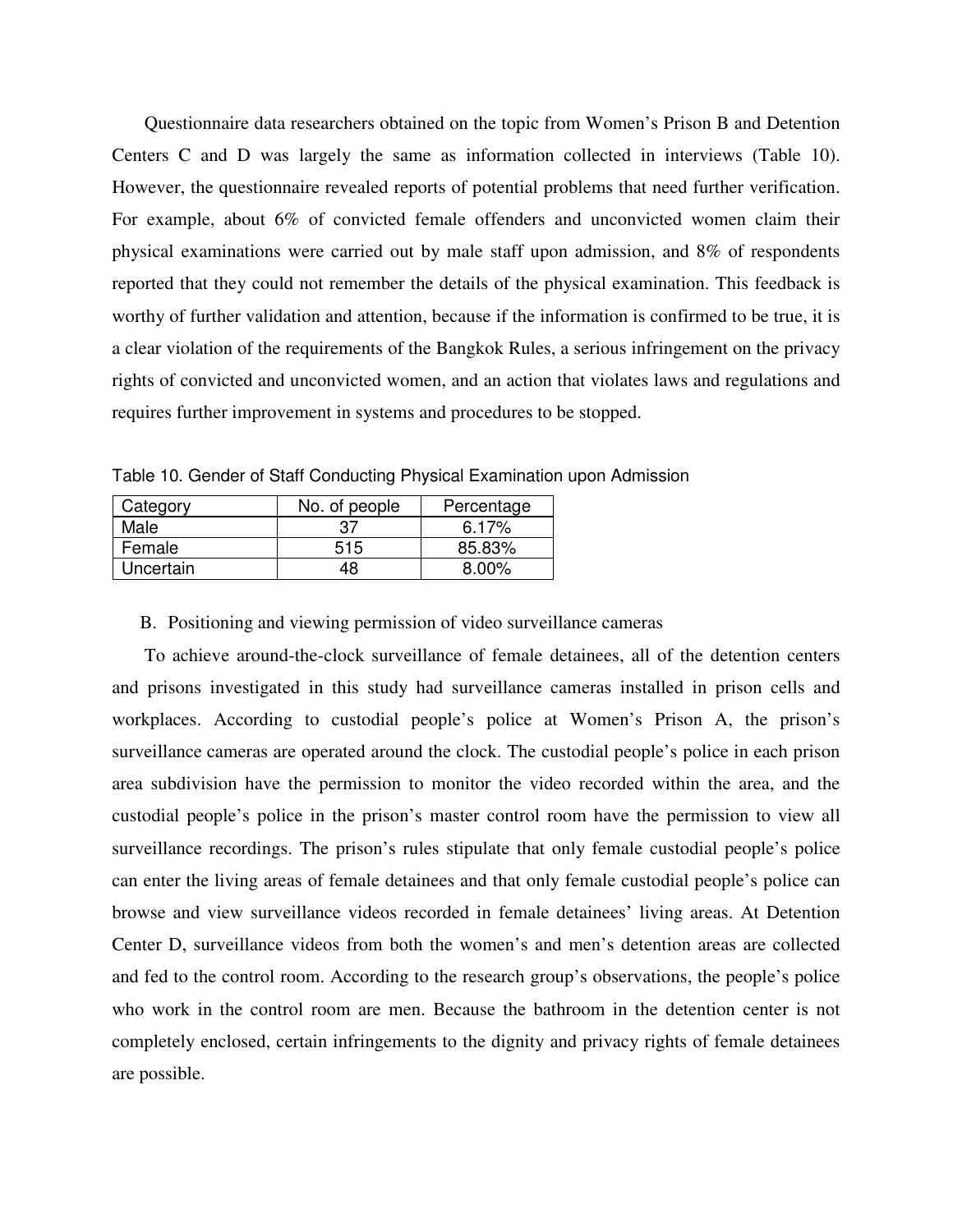Questionnaire data researchers obtained on the topic from Women's Prison B and Detention Centers C and D was largely the same as information collected in interviews (Table 10). However, the questionnaire revealed reports of potential problems that need further verification. For example, about 6% of convicted female offenders and unconvicted women claim their physical examinations were carried out by male staff upon admission, and 8% of respondents reported that they could not remember the details of the physical examination. This feedback is worthy of further validation and attention, because if the information is confirmed to be true, it is a clear violation of the requirements of the Bangkok Rules, a serious infringement on the privacy rights of convicted and unconvicted women, and an action that violates laws and regulations and requires further improvement in systems and procedures to be stopped.

Table 10. Gender of Staff Conducting Physical Examination upon Admission

| Category  | No. of people | Percentage |
|-----------|---------------|------------|
| Male      | 37            | $6.17\%$   |
| Female    | 515           | 85.83%     |
| Uncertain | 48            | $8.00\%$   |

#### B. Positioning and viewing permission of video surveillance cameras

To achieve around-the-clock surveillance of female detainees, all of the detention centers and prisons investigated in this study had surveillance cameras installed in prison cells and workplaces. According to custodial people's police at Women's Prison A, the prison's surveillance cameras are operated around the clock. The custodial people's police in each prison area subdivision have the permission to monitor the video recorded within the area, and the custodial people's police in the prison's master control room have the permission to view all surveillance recordings. The prison's rules stipulate that only female custodial people's police can enter the living areas of female detainees and that only female custodial people's police can browse and view surveillance videos recorded in female detainees' living areas. At Detention Center D, surveillance videos from both the women's and men's detention areas are collected and fed to the control room. According to the research group's observations, the people's police who work in the control room are men. Because the bathroom in the detention center is not completely enclosed, certain infringements to the dignity and privacy rights of female detainees are possible.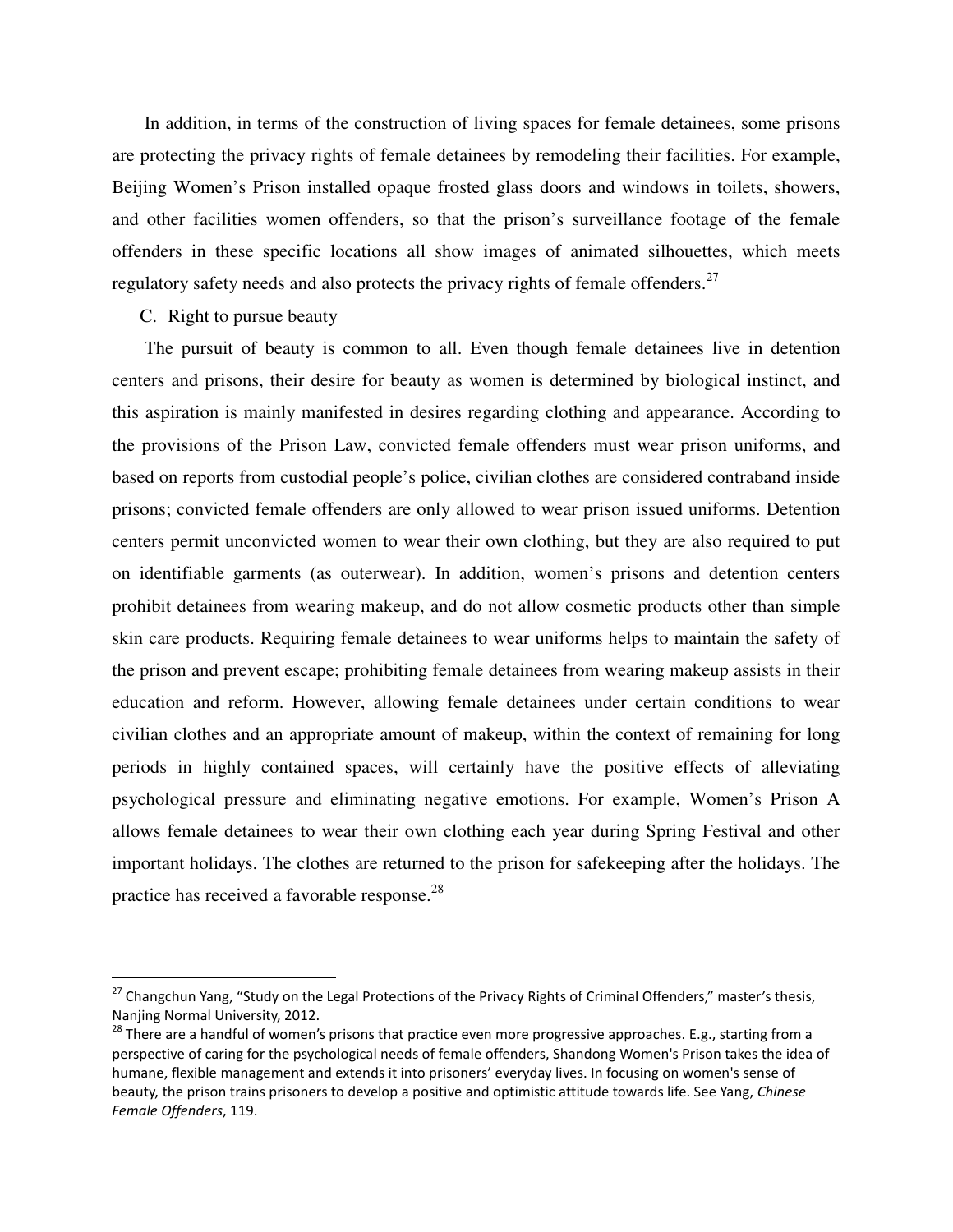In addition, in terms of the construction of living spaces for female detainees, some prisons are protecting the privacy rights of female detainees by remodeling their facilities. For example, Beijing Women's Prison installed opaque frosted glass doors and windows in toilets, showers, and other facilities women offenders, so that the prison's surveillance footage of the female offenders in these specific locations all show images of animated silhouettes, which meets regulatory safety needs and also protects the privacy rights of female offenders.<sup>27</sup>

C. Right to pursue beauty

 $\overline{a}$ 

The pursuit of beauty is common to all. Even though female detainees live in detention centers and prisons, their desire for beauty as women is determined by biological instinct, and this aspiration is mainly manifested in desires regarding clothing and appearance. According to the provisions of the Prison Law, convicted female offenders must wear prison uniforms, and based on reports from custodial people's police, civilian clothes are considered contraband inside prisons; convicted female offenders are only allowed to wear prison issued uniforms. Detention centers permit unconvicted women to wear their own clothing, but they are also required to put on identifiable garments (as outerwear). In addition, women's prisons and detention centers prohibit detainees from wearing makeup, and do not allow cosmetic products other than simple skin care products. Requiring female detainees to wear uniforms helps to maintain the safety of the prison and prevent escape; prohibiting female detainees from wearing makeup assists in their education and reform. However, allowing female detainees under certain conditions to wear civilian clothes and an appropriate amount of makeup, within the context of remaining for long periods in highly contained spaces, will certainly have the positive effects of alleviating psychological pressure and eliminating negative emotions. For example, Women's Prison A allows female detainees to wear their own clothing each year during Spring Festival and other important holidays. The clothes are returned to the prison for safekeeping after the holidays. The practice has received a favorable response.<sup>28</sup>

<sup>&</sup>lt;sup>27</sup> Changchun Yang, "Study on the Legal Protections of the Privacy Rights of Criminal Offenders," master's thesis, Nanjing Normal University, 2012.

<sup>&</sup>lt;sup>28</sup> There are a handful of women's prisons that practice even more progressive approaches. E.g., starting from a perspective of caring for the psychological needs of female offenders, Shandong Women's Prison takes the idea of humane, flexible management and extends it into prisoners' everyday lives. In focusing on women's sense of beauty, the prison trains prisoners to develop a positive and optimistic attitude towards life. See Yang, Chinese Female Offenders, 119.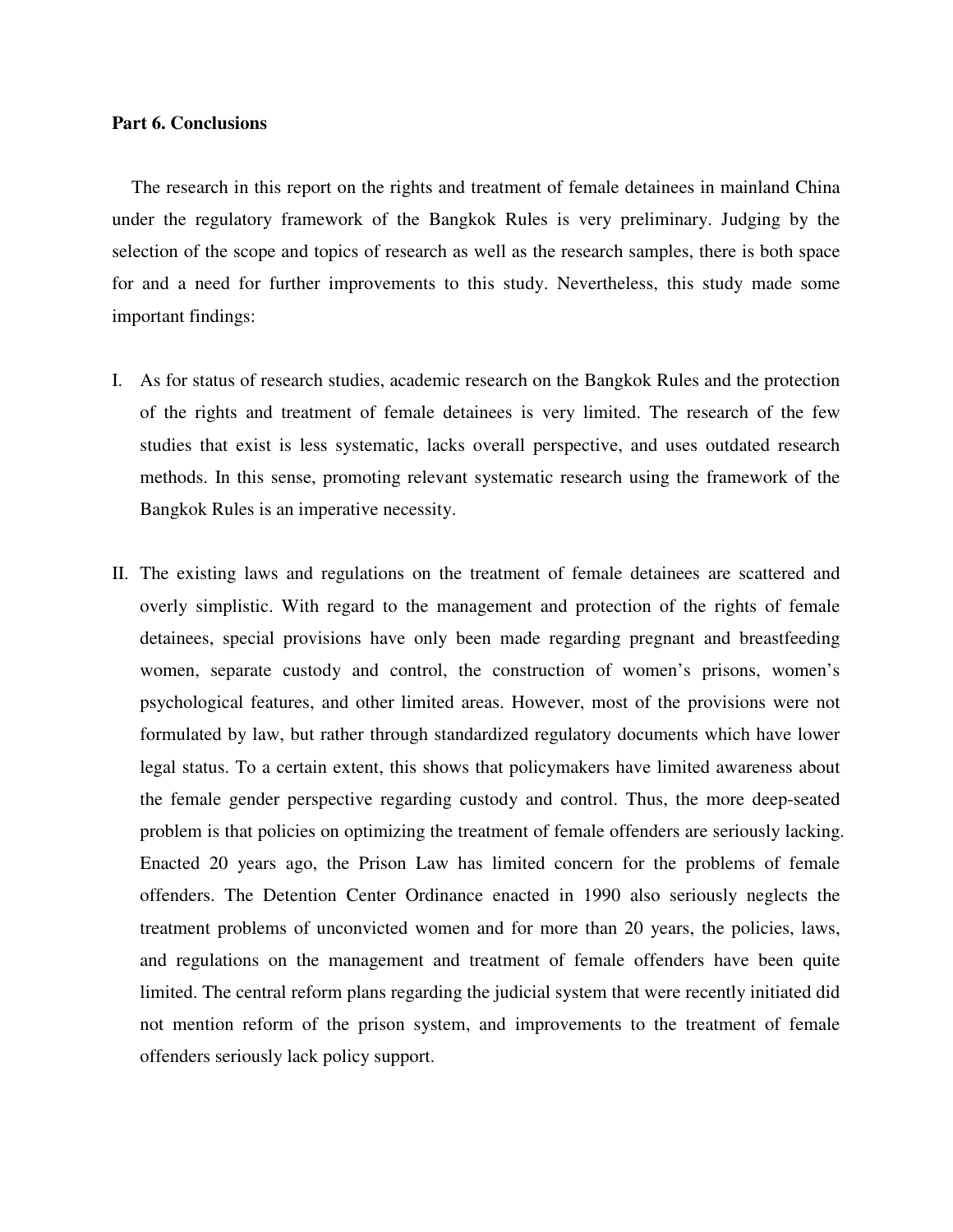#### **Part 6. Conclusions**

 The research in this report on the rights and treatment of female detainees in mainland China under the regulatory framework of the Bangkok Rules is very preliminary. Judging by the selection of the scope and topics of research as well as the research samples, there is both space for and a need for further improvements to this study. Nevertheless, this study made some important findings:

- I. As for status of research studies, academic research on the Bangkok Rules and the protection of the rights and treatment of female detainees is very limited. The research of the few studies that exist is less systematic, lacks overall perspective, and uses outdated research methods. In this sense, promoting relevant systematic research using the framework of the Bangkok Rules is an imperative necessity.
- II. The existing laws and regulations on the treatment of female detainees are scattered and overly simplistic. With regard to the management and protection of the rights of female detainees, special provisions have only been made regarding pregnant and breastfeeding women, separate custody and control, the construction of women's prisons, women's psychological features, and other limited areas. However, most of the provisions were not formulated by law, but rather through standardized regulatory documents which have lower legal status. To a certain extent, this shows that policymakers have limited awareness about the female gender perspective regarding custody and control. Thus, the more deep-seated problem is that policies on optimizing the treatment of female offenders are seriously lacking. Enacted 20 years ago, the Prison Law has limited concern for the problems of female offenders. The Detention Center Ordinance enacted in 1990 also seriously neglects the treatment problems of unconvicted women and for more than 20 years, the policies, laws, and regulations on the management and treatment of female offenders have been quite limited. The central reform plans regarding the judicial system that were recently initiated did not mention reform of the prison system, and improvements to the treatment of female offenders seriously lack policy support.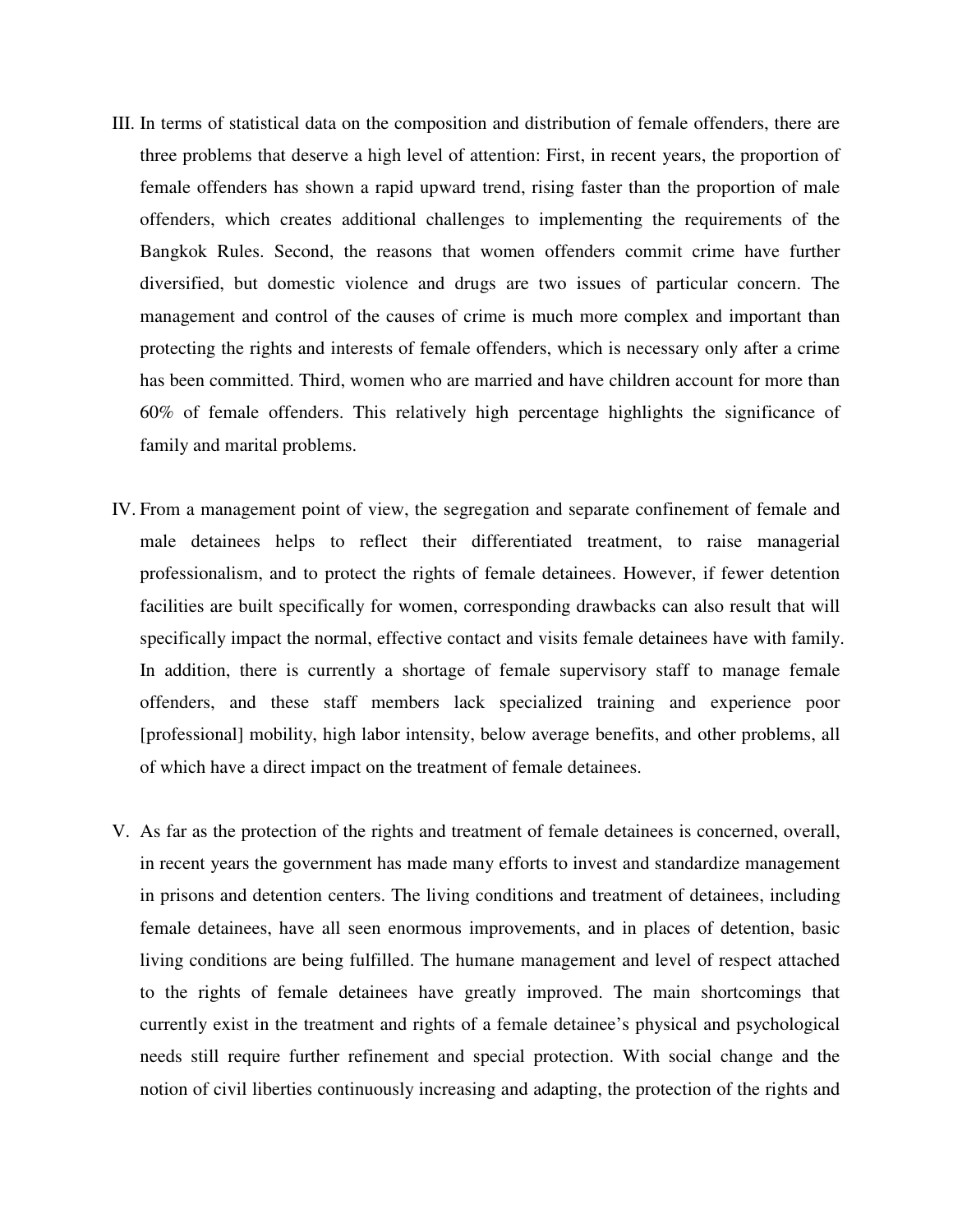- III. In terms of statistical data on the composition and distribution of female offenders, there are three problems that deserve a high level of attention: First, in recent years, the proportion of female offenders has shown a rapid upward trend, rising faster than the proportion of male offenders, which creates additional challenges to implementing the requirements of the Bangkok Rules. Second, the reasons that women offenders commit crime have further diversified, but domestic violence and drugs are two issues of particular concern. The management and control of the causes of crime is much more complex and important than protecting the rights and interests of female offenders, which is necessary only after a crime has been committed. Third, women who are married and have children account for more than 60% of female offenders. This relatively high percentage highlights the significance of family and marital problems.
- IV. From a management point of view, the segregation and separate confinement of female and male detainees helps to reflect their differentiated treatment, to raise managerial professionalism, and to protect the rights of female detainees. However, if fewer detention facilities are built specifically for women, corresponding drawbacks can also result that will specifically impact the normal, effective contact and visits female detainees have with family. In addition, there is currently a shortage of female supervisory staff to manage female offenders, and these staff members lack specialized training and experience poor [professional] mobility, high labor intensity, below average benefits, and other problems, all of which have a direct impact on the treatment of female detainees.
- V. As far as the protection of the rights and treatment of female detainees is concerned, overall, in recent years the government has made many efforts to invest and standardize management in prisons and detention centers. The living conditions and treatment of detainees, including female detainees, have all seen enormous improvements, and in places of detention, basic living conditions are being fulfilled. The humane management and level of respect attached to the rights of female detainees have greatly improved. The main shortcomings that currently exist in the treatment and rights of a female detainee's physical and psychological needs still require further refinement and special protection. With social change and the notion of civil liberties continuously increasing and adapting, the protection of the rights and